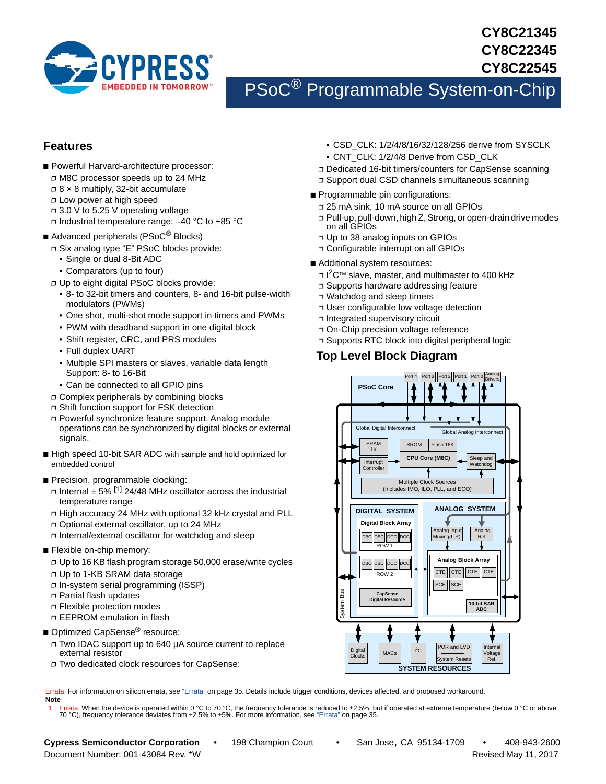

## **CY8C21345 CY8C22345 CY8C22545**

# PSoC® Programmable System-on-Chip

## <span id="page-0-1"></span>**Features**

- Powerful Harvard-architecture processor:
	- ❐ M8C processor speeds up to 24 MHz
	- $\Box$  8  $\times$  8 multiply, 32-bit accumulate
	- ❐ Low power at high speed
	- ❐ 3.0 V to 5.25 V operating voltage
	- ❐ Industrial temperature range: –40 °C to +85 °C

### ■ Advanced peripherals (PSoC<sup>®</sup> Blocks)

- ❐ Six analog type "E" PSoC blocks provide:
	- Single or dual 8-Bit ADC
	- Comparators (up to four)
- ❐ Up to eight digital PSoC blocks provide:
	- 8- to 32-bit timers and counters, 8- and 16-bit pulse-width modulators (PWMs)
	- One shot, multi-shot mode support in timers and PWMs
	- PWM with deadband support in one digital block
	- Shift register, CRC, and PRS modules
	- Full duplex UART
	- Multiple SPI masters or slaves, variable data length Support: 8- to 16-Bit
	- Can be connected to all GPIO pins
- ❐ Complex peripherals by combining blocks
- ❐ Shift function support for FSK detection
- ❐ Powerful synchronize feature support. Analog module operations can be synchronized by digital blocks or external signals.
- High speed 10-bit SAR ADC with sample and hold optimized for embedded control
- Precision, programmable clocking:
	- $\Box$  Internal  $\pm$  5% <sup>[\[1](#page-0-0)]</sup> 24/48 MHz oscillator across the industrial temperature range
	- ❐ High accuracy 24 MHz with optional 32 kHz crystal and PLL
	- ❐ Optional external oscillator, up to 24 MHz
	- ❐ Internal/external oscillator for watchdog and sleep
- Flexible on-chip memory:
	- ❐ Up to 16 KB flash program storage 50,000 erase/write cycles
	- ❐ Up to 1-KB SRAM data storage
	- ❐ In-system serial programming (ISSP)
	- ❐ Partial flash updates
	- ❐ Flexible protection modes
	- ❐ EEPROM emulation in flash
- Optimized CapSense<sup>®</sup> resource:
	- ❐ Two IDAC support up to 640 µA source current to replace external resistor
	- ❐ Two dedicated clock resources for CapSense:

Errata: For information on silicon errata, see ["Errata" on page 35.](#page-34-0) Details include trigger conditions, devices affected, and proposed workaround. **Note**

<span id="page-0-0"></span>1. Errata: When the device is operated within 0 °C to 70 °C, the frequency tolerance is reduced to ±2.5%, but if operated at extreme temperature (below 0 °C or above 70 °C), frequency tolerance deviates from ±2.5% to ±5%.

- CSD\_CLK: 1/2/4/8/16/32/128/256 derive from SYSCLK
- CNT\_CLK: 1/2/4/8 Derive from CSD\_CLK
- ❐ Dedicated 16-bit timers/counters for CapSense scanning
- ❐ Support dual CSD channels simultaneous scanning
- Programmable pin configurations:
	- ❐ 25 mA sink, 10 mA source on all GPIOs
	- ❐ Pull-up, pull-down, high Z, Strong, or open-drain drive modes on all GPIOs
	- ❐ Up to 38 analog inputs on GPIOs
	- ❐ Configurable interrupt on all GPIOs
- Additional system resources:
	- □ I<sup>2</sup>C™ slave, master, and multimaster to 400 kHz
- ❐ Supports hardware addressing feature
- ❐ Watchdog and sleep timers
- ❐ User configurable low voltage detection
- ❐ Integrated supervisory circuit
- ❐ On-Chip precision voltage reference
- ❐ Supports RTC block into digital peripheral logic

## **Top Level Block Diagram**



Document Number: 001-43084 Rev. \*W Revised May 11, 2017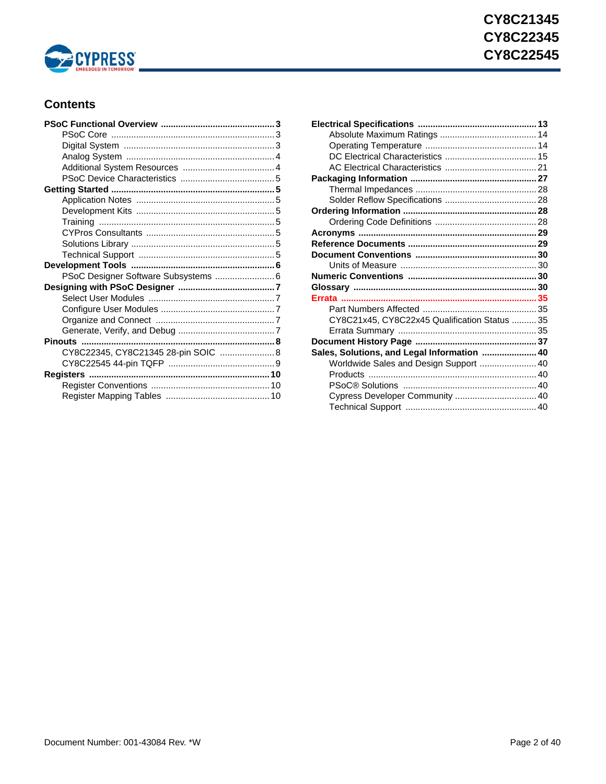

## **Contents**

| PSoC Designer Software Subsystems  6 |  |
|--------------------------------------|--|
|                                      |  |
|                                      |  |
|                                      |  |
|                                      |  |
|                                      |  |
|                                      |  |
| CY8C22345, CY8C21345 28-pin SOIC  8  |  |
|                                      |  |
|                                      |  |
|                                      |  |
|                                      |  |

| CY8C21x45, CY8C22x45 Qualification Status  35 |  |
|-----------------------------------------------|--|
|                                               |  |
|                                               |  |
| Sales, Solutions, and Legal Information  40   |  |
| Worldwide Sales and Design Support  40        |  |
|                                               |  |
|                                               |  |
| Cypress Developer Community  40               |  |
|                                               |  |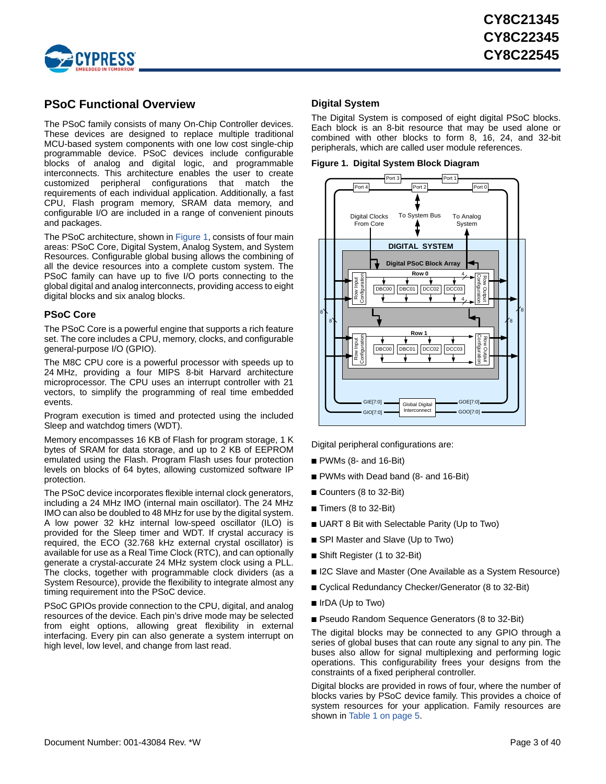

## <span id="page-2-0"></span>**PSoC Functional Overview**

The PSoC family consists of many On-Chip Controller devices. These devices are designed to replace multiple traditional MCU-based system components with one low cost single-chip programmable device. PSoC devices include configurable blocks of analog and digital logic, and programmable interconnects. This architecture enables the user to create customized peripheral configurations that match the requirements of each individual application. Additionally, a fast CPU, Flash program memory, SRAM data memory, and configurable I/O are included in a range of convenient pinouts and packages.

The PSoC architecture, shown in [Figure 1](#page-2-3), consists of four main areas: PSoC Core, Digital System, Analog System, and System Resources. Configurable global busing allows the combining of all the device resources into a complete custom system. The PSoC family can have up to five I/O ports connecting to the global digital and analog interconnects, providing access to eight digital blocks and six analog blocks.

### <span id="page-2-1"></span>**PSoC Core**

The PSoC Core is a powerful engine that supports a rich feature set. The core includes a CPU, memory, clocks, and configurable general-purpose I/O (GPIO).

The M8C CPU core is a powerful processor with speeds up to 24 MHz, providing a four MIPS 8-bit Harvard architecture microprocessor. The CPU uses an interrupt controller with 21 vectors, to simplify the programming of real time embedded events.

Program execution is timed and protected using the included Sleep and watchdog timers (WDT).

Memory encompasses 16 KB of Flash for program storage, 1 K bytes of SRAM for data storage, and up to 2 KB of EEPROM emulated using the Flash. Program Flash uses four protection levels on blocks of 64 bytes, allowing customized software IP protection.

The PSoC device incorporates flexible internal clock generators, including a 24 MHz IMO (internal main oscillator). The 24 MHz IMO can also be doubled to 48 MHz for use by the digital system. A low power 32 kHz internal low-speed oscillator (ILO) is provided for the Sleep timer and WDT. If crystal accuracy is required, the ECO (32.768 kHz external crystal oscillator) is available for use as a Real Time Clock (RTC), and can optionally generate a crystal-accurate 24 MHz system clock using a PLL. The clocks, together with programmable clock dividers (as a System Resource), provide the flexibility to integrate almost any timing requirement into the PSoC device.

PSoC GPIOs provide connection to the CPU, digital, and analog resources of the device. Each pin's drive mode may be selected from eight options, allowing great flexibility in external interfacing. Every pin can also generate a system interrupt on high level, low level, and change from last read.

### <span id="page-2-2"></span>**Digital System**

The Digital System is composed of eight digital PSoC blocks. Each block is an 8-bit resource that may be used alone or combined with other blocks to form 8, 16, 24, and 32-bit peripherals, which are called user module references.

<span id="page-2-3"></span>



Digital peripheral configurations are:

- $\blacksquare$  PWMs (8- and 16-Bit)
- PWMs with Dead band (8- and 16-Bit)
- Counters (8 to 32-Bit)
- Timers (8 to 32-Bit)
- UART 8 Bit with Selectable Parity (Up to Two)
- SPI Master and Slave (Up to Two)
- Shift Register (1 to 32-Bit)
- I2C Slave and Master (One Available as a System Resource)
- Cyclical Redundancy Checker/Generator (8 to 32-Bit)
- IrDA (Up to Two)

■ Pseudo Random Sequence Generators (8 to 32-Bit)

The digital blocks may be connected to any GPIO through a series of global buses that can route any signal to any pin. The buses also allow for signal multiplexing and performing logic operations. This configurability frees your designs from the constraints of a fixed peripheral controller.

Digital blocks are provided in rows of four, where the number of blocks varies by PSoC device family. This provides a choice of system resources for your application. Family resources are shown in [Table 1 on page 5](#page-4-8).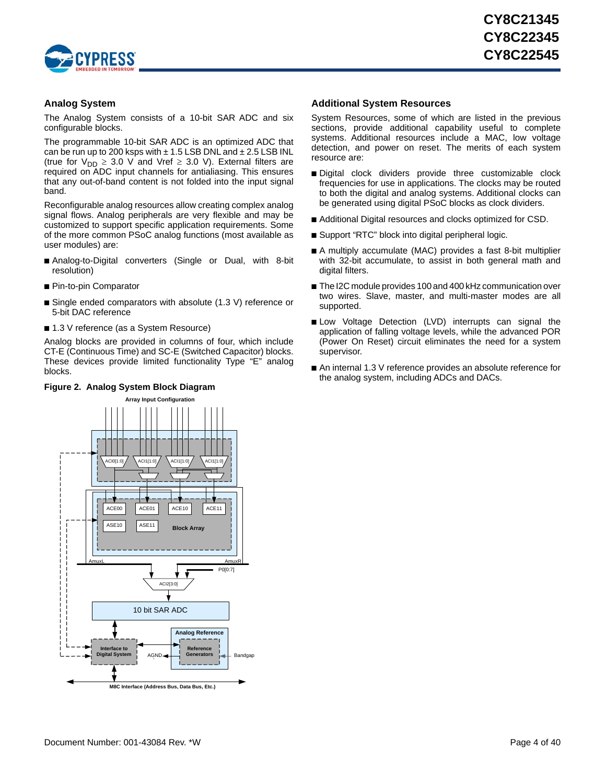

### <span id="page-3-0"></span>**Analog System**

The Analog System consists of a 10-bit SAR ADC and six configurable blocks.

The programmable 10-bit SAR ADC is an optimized ADC that can be run up to 200 ksps with  $\pm$  1.5 LSB DNL and  $\pm$  2.5 LSB INL (true for  $V_{DD} \geq 3.0$  V and Vref  $\geq 3.0$  V). External filters are required on ADC input channels for antialiasing. This ensures that any out-of-band content is not folded into the input signal band.

Reconfigurable analog resources allow creating complex analog signal flows. Analog peripherals are very flexible and may be customized to support specific application requirements. Some of the more common PSoC analog functions (most available as user modules) are:

- Analog-to-Digital converters (Single or Dual, with 8-bit resolution)
- Pin-to-pin Comparator
- Single ended comparators with absolute (1.3 V) reference or 5-bit DAC reference
- 1.3 V reference (as a System Resource)

Analog blocks are provided in columns of four, which include CT-E (Continuous Time) and SC-E (Switched Capacitor) blocks. These devices provide limited functionality Type "E" analog blocks.

### **Figure 2. Analog System Block Diagram**

### <span id="page-3-1"></span>**Additional System Resources**

System Resources, some of which are listed in the previous sections, provide additional capability useful to complete systems. Additional resources include a MAC, low voltage detection, and power on reset. The merits of each system resource are:

- Digital clock dividers provide three customizable clock frequencies for use in applications. The clocks may be routed to both the digital and analog systems. Additional clocks can be generated using digital PSoC blocks as clock dividers.
- Additional Digital resources and clocks optimized for CSD.
- Support "RTC" block into digital peripheral logic.
- A multiply accumulate (MAC) provides a fast 8-bit multiplier with 32-bit accumulate, to assist in both general math and digital filters.
- The I2C module provides 100 and 400 kHz communication over two wires. Slave, master, and multi-master modes are all supported.
- Low Voltage Detection (LVD) interrupts can signal the application of falling voltage levels, while the advanced POR (Power On Reset) circuit eliminates the need for a system supervisor.
- An internal 1.3 V reference provides an absolute reference for the analog system, including ADCs and DACs.

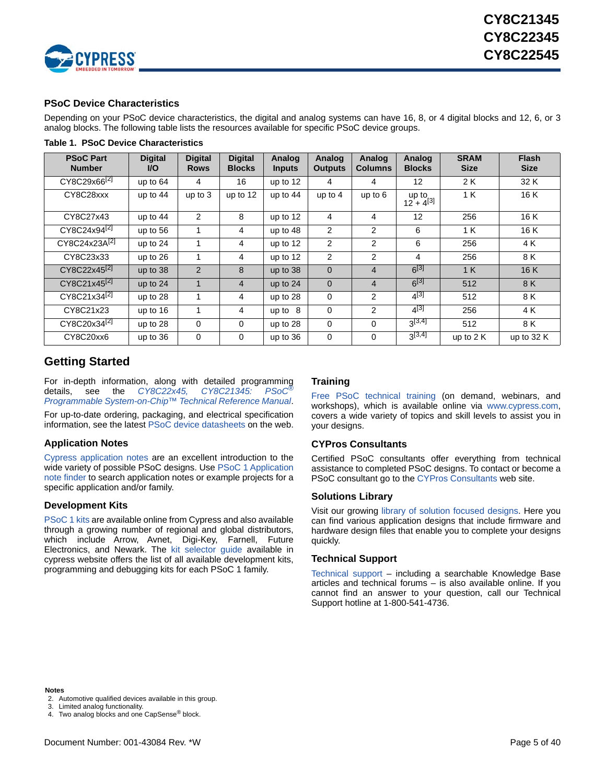

### <span id="page-4-0"></span>**PSoC Device Characteristics**

Depending on your PSoC device characteristics, the digital and analog systems can have 16, 8, or 4 digital blocks and 12, 6, or 3 analog blocks. The following table lists the resources available for specific PSoC device groups.

| <b>PSoC Part</b><br><b>Number</b> | <b>Digital</b><br><b>VO</b> | <b>Digital</b><br><b>Rows</b> | <b>Digital</b><br><b>Blocks</b> | Analog<br><b>Inputs</b> | Analog<br><b>Outputs</b> | Analog<br><b>Columns</b> | Analog<br><b>Blocks</b> | <b>SRAM</b><br><b>Size</b> | <b>Flash</b><br><b>Size</b> |
|-----------------------------------|-----------------------------|-------------------------------|---------------------------------|-------------------------|--------------------------|--------------------------|-------------------------|----------------------------|-----------------------------|
| CY8C29x66 <sup>[2]</sup>          | up to $64$                  | 4                             | 16                              | up to 12                | 4                        | 4                        | 12                      | 2K                         | 32 K                        |
| CY8C28xxx                         | up to 44                    | up to $3$                     | up to 12                        | up to 44                | up to $4$                | up to $6$                | up to<br>$12 + 4^{[3]}$ | 1K                         | 16K                         |
| CY8C27x43                         | up to $44$                  | 2                             | 8                               | up to 12                | 4                        | 4                        | 12                      | 256                        | 16 K                        |
| CY8C24x94 <sup>[2]</sup>          | up to 56                    | 1                             | $\overline{4}$                  | up to 48                | $\overline{2}$           | 2                        | 6                       | 1 K                        | 16K                         |
| CY8C24x23A <sup>[2]</sup>         | up to 24                    | 1                             | $\overline{4}$                  | up to 12                | $\overline{2}$           | $\overline{2}$           | 6                       | 256                        | 4 K                         |
| CY8C23x33                         | up to $26$                  | 1                             | 4                               | up to 12                | 2                        | 2                        | 4                       | 256                        | 8 K                         |
| CY8C22x45 <sup>[2]</sup>          | up to 38                    | $\overline{2}$                | 8                               | up to 38                | $\mathbf{0}$             | $\overline{4}$           | $6^{[3]}$               | 1 K                        | 16 K                        |
| CY8C21x45 <sup>[2]</sup>          | up to 24                    | 1                             | $\overline{4}$                  | up to 24                | $\mathbf{0}$             | 4                        | $6^{[3]}$               | 512                        | 8 K                         |
| CY8C21x34 <sup>[2]</sup>          | up to 28                    |                               | 4                               | up to 28                | $\mathbf 0$              | 2                        | $4^{[3]}$               | 512                        | 8 K                         |
| CY8C21x23                         | up to 16                    | 1                             | $\overline{4}$                  | up to $8$               | $\Omega$                 | $\overline{2}$           | $4^{[3]}$               | 256                        | 4 K                         |
| CY8C20x34 <sup>[2]</sup>          | up to 28                    | 0                             | $\mathbf 0$                     | up to 28                | $\mathbf 0$              | $\Omega$                 | $3^{[3,4]}$             | 512                        | 8 K                         |
| CY8C20xx6                         | up to 36                    | $\mathbf 0$                   | 0                               | up to 36                | $\mathbf 0$              | $\Omega$                 | $3^{[3,4]}$             | up to $2K$                 | up to 32 K                  |

<span id="page-4-8"></span>**Table 1. PSoC Device Characteristics**

## <span id="page-4-1"></span>**Getting Started**

For in-depth information, along with detailed programming<br>details, see the CY8C22x45, CY8C21345: PSoC<sup>®</sup> details, see the *[CY8C22x45, CY8C21345: PSoC](http://www.cypress.com/?rID=37728)[®](http://www.cypress.com/?rID=37728) [Programmable System-on-Chip™ Technical Reference Manual](http://www.cypress.com/?rID=37728)*.

For up-to-date ordering, packaging, and electrical specification information, see the latest [PSoC device datasheets](http://www.cypress.com/?app=search&searchType=keyword&keyword=&rtID=107&id=0&applicationID=0&source=header) on the web.

### <span id="page-4-2"></span>**Application Notes**

[Cypress application notes](http://www.cypress.com/?app=search&searchType=keyword&keyword=&rtID=76&id=0&applicationID=0&source=header) are an excellent introduction to the wide variety of possible PSoC designs. Use [PSoC 1 Application](http://www.cypress.com/?id=4&rID=55571) [note finder](http://www.cypress.com/?id=4&rID=55571) to search application notes or example projects for a specific application and/or family.

### <span id="page-4-3"></span>**Development Kits**

[PSoC 1 kits](http://www.cypress.com/?rID=63754) are available online from Cypress and also available through a growing number of regional and global distributors, which include Arrow, Avnet, Digi-Key, Farnell, Future Electronics, and Newark. The [kit selector guide](http://www.cypress.com/?docID=36495) available in cypress website offers the list of all available development kits, programming and debugging kits for each PSoC 1 family.

### <span id="page-4-4"></span>**Training**

[Free PSoC technical training](http://www.cypress.com/?id=1162) (on demand, webinars, and workshops), which is available online via <www.cypress.com>, covers a wide variety of topics and skill levels to assist you in your designs.

### <span id="page-4-5"></span>**CYPros Consultants**

Certified PSoC consultants offer everything from technical assistance to completed PSoC designs. To contact or become a PSoC consultant go to th[e CYPros Consultants](http://www.cypress.com/?id=1088&source=header) web site.

### <span id="page-4-6"></span>**Solutions Library**

Visit our growin[g library of solution focused designs.](http://www.cypress.com/?id=3) Here you can find various application designs that include firmware and hardware design files that enable you to complete your designs quickly.

### <span id="page-4-7"></span>**Technical Support**

[Technical support –](http://www.cypress.com/myaccount/?iD=7&source=header) including a searchable Knowledge Base articles and technical forums – is also available online. If you cannot find an answer to your question, call our Technical Support hotline at 1-800-541-4736.

### **Notes**

- <span id="page-4-9"></span>2. Automotive qualified devices available in this group.
- <span id="page-4-10"></span>3. Limited analog functionality.

<span id="page-4-11"></span><sup>4.</sup> Two analog blocks and one CapSense<sup>®</sup> block.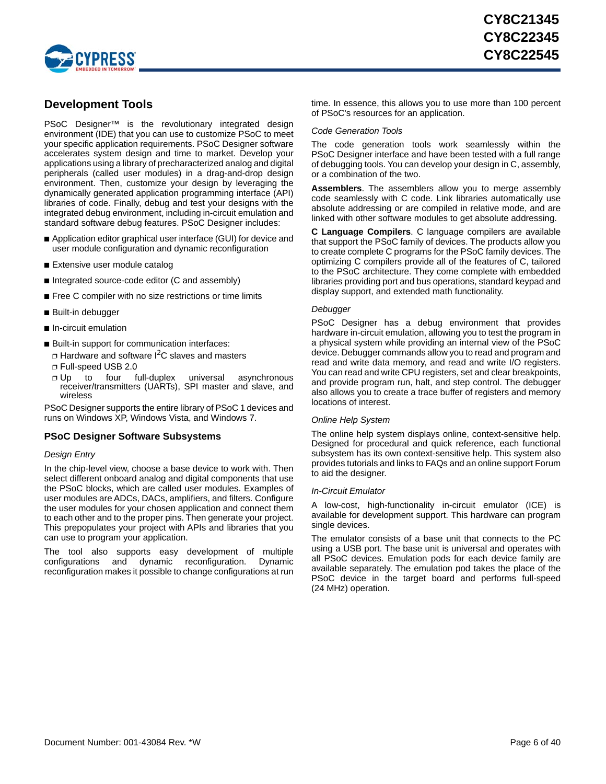

## <span id="page-5-0"></span>**Development Tools**

PSoC Designer<sup>™</sup> is the revolutionary integrated design environment (IDE) that you can use to customize PSoC to meet your specific application requirements. PSoC Designer software accelerates system design and time to market. Develop your applications using a library of precharacterized analog and digital peripherals (called user modules) in a drag-and-drop design environment. Then, customize your design by leveraging the dynamically generated application programming interface (API) libraries of code. Finally, debug and test your designs with the integrated debug environment, including in-circuit emulation and standard software debug features. PSoC Designer includes:

- Application editor graphical user interface (GUI) for device and user module configuration and dynamic reconfiguration
- Extensive user module catalog
- Integrated source-code editor (C and assembly)
- Free C compiler with no size restrictions or time limits
- Built-in debugger
- In-circuit emulation
- Built-in support for communication interfaces:
- $\Box$  Hardware and software I<sup>2</sup>C slaves and masters
- ❐ Full-speed USB 2.0
- ❐ Up to four full-duplex universal asynchronous receiver/transmitters (UARTs), SPI master and slave, and wireless

PSoC Designer supports the entire library of PSoC 1 devices and runs on Windows XP, Windows Vista, and Windows 7.

### <span id="page-5-1"></span>**PSoC Designer Software Subsystems**

### *Design Entry*

In the chip-level view, choose a base device to work with. Then select different onboard analog and digital components that use the PSoC blocks, which are called user modules. Examples of user modules are ADCs, DACs, amplifiers, and filters. Configure the user modules for your chosen application and connect them to each other and to the proper pins. Then generate your project. This prepopulates your project with APIs and libraries that you can use to program your application.

The tool also supports easy development of multiple configurations and dynamic reconfiguration. Dynamic reconfiguration makes it possible to change configurations at run time. In essence, this allows you to use more than 100 percent of PSoC's resources for an application.

### *Code Generation Tools*

The code generation tools work seamlessly within the PSoC Designer interface and have been tested with a full range of debugging tools. You can develop your design in C, assembly, or a combination of the two.

**Assemblers**. The assemblers allow you to merge assembly code seamlessly with C code. Link libraries automatically use absolute addressing or are compiled in relative mode, and are linked with other software modules to get absolute addressing.

**C Language Compilers**. C language compilers are available that support the PSoC family of devices. The products allow you to create complete C programs for the PSoC family devices. The optimizing C compilers provide all of the features of C, tailored to the PSoC architecture. They come complete with embedded libraries providing port and bus operations, standard keypad and display support, and extended math functionality.

### *Debugger*

PSoC Designer has a debug environment that provides hardware in-circuit emulation, allowing you to test the program in a physical system while providing an internal view of the PSoC device. Debugger commands allow you to read and program and read and write data memory, and read and write I/O registers. You can read and write CPU registers, set and clear breakpoints, and provide program run, halt, and step control. The debugger also allows you to create a trace buffer of registers and memory locations of interest.

### *Online Help System*

The online help system displays online, context-sensitive help. Designed for procedural and quick reference, each functional subsystem has its own context-sensitive help. This system also provides tutorials and links to FAQs and an online support Forum to aid the designer.

### *In-Circuit Emulator*

A low-cost, high-functionality in-circuit emulator (ICE) is available for development support. This hardware can program single devices.

The emulator consists of a base unit that connects to the PC using a USB port. The base unit is universal and operates with all PSoC devices. Emulation pods for each device family are available separately. The emulation pod takes the place of the PSoC device in the target board and performs full-speed (24 MHz) operation.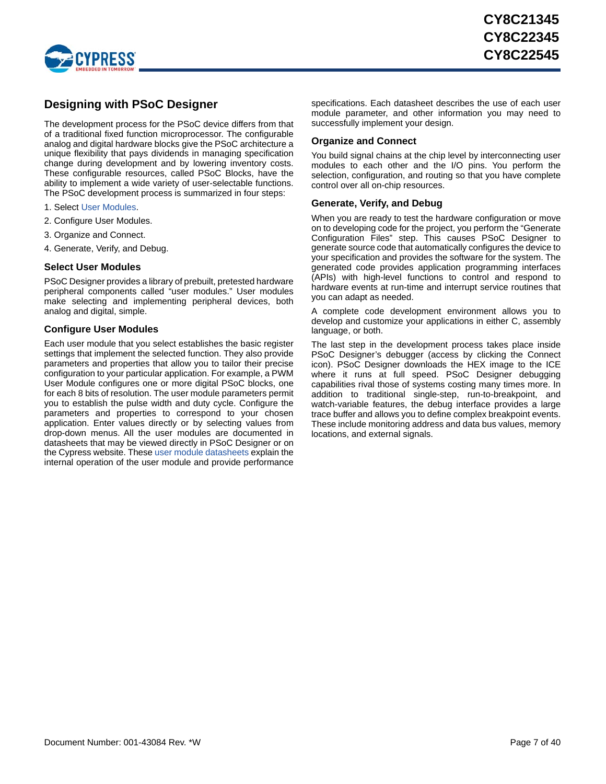

## <span id="page-6-0"></span>**Designing with PSoC Designer**

The development process for the PSoC device differs from that of a traditional fixed function microprocessor. The configurable analog and digital hardware blocks give the PSoC architecture a unique flexibility that pays dividends in managing specification change during development and by lowering inventory costs. These configurable resources, called PSoC Blocks, have the ability to implement a wide variety of user-selectable functions. The PSoC development process is summarized in four steps:

- 1. Select [User Modules.](http://www.cypress.com/?rID=39931)
- 2. Configure User Modules.
- 3. Organize and Connect.
- 4. Generate, Verify, and Debug.

### <span id="page-6-1"></span>**Select User Modules**

PSoC Designer provides a library of prebuilt, pretested hardware peripheral components called "user modules." User modules make selecting and implementing peripheral devices, both analog and digital, simple.

### <span id="page-6-2"></span>**Configure User Modules**

Each user module that you select establishes the basic register settings that implement the selected function. They also provide parameters and properties that allow you to tailor their precise configuration to your particular application. For example, a PWM User Module configures one or more digital PSoC blocks, one for each 8 bits of resolution. The user module parameters permit you to establish the pulse width and duty cycle. Configure the parameters and properties to correspond to your chosen application. Enter values directly or by selecting values from drop-down menus. All the user modules are documented in datasheets that may be viewed directly in PSoC Designer or on the Cypress website. These [user module datasheets](http://www.cypress.com/?app=search&searchType=keyword&keyword=&rtID=116&id=0&applicationID=0&l=1) explain the internal operation of the user module and provide performance

specifications. Each datasheet describes the use of each user module parameter, and other information you may need to successfully implement your design.

### <span id="page-6-3"></span>**Organize and Connect**

You build signal chains at the chip level by interconnecting user modules to each other and the I/O pins. You perform the selection, configuration, and routing so that you have complete control over all on-chip resources.

### <span id="page-6-4"></span>**Generate, Verify, and Debug**

When you are ready to test the hardware configuration or move on to developing code for the project, you perform the "Generate Configuration Files" step. This causes PSoC Designer to generate source code that automatically configures the device to your specification and provides the software for the system. The generated code provides application programming interfaces (APIs) with high-level functions to control and respond to hardware events at run-time and interrupt service routines that you can adapt as needed.

A complete code development environment allows you to develop and customize your applications in either C, assembly language, or both.

The last step in the development process takes place inside PSoC Designer's debugger (access by clicking the Connect icon). PSoC Designer downloads the HEX image to the ICE where it runs at full speed. PSoC Designer debugging capabilities rival those of systems costing many times more. In addition to traditional single-step, run-to-breakpoint, and watch-variable features, the debug interface provides a large trace buffer and allows you to define complex breakpoint events. These include monitoring address and data bus values, memory locations, and external signals.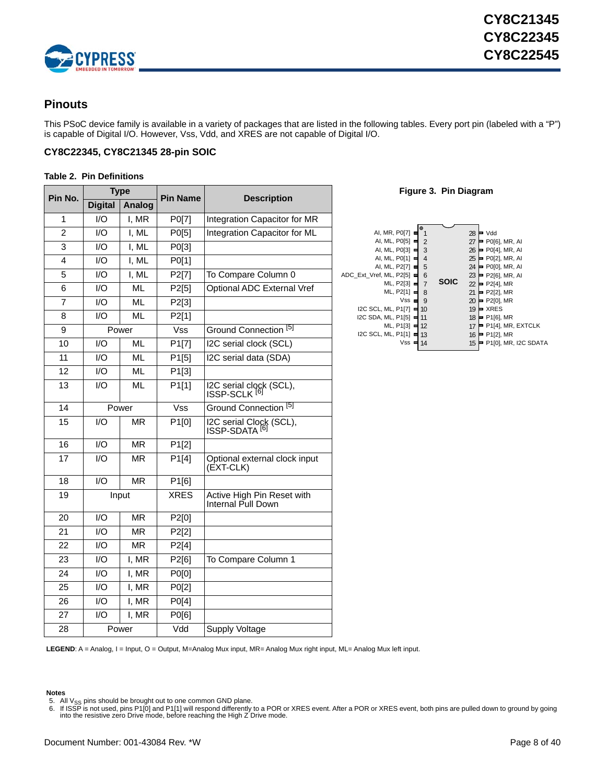

## <span id="page-7-0"></span>**Pinouts**

This PSoC device family is available in a variety of packages that are listed in the following tables. Every port pin (labeled with a "P") is capable of Digital I/O. However, Vss, Vdd, and XRES are not capable of Digital I/O.

### <span id="page-7-1"></span>**CY8C22345, CY8C21345 28-pin SOIC**

### <span id="page-7-4"></span>**Table 2. Pin Definitions**

| Pin No.        |                | <b>Type</b> | <b>Pin Name</b> | <b>Description</b>                               |  |  |  |
|----------------|----------------|-------------|-----------------|--------------------------------------------------|--|--|--|
|                | <b>Digital</b> | Analog      |                 |                                                  |  |  |  |
| 1              | I/O            | I, MR       | P0[7]           | Integration Capacitor for MR                     |  |  |  |
| 2              | 1/O            | I, ML       | P0[5]           | Integration Capacitor for ML                     |  |  |  |
| 3              | 1/O            | I. ML       | P0[3]           |                                                  |  |  |  |
| 4              | 1/O            | I, ML       | P0[1]           |                                                  |  |  |  |
| 5              | 1/O            | I, ML       | P2[7]           | To Compare Column 0                              |  |  |  |
| 6              | 1/O            | <b>ML</b>   | P2[5]           | Optional ADC External Vref                       |  |  |  |
| $\overline{7}$ | 1/O            | <b>ML</b>   | P2[3]           |                                                  |  |  |  |
| 8              | 1/O            | ML          | P2[1]           |                                                  |  |  |  |
| 9              |                | Power       | Vss             | Ground Connection <sup>[5]</sup>                 |  |  |  |
| 10             | 1/O            | <b>ML</b>   | P1[7]           | I2C serial clock (SCL)                           |  |  |  |
| 11             | 1/O            | <b>ML</b>   | P1[5]           | I2C serial data (SDA)                            |  |  |  |
| 12             | 1/O            | <b>ML</b>   | P1[3]           |                                                  |  |  |  |
| 13             | 1/O            | ML          | P1[1]           | I2C serial clock (SCL),<br>ISSP-SCLK [6]         |  |  |  |
| 14             |                | Power       | Vss             | Ground Connection <sup>[5]</sup>                 |  |  |  |
| 15             | 1/O            | <b>MR</b>   | P1[0]           | I2C serial Clock (SCL),<br>ISSP-SDATA [6]        |  |  |  |
| 16             | 1/O            | MR          | P1[2]           |                                                  |  |  |  |
| 17             | 1/O            | <b>MR</b>   | P1[4]           | Optional external clock input<br>(EXT-CLK)       |  |  |  |
| 18             | I/O            | <b>MR</b>   | P1[6]           |                                                  |  |  |  |
| 19             |                | Input       | <b>XRES</b>     | Active High Pin Reset with<br>Internal Pull Down |  |  |  |
| 20             | 1/O            | MR          | P2[0]           |                                                  |  |  |  |
| 21             | 1/O            | MR          | P2[2]           |                                                  |  |  |  |
| 22             | 1/O            | <b>MR</b>   | P2[4]           |                                                  |  |  |  |
| 23             | I/O            | I, MR       | P2[6]           | To Compare Column 1                              |  |  |  |
| 24             | 1/O            | I, MR       | P0[0]           |                                                  |  |  |  |
| 25             | 1/O            | I, MR       | P0[2]           |                                                  |  |  |  |
| 26             | 1/O            | I, MR       | P0[4]           |                                                  |  |  |  |
| 27             | I/O            | I, MR       | P0[6]           |                                                  |  |  |  |
| 28             | Power          |             | Vdd             | <b>Supply Voltage</b>                            |  |  |  |

**Figure 3. Pin Diagram** 

| AI, MR, P0[7]                      |                |             | 28 | Vdd                            |
|------------------------------------|----------------|-------------|----|--------------------------------|
| AI, ML, P0[5]                      | $\overline{2}$ |             | 27 | P0[6], MR, AI                  |
| AI, ML, P0[3] (                    | 3              |             | 26 | P0[4], MR, AI                  |
| AI, ML, P0[1]                      | 4              |             | 25 | P0[2], MR, AI                  |
| AI, ML, P2[7]                      | 5              |             | 24 | P0[0], MR, AI                  |
| ADC Ext Vref, ML, P2[5]            | 6              |             | 23 | P2[6], MR, AI                  |
| ML, P2[3] =                        |                | <b>SOIC</b> | 22 | P2[4], MR                      |
| ML, P2[1]                          | 8              |             | 21 | P2[2], MR                      |
| Vss                                | 9              |             | 20 | P2[0], MR                      |
| <b>I2C SCL, ML, P1[7]</b>          | 10             |             | 19 | <b>XRES</b>                    |
| I2C SDA, ML, P1[5]                 | 11             |             | 18 | P1[6], MR                      |
| ML, P1[3]                          | 12             |             | 17 | P <sub>1</sub> [4], MR, EXTCLK |
| $IC$ SCL, ML, P1[1] $\blacksquare$ | 13             |             | 16 | P1[2], MR                      |
| Vss                                | 14             |             | 15 | P1[0], MR, I2C SDATA           |
|                                    |                |             |    |                                |

LEGEND: A = Analog, I = Input, O = Output, M=Analog Mux input, MR= Analog Mux right input, ML= Analog Mux left input.

### **Notes**

<span id="page-7-2"></span>5. All V<sub>SS</sub> pins should be brought out to one common GND plane.<br>6. If ISSP is not used, pins P1[0] and P1[1] will respond differently to a POR or XRES event. After a POR or XRES event, both pins are pulled down to ground

<span id="page-7-3"></span>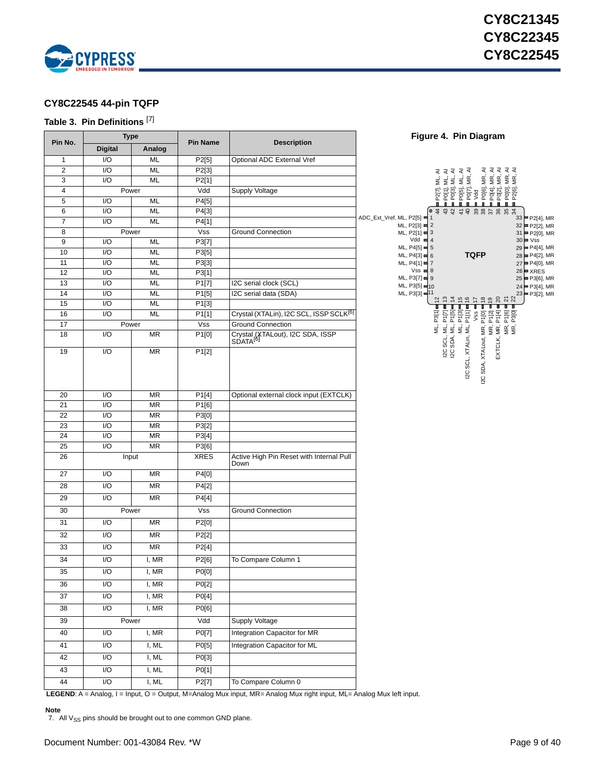

## <span id="page-8-0"></span>**CY8C22545 44-pin TQFP**

### <span id="page-8-2"></span>**Table 3. Pin Definitions** [[7\]](#page-8-1)

|                | <b>Type</b>             |           |                    |                                                          | Figure 4. Pin Diagram                                                                                                                                                                                                                                                                                                                                                                 |
|----------------|-------------------------|-----------|--------------------|----------------------------------------------------------|---------------------------------------------------------------------------------------------------------------------------------------------------------------------------------------------------------------------------------------------------------------------------------------------------------------------------------------------------------------------------------------|
| Pin No.        | <b>Digital</b>          | Analog    | <b>Pin Name</b>    | <b>Description</b>                                       |                                                                                                                                                                                                                                                                                                                                                                                       |
| $\mathbf{1}$   | I/O                     | ML        | P2[5]              | Optional ADC External Vref                               |                                                                                                                                                                                                                                                                                                                                                                                       |
| $\overline{2}$ | I/O                     | ML        | P2[3]              |                                                          | $\begin{array}{l} \blacksquare 2771\,M\ldots\,A\\ \blacksquare 271\,M\ldots\,A\\ \blacksquare 27031\,M\ldots\,A\\ \blacksquare 27031\,M\ldots\,A\\ \blacksquare 27031\,M\ldots\,A\\ \blacksquare 27031\,M\ldots\,A\\ \blacksquare 27031\,M\ldots\,A\\ \blacksquare 27031\,M\ldots\,A\\ \blacksquare 27031\,M\ldots\,A\\ \blacksquare 27031\,M\ldots\,A\\ \blacksquare 27031\,M\ldots$ |
| 3              | I/O                     | ML        | P2[1]              |                                                          |                                                                                                                                                                                                                                                                                                                                                                                       |
| $\overline{4}$ | Power                   |           | Vdd                | Supply Voltage                                           |                                                                                                                                                                                                                                                                                                                                                                                       |
| 5              | I/O                     | ML        | P4[5]              |                                                          |                                                                                                                                                                                                                                                                                                                                                                                       |
| 6              | I/O                     | ML        | P4[3]              |                                                          | # # # # # # # # # # # #<br>ADC_Ext_Vref, ML, P2[5] = 1                                                                                                                                                                                                                                                                                                                                |
| $\overline{7}$ | 1/O                     | ML        | P4[1]              |                                                          | 33 P2[4], MR<br>$ML, P2[3] = 2$<br>32 P2[2], MR                                                                                                                                                                                                                                                                                                                                       |
| 8              | Power                   |           | <b>Vss</b>         | <b>Ground Connection</b>                                 | $ML, P2[1] = 3$<br>$31$ = P2[0], MR                                                                                                                                                                                                                                                                                                                                                   |
| 9              | I/O                     | ML        | P3[7]              |                                                          | $Vdd = 4$<br>$30 \blacktriangleright \text{Vss}$<br>$ML, P4[5] = 5$<br>$29 = P4[4]$ , MR                                                                                                                                                                                                                                                                                              |
| 10             | I/O                     | ML        | P3[5]              |                                                          | <b>TQFP</b><br>$ML, P4[3] = 6$<br>$28 = P4[2]$ , MR                                                                                                                                                                                                                                                                                                                                   |
| 11             | I/O<br>I/O              | ML        | P3[3]              |                                                          | ML, P4[1] = 7<br>27 P4[0], MR<br>$Vss = 8$<br>$26$ $\blacktriangleright$ XRES                                                                                                                                                                                                                                                                                                         |
| 12<br>13       | I/O                     | ML<br>ML  | P3[1]<br>P1[7]     | I2C serial clock (SCL)                                   | ML, $P3[7] = 9$<br>$25 = P3[6]$ , MR                                                                                                                                                                                                                                                                                                                                                  |
| 14             | I/O                     | <b>ML</b> | P1[5]              | I2C serial data (SDA)                                    | ML, P3[5] = 10<br>24 P3[4], MR<br>ML, P3[3] = 11<br>$23 = P3[2]$ , MR                                                                                                                                                                                                                                                                                                                 |
| 15             | I/O                     | ML        | P1[3]              |                                                          | 2222<br>಼<br>466<br>$\ddot{ }$                                                                                                                                                                                                                                                                                                                                                        |
| 16             | I/O                     | ML        | P1[1]              | Crystal (XTALin), I2C SCL, ISSP SCLK <sup>[6]</sup>      | T<br>Т<br>ш<br>п<br>P3[1]                                                                                                                                                                                                                                                                                                                                                             |
| 17             | Power                   |           | Vss                | <b>Ground Connection</b>                                 | M P171<br>M P181<br>M P111 = 181<br>MR. P101<br>MR. P121<br>MR. P161<br>MR. P301                                                                                                                                                                                                                                                                                                      |
| 18             | I/O                     | MR        | P1[0]              | Crystal (XTALout), I2C SDA, ISSP<br>SDATA <sup>[6]</sup> | ΣÎ<br>Œ,<br>MR, F<br>EXTCLK, MR, F<br>MR, F<br>MR, F                                                                                                                                                                                                                                                                                                                                  |
| 19             | I/O                     | <b>MR</b> | P1[2]              |                                                          | I2C SCL, I<br>I2C SDA, I<br>I2C SCL, XTALin,<br>I2C SDA, XTALout,                                                                                                                                                                                                                                                                                                                     |
| 20             | I/O                     | <b>MR</b> | P <sub>1</sub> [4] | Optional external clock input (EXTCLK)                   |                                                                                                                                                                                                                                                                                                                                                                                       |
| 21             | I/O                     | <b>MR</b> | P1[6]              |                                                          |                                                                                                                                                                                                                                                                                                                                                                                       |
| 22             | I/O                     | <b>MR</b> | P3[0]              |                                                          |                                                                                                                                                                                                                                                                                                                                                                                       |
| 23             | I/O                     | <b>MR</b> | P3[2]              |                                                          |                                                                                                                                                                                                                                                                                                                                                                                       |
| 24             | I/O                     | <b>MR</b> | P3[4]              |                                                          |                                                                                                                                                                                                                                                                                                                                                                                       |
| 25             | 1/O                     | <b>MR</b> | P3[6]              |                                                          |                                                                                                                                                                                                                                                                                                                                                                                       |
| 26             | Input                   |           | <b>XRES</b>        | Active High Pin Reset with Internal Pull<br>Down         |                                                                                                                                                                                                                                                                                                                                                                                       |
| 27             | I/O                     | MR        | P4[0]              |                                                          |                                                                                                                                                                                                                                                                                                                                                                                       |
| 28             | I/O                     | MR        | P4[2]              |                                                          |                                                                                                                                                                                                                                                                                                                                                                                       |
| 29             | I/O                     | <b>MR</b> | P4[4]              |                                                          |                                                                                                                                                                                                                                                                                                                                                                                       |
| 30             | Power                   |           | <b>Vss</b>         | <b>Ground Connection</b>                                 |                                                                                                                                                                                                                                                                                                                                                                                       |
| 31             | I/O                     | <b>MR</b> | P2[0]              |                                                          |                                                                                                                                                                                                                                                                                                                                                                                       |
| 32             | I/O                     | <b>MR</b> | P2[2]              |                                                          |                                                                                                                                                                                                                                                                                                                                                                                       |
| 33             | I/O                     | <b>MR</b> | P2[4]              |                                                          |                                                                                                                                                                                                                                                                                                                                                                                       |
| 34             | I/O                     | I, MR     | P2[6]              | To Compare Column 1                                      |                                                                                                                                                                                                                                                                                                                                                                                       |
| 35             | I/O                     | I, MR     | P0[0]              |                                                          |                                                                                                                                                                                                                                                                                                                                                                                       |
| 36             | $\overline{1/O}$        | I, MR     | P0[2]              |                                                          |                                                                                                                                                                                                                                                                                                                                                                                       |
| 37             | I/O                     | I, MR     | P0[4]              |                                                          |                                                                                                                                                                                                                                                                                                                                                                                       |
| 38             | $\overline{1/O}$        | I, MR     | P0[6]              |                                                          |                                                                                                                                                                                                                                                                                                                                                                                       |
| 39             | Power                   |           | Vdd                | Supply Voltage                                           |                                                                                                                                                                                                                                                                                                                                                                                       |
| 40             | I/O                     | I, MR     | P0[7]              | Integration Capacitor for MR                             |                                                                                                                                                                                                                                                                                                                                                                                       |
| 41             | I/O                     | I, ML     | P0[5]              | Integration Capacitor for ML                             |                                                                                                                                                                                                                                                                                                                                                                                       |
| 42             | I/O                     | I, ML     | P0[3]              |                                                          |                                                                                                                                                                                                                                                                                                                                                                                       |
| 43             | $\mathsf{I}/\mathsf{O}$ | I, ML     | P0[1]              |                                                          |                                                                                                                                                                                                                                                                                                                                                                                       |
| 44             | $\overline{1/O}$        | I, ML     | P2[7]              | To Compare Column 0                                      |                                                                                                                                                                                                                                                                                                                                                                                       |

**LEGEND**: A = Analog, I = Input, O = Output, M=Analog Mux input, MR= Analog Mux right input, ML= Analog Mux left input.

### **Note**

<span id="page-8-1"></span>7. All  $V_{SS}$  pins should be brought out to one common GND plane.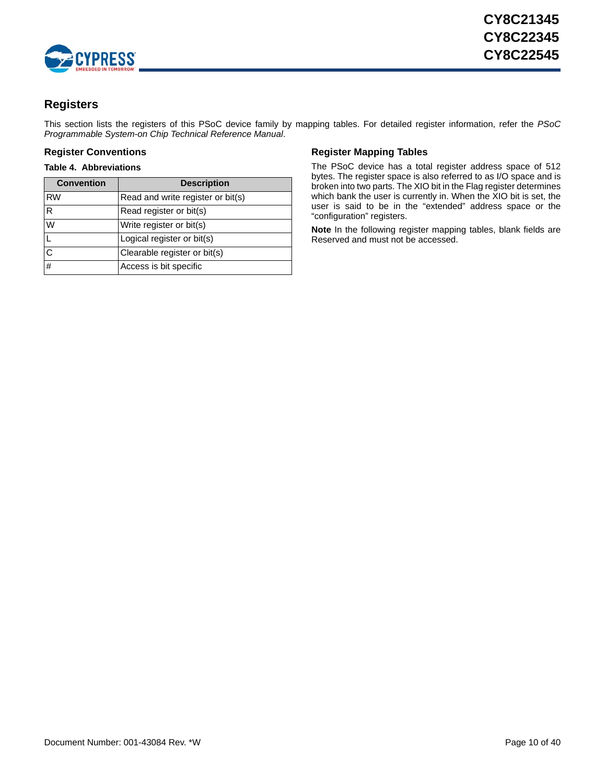

## <span id="page-9-0"></span>**Registers**

This section lists the registers of this PSoC device family by mapping tables. For detailed register information, refer the *PSoC Programmable System-on Chip Technical Reference Manual*.

### **Table 4. Abbreviations**

| <b>Convention</b> | <b>Description</b>                |
|-------------------|-----------------------------------|
| <b>RW</b>         | Read and write register or bit(s) |
| R                 | Read register or bit(s)           |
| W                 | Write register or bit(s)          |
|                   | Logical register or bit(s)        |
| C                 | Clearable register or bit(s)      |
| $\#$              | Access is bit specific            |

### <span id="page-9-1"></span>**Register Conventions Conventions Register Mapping Tables**

<span id="page-9-2"></span>The PSoC device has a total register address space of 512 bytes. The register space is also referred to as I/O space and is broken into two parts. The XIO bit in the Flag register determines which bank the user is currently in. When the XIO bit is set, the user is said to be in the "extended" address space or the "configuration" registers.

**Note** In the following register mapping tables, blank fields are Reserved and must not be accessed.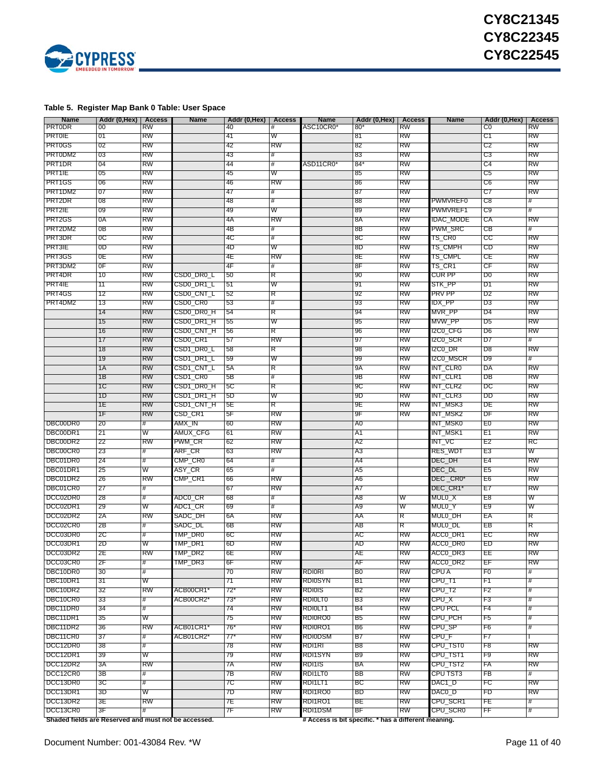

### <span id="page-10-0"></span>**Table 5. Register Map Bank 0 Table: User Space**

| <b>Name</b>                                          | Addr (0,Hex) | Access | <b>Name</b> | Addr (0,Hex) | <b>Access</b> | <b>Name</b>                                          | Addr (0,Hex)   | Access    | <b>Name</b>      | Addr (0,Hex)   | Access    |
|------------------------------------------------------|--------------|--------|-------------|--------------|---------------|------------------------------------------------------|----------------|-----------|------------------|----------------|-----------|
| <b>PRTODR</b>                                        | 00           | RW     |             | 40           | #             | ASC10CR0                                             | $80^{\circ}$   | RW        |                  | C0             | RW        |
| PRTOIE                                               | 01           | RW     |             | 41           | W             |                                                      | 81             | RW        |                  | C1             | RW        |
| <b>PRT0GS</b>                                        | 02           | RW     |             | 42           | RW            |                                                      | 82             | RW        |                  | C2             | RW        |
| PRT0DM2                                              | 03           | RW     |             | 43           | #             |                                                      | 83             | RW        |                  | C3             | RW        |
| PRT1DR                                               | 04           | RW     |             | 44           | #             | ASD11CR0                                             | $84^{\circ}$   | RW        |                  | C4             | RW        |
| PRT1IE                                               |              |        |             |              | W             |                                                      |                | RW        |                  |                |           |
|                                                      | 05           | RW     |             | 45           |               |                                                      | 85             |           |                  | C5             | RW        |
| PRT1GS                                               | 06           | RW     |             | 46           | RW            |                                                      | 86             | RW        |                  | C6             | RW        |
| PRT1DM2                                              | 07           | RW     |             | 47           | #             |                                                      | 87             | RW        |                  | C7             | RW        |
| PRT2DR                                               | 08           | RW     |             | 48           | #             |                                                      | 88             | RW        | PWMVREF0         | C8             | #         |
| PRT2IE                                               | 09           | RW     |             | 49           | W             |                                                      | 89             | RW        | PWMVREF1         | C9             |           |
| PRT2GS                                               | 0A           | RW     |             | 4A           | RW            |                                                      | 8A             | RW        | <b>IDAC MODE</b> | СA             | RW        |
| PRT2DM2                                              | 0B           | RW     |             | 4B           | #             |                                                      | -8Β            | RW        | PWM_SRC          | CВ             | #         |
| PRT3DR                                               | 0C           | RW     |             | 4C           | #             |                                                      | 8C             | RW        | TS_CR0           | CC             | RW        |
| PR13IE                                               | 0D           | RW     |             | 4D           | W             |                                                      | 8D             | RW        | TS_CMPH          | CD             | RW        |
| PRT3GS                                               | 0E           | RW     |             | 4Ε           | RW            |                                                      | 8Ε             | RW        | TS_CMPL          | CЕ             | RW        |
| PRT3DM2                                              | 0F           | RW     |             | 4F           | #             |                                                      | 8F             | RW        | TS_CR1           | CF             | RW        |
| PRT4DR                                               | 10           | RW     |             | 50           |               |                                                      |                | RW        | CUR PP           | D0             | RW        |
|                                                      |              |        | CSD0_DR0_L  |              | R             |                                                      | 90             |           |                  |                |           |
| PRT4IE                                               | 11           | RW     | CSD0_DR1_L  | 51           | W             |                                                      | 91             | RW        | STK_PP           | D1             | RW        |
| PRT4GS                                               | 12           | RW     | CSD0_CNT_L  | 52           | R             |                                                      | 92             | RW        | <b>PRV PP</b>    | D2             | RW        |
| PRT4DM2                                              | 13           | RW     | CSD0_CR0    | 53           | #             |                                                      | 93             | RW        | IDX_PP           | D3             | RW        |
|                                                      | 14           | RW     | CSD0_DR0_H  | 54           | R             |                                                      | 94             | RW        | MVR PP           | D4             | RW        |
|                                                      | 15           | RW     | CSD0 DR1 H  | 55           | W             |                                                      | 95             | RW        | MVW PP           | D5             | RW        |
|                                                      | 16           | RW     | CSD0_CNT_H  | 56           | R             |                                                      | 96             | RW        | I2C0_CFG         | D6             | RW        |
|                                                      | 17           | RW     | CSD0_CR1    | 57           | RW            |                                                      | 97             | RW        | 12C0_SCR         | D7             | #         |
|                                                      | 18           | RW     | CSD1_DR0_L  | 58           | R             |                                                      | 98             | RW        | 12C0_DR          | D8             | RW        |
|                                                      | 19           | RW     |             |              | W             |                                                      |                | RW        |                  | D9             | #         |
|                                                      |              |        | CSD1_DR1_L  | 59           |               |                                                      | 99             |           | I2C0_MSCR        |                |           |
|                                                      | 1A           | RW     | CSD1_CNT_L  | 5A           | R             |                                                      | 9A             | RW        | INT CLR0         | DA             | RW        |
|                                                      | 1B           | RW     | CSD1_CR0    | 5Β           | #             |                                                      | 9Β             | RW        | INT_CLR1         | DB             | RW        |
|                                                      | 1C           | RW     | CSD1_DR0_H  | 5C           | R             |                                                      | 9C             | RW        | INT_CLR2         | DC             | RW        |
|                                                      | 1D           | RW     | CSD1_DR1_H  | 5D           | W             |                                                      | 9D             | RW        | INT CLR3         | DD             | RW        |
|                                                      | 1E           | RW     | CSD1_CNT_H  | 5E           | R             |                                                      | 9Ε             | RW        | INT_MSK3         | DE             | RW        |
|                                                      | 1F           | RW     | CSD_CR1     | 5F           | RW            |                                                      | 9F             | RW        | INT_MSK2         | DF             | RW        |
| DBC00DR0                                             | 20           | #      | AMX_IN      | 60           | RW            |                                                      | A0             |           | INT MSK0         | E0             | RW        |
| DBC00DR1                                             | 21           | W      | AMUX_CFG    | 61           | RW            |                                                      | A1             |           | INT_MSK1         | E1             | RW        |
| DBC00DR2                                             | 22           | RW     | PWM_CR      | 62           | RW            |                                                      | A2             |           | INT_VC           | E2             | RC        |
| DBC00CR0                                             |              |        |             |              |               |                                                      |                |           |                  |                | w         |
|                                                      | 23           | #      | ARF_CR      | 63           | RW            |                                                      | A3             |           | RES_WDT          | E3             |           |
| DBC01DR0                                             | 24           | #      | CMP_CR0     | 64           | #             |                                                      | A4             |           | DEC_DH           | E4             | RW        |
| DBC01DR1                                             | 25           | W      | ASY_CR      | 65           | #             |                                                      | A5             |           | DEC_DL           | E5             | RW        |
| DBC01DR2                                             | 26           | RW     | CMP_CR1     | 66           | RW            |                                                      | A6             |           | DEC_CR0*         | E6             | RW        |
| DBC01CR0                                             | 27           | #      |             | 67           | RW            |                                                      | A7             |           | DEC_CR1*         | E7             | RW        |
| DCC02DR0                                             | 28           | #      | ADC0_CR     | 68           | #             |                                                      | A8             | W         | MUL0_X           | E8             | W         |
| DCC02DR1                                             | 29           | W      | ADC1_CR     | 69           | #             |                                                      | A9             | W         | MUL0_Y           | E9             | W         |
| DCC02DR2                                             | 2A           | RW     | SADC_DH     | 6A           | RW            |                                                      | AA             | R         | MUL0_DH          | EA             | R         |
| DCC02CR0                                             | 2Β           | #      | SADC_DL     | 6В           | RW            |                                                      | AВ             | R         | MUL0_DL          | EВ             | R         |
| DCC03DR0                                             | 2C           | #      | TMP_DR0     | 6C           | RW            |                                                      | АC             | RW        | ACCO_DR1         | EC             | RW        |
| DCC03DR1                                             | 2D           | W      | TMP_DR1     | 6D           | RW            |                                                      | AD             | RW        | ACCO_DR0         | ED             | RW        |
|                                                      |              |        |             |              | RW            |                                                      |                |           |                  |                |           |
| DCC03DR2                                             | 2E           | RW     | TMP_DR2     | 6E           |               |                                                      | AЕ             | RW        | ACC0_DR3         | EE             | RW        |
| DCC03CR0                                             | 2F           | #      | TMP_DR3     | 6F           | RW            |                                                      | AF             | <b>RW</b> | ACCO_DR2         | EF             | RW        |
| DBC10DR0                                             | 30           | #      |             | 70           | RW            | RDIORI                                               | B <sub>0</sub> | RW        | CPU A            | F <sub>0</sub> | #         |
| DBC10DR1                                             | 31           | W      |             | 71           | RW            | <b>RDI0SYN</b>                                       | B1             | RW        | CPU_T1           | F1             | #         |
| DBC10DR2                                             | 32           | RW     | ACB00CR1'   | $72*$        | RW            | <b>RDIOIS</b>                                        | B2             | RW        | CPU_T2           | F2             | #         |
| DBC10CR0                                             | 33           | #      | ACB00CR2*   | 73*          | RW            | <b>RDIOLTO</b>                                       | B3             | RW        | CPU_X            | F3             | #         |
| DBC11DR0                                             | 34           | #      |             | 74           | RW            | RDIOLT1                                              | B4             | RW        | CPU PCL          | F4             | #         |
| DBC11DR1                                             | 35           | W      |             | 75           | RW            | RDI0RO0                                              | B5             | RW        | CPU_PCH          | F5             | #         |
| DBC11DR2                                             | 36           | RW     | ACB01CR1'   | 76*          | RW            | RDI0RO1                                              | B6             | RW        | CPU_SP           | F6             | #         |
| DBC11CR0                                             | 37           | #      | ACB01CR2*   | 77*          | RW            | <b>RDIODSM</b>                                       | B7             | RW        | CPU_F            | F7             |           |
|                                                      |              |        |             |              |               |                                                      | B <sub>8</sub> | RW        |                  |                |           |
| DCC12DR0                                             | 38           | #      |             | 78           | RW            | RDI1RI                                               |                |           | CPU_TST0         | F8             | RW        |
| DCC12DR1                                             | 39           | W      |             | 79           | RW            | RDI1SYN                                              | B <sub>9</sub> | RW        | CPU_TST1         | F9             | <b>RW</b> |
| DCC12DR2                                             | 3A           | RW     |             | 7A           | RW            | RDI1IS                                               | BA             | RW        | CPU_TST2         | FA             | RW        |
| DCC12CR0                                             | 3B           | #      |             | 7В           | RW            | RDI1LT0                                              | ΒB             | RW        | CPU TST3         | FB             | #         |
| DCC13DR0                                             | 3C           | #      |             | 7C           | RW            | RDI1LT1                                              | ВC             | RW        | DAC1_D           | FC             | RW        |
| DCC13DR1                                             | 3D           | W      |             | 7D           | RW            | RDI1RO0                                              | BD             | RW        | $DACO_D$         | FD             | <b>RW</b> |
| DCC13DR2                                             | 3E           | RW     |             | 7E           | RW            | RDI1RO1                                              | BE             | RW        | CPU_SCR1         | FE             | #         |
| DCC13CR0                                             | 3F           | #      |             | 7F           | RW            | RDI1DSM                                              | BF             | RW        | CPU_SCR0         | FF             | #         |
| Shaded fields are Reserved and must not be accessed. |              |        |             |              |               | # Access is bit specific. * has a different meaning. |                |           |                  |                |           |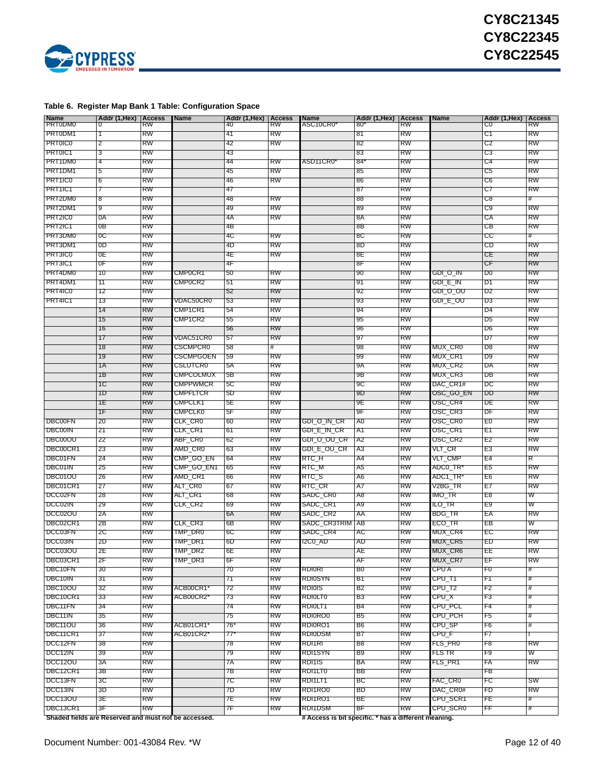

### <span id="page-11-0"></span>**Table 6. Register Map Bank 1 Table: Configuration Space**

| <b>Name</b>                                          | Addr (1, Hex)   Access |           | <b>Name</b>      | Addr (1, Hex) | <b>Access</b> | <b>Name</b>                                          | Addr (1, Hex)   Access |           | <b>Name</b> | Addr (1, Hex)   Access |            |
|------------------------------------------------------|------------------------|-----------|------------------|---------------|---------------|------------------------------------------------------|------------------------|-----------|-------------|------------------------|------------|
| PR10DM0                                              | $^{\circ}$             | RW        |                  | 40            | RW            | ASC10CR0                                             | 80                     | RW        |             | C0                     | <b>RW</b>  |
| PR10DM1                                              | Τ                      | RW        |                  | 41            | RW            |                                                      | 81                     | RW        |             | C1                     | <b>RW</b>  |
| PR10IC0                                              | 2                      | RW        |                  | 42            | RW            |                                                      | 82                     | RW        |             | C2                     | RW         |
| PR10IC1                                              | 3                      | RW        |                  | 43            |               |                                                      | 83                     | RW        |             | C3                     | RW         |
| PR11DM0                                              | 4                      | RW        |                  | 44            | RW            | ASD11CR0                                             | 84                     | RW        |             | C4                     | RW         |
| PR11DM1                                              | 5                      | RW        |                  | 45            | RW            |                                                      | 85                     | RW        |             | C5                     | RW         |
| PRT1IC0                                              |                        | RW        |                  | 46            |               |                                                      |                        | RW        |             | C6                     | RW         |
|                                                      | 6                      |           |                  |               | RW            |                                                      | 86                     |           |             |                        |            |
| PR11IC1                                              | 7                      | RW        |                  | 47            |               |                                                      | 87                     | RW        |             | C7                     | RW         |
| PR12DM0                                              | 8                      | RW        |                  | 48            | RW            |                                                      | 88                     | RW        |             | C8                     | #          |
| PR12DM1                                              | 9                      | RW        |                  | 49            | RW            |                                                      | 89                     | RW        |             | C9                     | <b>RW</b>  |
| PR12IC0                                              | 0A                     | RW        |                  | 4A            | RW            |                                                      | 8A                     | RW        |             | СA                     | RW         |
| PR12IC1                                              | 0Β                     | RW        |                  | 4В            |               |                                                      | 8Β                     | RW        |             | CВ                     | <b>RW</b>  |
| PR13DM0                                              | oc                     | RW        |                  | 4C            | RW            |                                                      | 8C                     | RW        |             | CC                     |            |
| PR13DM1                                              | 0D                     | RW        |                  | 4D            | RW            |                                                      | 8D                     | RW        |             | CD                     | RW         |
| PR13IC0                                              | OΕ                     | RW        |                  | 4E            | RW            |                                                      | 8Е                     | RW        |             | СE                     | <b>RW</b>  |
| PR13IC1                                              | 0 <sub>F</sub>         | RW        |                  | 4F            |               |                                                      | 8F                     | RW        |             | СF                     | <b>RW</b>  |
| PR14DM0                                              | 10                     | RW        | CMP0CR1          | 50            | RW            |                                                      | 90                     | RW        | GDI_O_IN    | D0                     | RW         |
| PR14DM1                                              | 11                     | RW        | CMP0CR2          | 51            | RW            |                                                      | 91                     | RW        | GDI_E_IN    | D1                     | RW         |
|                                                      |                        |           |                  |               |               |                                                      |                        |           |             |                        |            |
| PR14IC0                                              | 12                     | RW        |                  | 52            | <b>RW</b>     |                                                      | 92                     | RW        | GDI_O_OU    | D2                     | <b>RW</b>  |
| PR14IC1                                              | 13                     | RW        | VDAC50CR0        | 53            | RW            |                                                      | 93                     | RW        | GDI_E_OU    | D3                     | RW         |
|                                                      | 14                     | RW        | CMP1CR1          | 54            | RW            |                                                      | 94                     | RW        |             | D4                     | RW         |
|                                                      | 15                     | RW        | CMP1CR2          | 55            | RW            |                                                      | 95                     | RW        |             | D5                     | RW         |
|                                                      | 16                     | RW        |                  | 56            | RW            |                                                      | 96                     | RW        |             | D6                     | RW         |
|                                                      | 17                     | RW        | <b>VDAC51CR0</b> | 57            | RW            |                                                      | 97                     | RW        |             | D7                     | RW         |
|                                                      | 18                     | RW        | CSCMPCR0         | 58            | #             |                                                      | 98                     | RW        | MUX_CR0     | D8                     | RW         |
|                                                      | 19                     | <b>RW</b> | CSCMPGOEN        | 59            | RW            |                                                      | 99                     | RW        | MUX_CR1     | D9                     | <b>RW</b>  |
|                                                      | 1Α                     | RW        | CSLUTCR0         | 5A            | RW            |                                                      | 9A                     | RW        | MUX CR2     | DA                     | <b>RW</b>  |
|                                                      | 1В                     | RW        | CMPCOLMUX        | 5В            | RW            |                                                      | 9Β                     | RW        | MUX_CR3     | DВ                     | RW         |
|                                                      |                        |           |                  |               |               |                                                      |                        |           |             |                        |            |
|                                                      | 1C                     | RW        | CMPPWMCR         | 5C            | RW            |                                                      | 9C                     | RW        | DAC_CR1#    | DC                     | RW         |
|                                                      | 1D                     | RW        | CMPFLICR         | 5D            | RW            |                                                      | 9D                     | RW        | OSC_GO_EN   | DD                     | <b>RW</b>  |
|                                                      | 1Ε                     | RW        | CMPCLK1          | 5Е            | RW            |                                                      | 9Ε                     | RW        | OSC_CR4     | DЕ                     | RW         |
|                                                      | 1F                     | RW        | CMPCLK0          | 5Е            | RW            |                                                      | 9F                     | RW        | OSC_CR3     | DΕ                     | RW         |
| DBC00FN                                              | 20                     | RW        | CLK_CR0          | 60            | RW            | GDI_O_IN_CR                                          | A0                     | RW        | OSC_CR0     | ΈO                     | RW         |
| <b>DBC00IN</b>                                       | 21                     | RW        | CLK_CR1          | 61            | RW            | GDI_E_IN_CR                                          | A1                     | RW        | OSC_CR1     | E1                     | <b>RW</b>  |
| DBC00OU                                              | 22                     | RW        | ABF_CR0          | 62            | RW            | GDI_O_OU_CR                                          | A2                     | RW        | OSC_CR2     | E2                     | <b>RW</b>  |
| DBC00CR1                                             | 23                     | RW        | AMD_CR0          | 63            | RW            | GDI_E_OU_CR                                          | A3                     | RW        | VLI_CR      | E3                     | RW         |
| DBC01FN                                              | 24                     | RW        | CMP_GO_EN        | 64            | RW            | RIC                                                  | A4                     | RW        | VLI_CMP     | E4                     | R          |
| DBC01IN                                              | 25                     | RW        | CMP_GO_EN1       | 65            | RW            | RIC_M                                                | A5                     | RW        | ADC0_TR'    | E5                     | RW         |
| DBC01OU                                              | 26                     | RW        | AMD_CR1          | 66            | RW            | RIC_S                                                | A6                     | RW        | ADC1_TR'    | E6                     | RW         |
|                                                      |                        |           |                  |               |               |                                                      |                        |           |             |                        |            |
| DBC01CR1                                             | 27                     | RW        | ALT_CR0          | 67            | RW            | RIC_CR                                               | A7                     | RW        | V2BG_TR     | E7                     | RW         |
| DCC02FN                                              | 28                     | RW        | ALT_CR1          | 68            | RW            | SADC_CR0                                             | A8                     | RW        | IMO_TR      | E8                     | W          |
| DCC02IN                                              | 29                     | RW        | CLK_CR2          | 69            | RW            | SADC_CR1                                             | A9                     | RW        | ILO_TR      | E9                     | w          |
| DCC02OU                                              | 2A                     | RW        |                  | 6A            | RW            | SADC_CR2                                             | AA                     | RW        | BDG_IR      | ΈA                     | <b>RW</b>  |
| DBC02CR1                                             | 2В                     | RW        | CLK_CR3          | 6В            | RW            | SADC_CR3TRIM                                         | AВ                     | RW        | ECO_IR      | EВ                     | w          |
| DCC03FN                                              | 2C                     | RW        | IMP DR0          | 6C            | RW            | SADC_CR4                                             | АC                     | RW        | MUX_CR4     | EС                     | RW         |
| DCC03IN                                              | 2D                     | RW        | TMP_DR1          | 6D            | RW            | I2C0_AD                                              | AD                     | RW        | MUX_CR5     | ED                     | RW         |
| DCC03OU                                              | 2Е                     | RW        | IMP_DR2          | 6E            | RW            |                                                      | AЕ                     | RW        | MUX_CR6     | ᄩ                      | RW         |
| DBC03CR1                                             | 2⊧                     | <b>RW</b> | TMP_DR3          | бF            | <b>RW</b>     |                                                      | A⊦                     | <b>RW</b> | MUX_CR/     | ᆎ                      | <b>RVV</b> |
| DBC10FN                                              | 30                     | RW        |                  | 70            | RW            | RDIORI                                               | B0                     | RW        | CPU A       | F0                     | #          |
| DBC10IN                                              | 31                     | RW        |                  | 71            | RW            | <b>RDI0SYN</b>                                       | B1                     | RW        | CPU_T1      | F١                     | #          |
|                                                      |                        |           |                  |               |               |                                                      |                        |           |             |                        |            |
| DBC10OU                                              | 32                     | RW        | ACB00CR1*        | 72            | RW            | <b>RDI0IS</b>                                        | B2                     | RW        | CPU_12      | F2                     | #          |
| DBC10CR1                                             | 33                     | RW        | ACB00CR2*        | 73            | RW            | RDI0LT0                                              | В3                     | RW        | CPU_X       | F3                     | #          |
| DBC11FN                                              | 34                     | RW        |                  | 74            | RW            | RDIOLT1                                              | B4                     | RW        | CPU_PCL     | F4                     | #          |
| DBC11IN                                              | 35                     | RW        |                  | 75            | RW            | RDI0RO0                                              | В5                     | RW        | CPU_PCH     | F5                     | #          |
| DBC11OU                                              | 36                     | RW        | ACB01CR1         | $76^{\circ}$  | RW            | RDI0RO1                                              | B6                     | RW        | CPU_SP      | F6                     | #          |
| DBC11CR1                                             | 37                     | RW        | ACB01CR2*        | 77*           | RW            | <b>RDI0DSM</b>                                       | В7                     | RW        | CPU_F       | F7                     |            |
| DCC12FN                                              | 38                     | RW        |                  | 78            | RW            | RDI1RI                                               | B8                     | RW        | FLS_PR0     | F8                     | <b>RW</b>  |
| DCC12IN                                              | 39                     | RW        |                  | 79            | RW            | RDI1SYN                                              | B9                     | RW        | FLS TR      | F9                     | W          |
| DCC12OU                                              | 3A                     | RW        |                  | 7A            | RW            | RDI1IS                                               | BA                     | RW        | FLS_PR1     | ΤA                     | <b>RW</b>  |
| DBC12CR1                                             | 3В                     | RW        |                  | 7В            | RW            | RDI1LI0                                              | BB                     | RW        |             | FВ                     |            |
|                                                      |                        |           |                  |               |               |                                                      |                        |           |             |                        |            |
| DCC13FN                                              | 3C                     | RW        |                  | 7C            | RW            | RDI1LI 1                                             | BС                     | RW        | FAC_CR0     | FC                     | <b>SW</b>  |
| DCC13IN                                              | 3D                     | RW        |                  | 7D            | RW            | RDI1RO0                                              | BD                     | RW        | DAC_CR0#    | FD                     | RW         |
| DCC13OU                                              | 3E                     | RW        |                  | 7E            | RW            | RDI1RO1                                              | BF                     | RW        | CPU_SCR1    | FE                     | #          |
| DBC13CR1                                             | 3F                     | RW        |                  | 7F            | RW            | RDI1DSM                                              | BF                     | RW        | CPU_SCR0    | ŦF                     | #          |
| Shaded fields are Reserved and must not be accessed. |                        |           |                  |               |               | # Access is bit specific. * has a different meaning. |                        |           |             |                        |            |

Document Number: 001-43084 Rev. \*W <br>
Page 12 of 40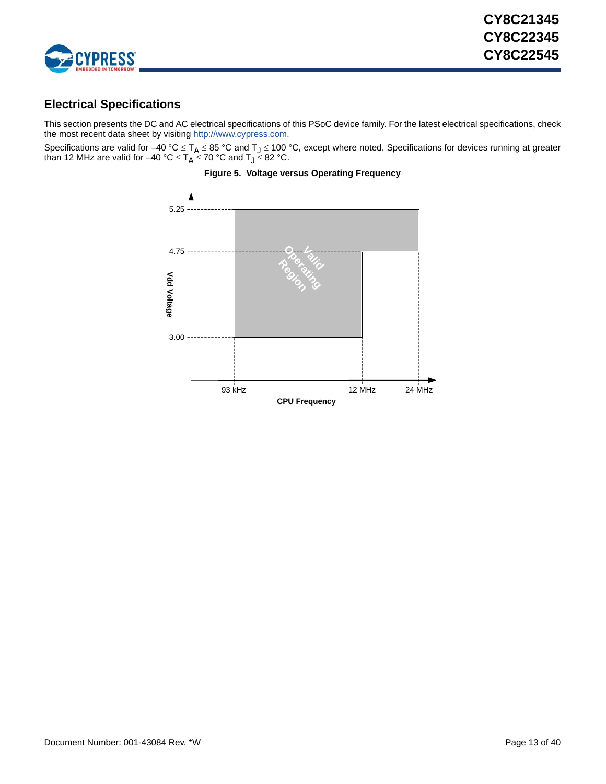

## <span id="page-12-0"></span>**Electrical Specifications**

This section presents the DC and AC electrical specifications of this PSoC device family. For the latest electrical specifications, check the most recent data sheet by visiting [http://www.cypress.com.](http://www.cypress.com)

<span id="page-12-1"></span>Specifications are valid for  $-40\degree C \leq T_A \leq 85\degree C$  and  $T_J \leq 100\degree C$ , except where noted. Specifications for devices running at greater than 12 MHz are valid for –40 °C  $\le$  T<sub>A</sub>  $\le$  70 °C and T $_{\text{J}}$   $\le$  82 °C.



### **Figure 5. Voltage versus Operating Frequency**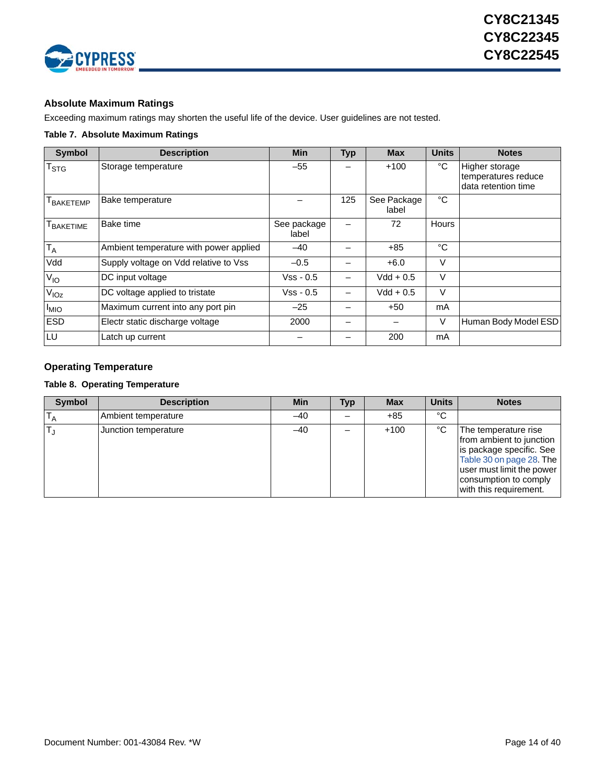

### <span id="page-13-0"></span>**Absolute Maximum Ratings**

Exceeding maximum ratings may shorten the useful life of the device. User guidelines are not tested.

### <span id="page-13-2"></span>**Table 7. Absolute Maximum Ratings**

| <b>Symbol</b>         | <b>Description</b>                     | <b>Min</b>           | <b>Typ</b> | <b>Max</b>           | <b>Units</b> | <b>Notes</b>                                                 |
|-----------------------|----------------------------------------|----------------------|------------|----------------------|--------------|--------------------------------------------------------------|
| T <sub>STG</sub>      | Storage temperature                    | $-55$                |            | $+100$               | °C           | Higher storage<br>temperatures reduce<br>data retention time |
| T <sub>BAKETEMP</sub> | Bake temperature                       |                      | 125        | See Package<br>label | °C           |                                                              |
| T <sub>BAKETIME</sub> | Bake time                              | See package<br>label |            | 72                   | Hours        |                                                              |
| $T_A$                 | Ambient temperature with power applied | $-40$                |            | $+85$                | °C           |                                                              |
| Vdd                   | Supply voltage on Vdd relative to Vss  | $-0.5$               |            | $+6.0$               | $\vee$       |                                                              |
| $V_{IO}$              | DC input voltage                       | Vss - 0.5            |            | Vdd + 0.5            | $\vee$       |                                                              |
| V <sub>IOZ</sub>      | DC voltage applied to tristate         | $Vss - 0.5$          |            | $Vdd + 0.5$          | $\vee$       |                                                              |
| <sup>I</sup> MIO      | Maximum current into any port pin      | $-25$                |            | +50                  | mA           |                                                              |
| <b>ESD</b>            | Electr static discharge voltage        | 2000                 |            |                      | V            | Human Body Model ESD                                         |
| LU                    | Latch up current                       |                      |            | 200                  | mA           |                                                              |

### <span id="page-13-1"></span>**Operating Temperature**

### **Table 8. Operating Temperature**

| <b>Symbol</b> | <b>Description</b>   | <b>Min</b> | Typ | <b>Max</b> | <b>Units</b> | <b>Notes</b>                                                                                                                                                                             |
|---------------|----------------------|------------|-----|------------|--------------|------------------------------------------------------------------------------------------------------------------------------------------------------------------------------------------|
|               | Ambient temperature  | $-40$      |     | $+85$      | °C           |                                                                                                                                                                                          |
|               | Junction temperature | $-40$      |     | $+100$     | °C           | The temperature rise<br>from ambient to junction<br>is package specific. See<br>Table 30 on page 28. The<br>user must limit the power<br>consumption to comply<br>with this requirement. |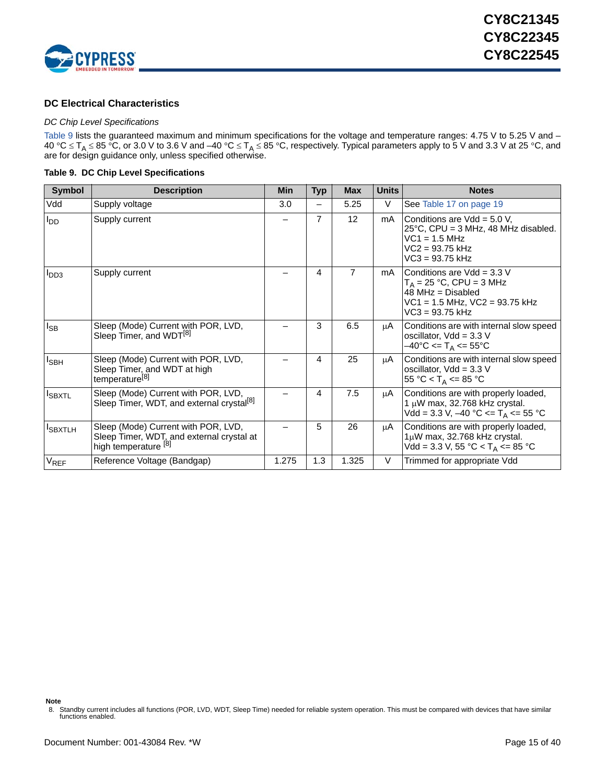

### <span id="page-14-0"></span>**DC Electrical Characteristics**

### *DC Chip Level Specifications*

[Table 9](#page-14-1) lists the guaranteed maximum and minimum specifications for the voltage and temperature ranges: 4.75 V to 5.25 V and – 40 °C  $\leq$  T<sub>A</sub>  $\leq$  85 °C, or 3.0 V to 3.6 V and –40 °C  $\leq$  T<sub>A</sub>  $\leq$  85 °C, respectively. Typical parameters apply to 5 V and 3.3 V at 25 °C, and are for design guidance only, unless specified otherwise.

### <span id="page-14-1"></span>**Table 9. DC Chip Level Specifications**

| <b>Symbol</b>    | <b>Description</b>                                                                                       | Min   | <b>Typ</b>     | <b>Max</b>     | <b>Units</b> | <b>Notes</b>                                                                                                                                   |
|------------------|----------------------------------------------------------------------------------------------------------|-------|----------------|----------------|--------------|------------------------------------------------------------------------------------------------------------------------------------------------|
| Vdd              | Supply voltage                                                                                           | 3.0   |                | 5.25           | V            | See Table 17 on page 19                                                                                                                        |
| $I_{DD}$         | Supply current                                                                                           |       | $\overline{7}$ | 12             | mA           | Conditions are $Vdd = 5.0 V$ ,<br>$25^{\circ}$ C, CPU = 3 MHz, 48 MHz disabled.<br>$VC1 = 1.5 MHz$<br>$VC2 = 93.75$ kHz<br>$VC3 = 93.75$ kHz   |
| I <sub>DD3</sub> | Supply current                                                                                           |       | 4              | $\overline{7}$ | mA           | Conditions are $Vdd = 3.3 V$<br>$T_A = 25 °C$ , CPU = 3 MHz<br>$48$ MHz = Disabled<br>$VC1 = 1.5 MHz$ , $VC2 = 93.75 kHz$<br>$VC3 = 93.75$ kHz |
| $I_{SB}$         | Sleep (Mode) Current with POR, LVD,<br>Sleep Timer, and WDT <sup>[8]</sup>                               |       | 3              | 6.5            | μA           | Conditions are with internal slow speed<br>oscillator, $Vdd = 3.3 V$<br>$-40^{\circ}$ C <= T <sub>A</sub> <= 55°C                              |
| <sup>I</sup> SBH | Sleep (Mode) Current with POR, LVD,<br>Sleep Timer, and WDT at high<br>temperature <sup>[8]</sup>        |       | 4              | 25             | μA           | Conditions are with internal slow speed<br>oscillator, $Vdd = 3.3 V$<br>55 °C < T <sub>A</sub> <= 85 °C                                        |
| <b>I</b> SBXTL   | Sleep (Mode) Current with POR, LVD,<br>Sleep Timer, WDT, and external crystal <sup>[8]</sup>             |       | 4              | 7.5            | μA           | Conditions are with properly loaded,<br>1 $\mu$ W max, 32.768 kHz crystal.<br>Vdd = 3.3 V, −40 °C <= T <sub>A</sub> <= 55 °C                   |
| <b>I</b> SBXTLH  | Sleep (Mode) Current with POR, LVD,<br>Sleep Timer, WDT, and external crystal at<br>high temperature [8] |       | 5              | 26             | μA           | Conditions are with properly loaded,<br>$1\mu$ W max, 32.768 kHz crystal.<br>Vdd = 3.3 V, 55 °C < $T_A$ <= 85 °C                               |
| $V_{REF}$        | Reference Voltage (Bandgap)                                                                              | 1.275 | 1.3            | 1.325          | V            | Trimmed for appropriate Vdd                                                                                                                    |

**Note**

<span id="page-14-2"></span><sup>8.</sup> Standby current includes all functions (POR, LVD, WDT, Sleep Time) needed for reliable system operation. This must be compared with devices that have similar functions enabled.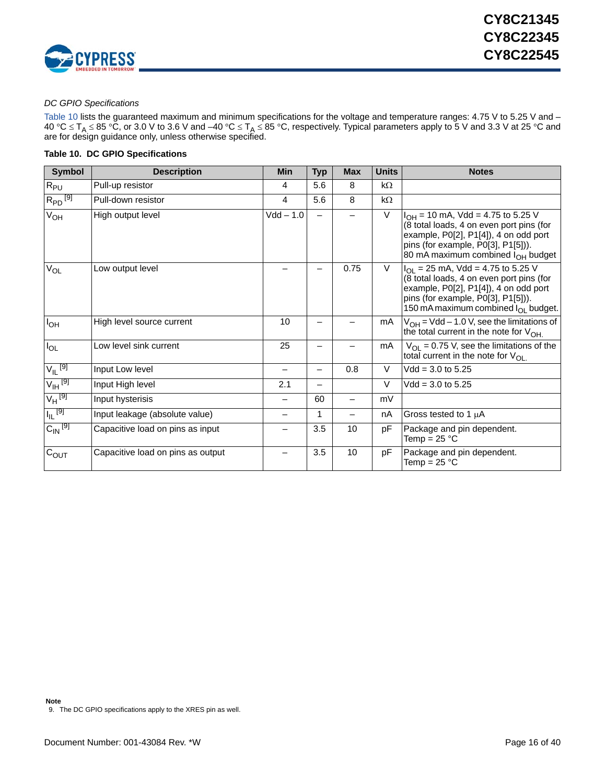

### <span id="page-15-2"></span>*DC GPIO Specifications*

[Table 10](#page-15-0) lists the guaranteed maximum and minimum specifications for the voltage and temperature ranges: 4.75 V to 5.25 V and – 40 °C  $\leq$  T<sub>A</sub>  $\leq$  85 °C, or 3.0 V to 3.6 V and –40 °C  $\leq$  T<sub>A</sub>  $\leq$  85 °C, respectively. Typical parameters apply to 5 V and 3.3 V at 25 °C and are for design guidance only, unless otherwise specified.

### <span id="page-15-0"></span>**Table 10. DC GPIO Specifications**

| <b>Symbol</b>                  | <b>Description</b>                | <b>Min</b>  | <b>Typ</b> | <b>Max</b> | <b>Units</b> | <b>Notes</b>                                                                                                                                                                                                                |
|--------------------------------|-----------------------------------|-------------|------------|------------|--------------|-----------------------------------------------------------------------------------------------------------------------------------------------------------------------------------------------------------------------------|
| $R_{PU}$                       | Pull-up resistor                  | 4           | 5.6        | 8          | $k\Omega$    |                                                                                                                                                                                                                             |
| $R_{PD}$ <sup>[9]</sup>        | Pull-down resistor                | 4           | 5.6        | 8          | $k\Omega$    |                                                                                                                                                                                                                             |
| $V_{OH}$                       | High output level                 | $Vdd - 1.0$ | —          |            | $\vee$       | $I_{OH}$ = 10 mA, Vdd = 4.75 to 5.25 V<br>(8 total loads, 4 on even port pins (for<br>example, P0[2], P1[4]), 4 on odd port<br>pins (for example, $P0[3]$ , $P1[5]$ )).<br>80 mA maximum combined I <sub>OH</sub> budget    |
| $V_{OL}$                       | Low output level                  |             |            | 0.75       | V            | $I_{\text{OI}}$ = 25 mA, Vdd = 4.75 to 5.25 V<br>(8 total loads, 4 on even port pins (for<br>example, P0[2], P1[4]), 4 on odd port<br>pins (for example, P0[3], P1[5])).<br>150 mA maximum combined I <sub>OI</sub> budget. |
| $I_{OH}$                       | High level source current         | 10          |            |            | mA           | $V_{OH}$ = Vdd – 1.0 V, see the limitations of<br>the total current in the note for $V_{OH}$                                                                                                                                |
| $I_{OL}$                       | Low level sink current            | 25          |            |            | mA           | $V_{OL}$ = 0.75 V, see the limitations of the<br>total current in the note for $V_{\Omega}$                                                                                                                                 |
| $V_{\parallel}$ [9]            | Input Low level                   |             | —          | 0.8        | V            | $Vdd = 3.0$ to 5.25                                                                                                                                                                                                         |
| $V_{\text{IH}}$ <sup>[9]</sup> | Input High level                  | 2.1         |            |            | $\vee$       | $Vdd = 3.0$ to 5.25                                                                                                                                                                                                         |
| $V_H$ <sup>[9]</sup>           | Input hysterisis                  |             | 60         |            | mV           |                                                                                                                                                                                                                             |
| $I_{\vert L}$ [9]              | Input leakage (absolute value)    |             |            |            | nA           | Gross tested to 1 µA                                                                                                                                                                                                        |
| $C_{\text{IN}}$ <sup>[9]</sup> | Capacitive load on pins as input  |             | 3.5        | 10         | pF           | Package and pin dependent.<br>Temp = 25 $^{\circ}$ C                                                                                                                                                                        |
| $C_{OUT}$                      | Capacitive load on pins as output |             | 3.5        | 10         | pF           | Package and pin dependent.<br>Temp = $25 °C$                                                                                                                                                                                |

<span id="page-15-1"></span><sup>9.</sup> The DC GPIO specifications apply to the XRES pin as well.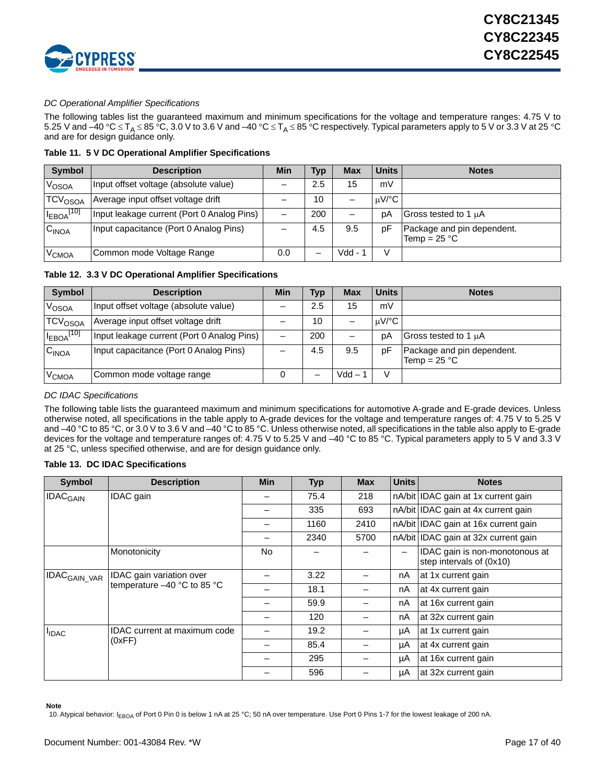

### *DC Operational Amplifier Specifications*

The following tables list the guaranteed maximum and minimum specifications for the voltage and temperature ranges: 4.75 V to 5.25 V and –40 °C  $\leq T_A \leq 85$  °C, 3.0 V to 3.6 V and –40 °C  $\leq T_A \leq 85$  °C respectively. Typical parameters apply to 5 V or 3.3 V at 25 °C and are for design guidance only.

**Table 11. 5 V DC Operational Amplifier Specifications**

| <b>Symbol</b>       | <b>Description</b>                         | Min | <b>Typ</b> | <b>Max</b> | Units | <b>Notes</b>                                 |
|---------------------|--------------------------------------------|-----|------------|------------|-------|----------------------------------------------|
| V <sub>OSOA</sub>   | Input offset voltage (absolute value)      |     | 2.5        | 15         | mV    |                                              |
| TCV <sub>OSOA</sub> | Average input offset voltage drift         |     | 10         |            | uV/°C |                                              |
| $I_{EBOA}$ [10]     | Input leakage current (Port 0 Analog Pins) |     | 200        |            | pΑ    | Gross tested to 1 µA                         |
| C <sub>INOA</sub>   | Input capacitance (Port 0 Analog Pins)     |     | 4.5        | 9.5        | рF    | Package and pin dependent.<br>Temp = $25 °C$ |
| V <sub>CMOA</sub>   | Common mode Voltage Range                  | 0.0 |            | Vdd -      |       |                                              |

### **Table 12. 3.3 V DC Operational Amplifier Specifications**

| <b>Symbol</b>              | <b>Description</b>                         | Min | <b>Typ</b> | <b>Max</b> | <b>Units</b> | <b>Notes</b>                                 |
|----------------------------|--------------------------------------------|-----|------------|------------|--------------|----------------------------------------------|
| VOSOA                      | Input offset voltage (absolute value)      |     | 2.5        | 15         | mV           |                                              |
| <b>TCV<sub>OSOA</sub></b>  | Average input offset voltage drift         |     | 10         |            | uV/°C        |                                              |
| $I_{EBOA}$ <sup>[10]</sup> | Input leakage current (Port 0 Analog Pins) |     | 200        |            | рA           | Gross tested to 1 µA                         |
| C <sub>INOA</sub>          | Input capacitance (Port 0 Analog Pins)     |     | 4.5        | 9.5        | рF           | Package and pin dependent.<br>Temp = $25 °C$ |
| <b>V<sub>CMOA</sub></b>    | Common mode voltage range                  | O   |            | $Vdd -$    | V            |                                              |

### <span id="page-16-1"></span>*DC IDAC Specifications*

The following table lists the guaranteed maximum and minimum specifications for automotive A-grade and E-grade devices. Unless otherwise noted, all specifications in the table apply to A-grade devices for the voltage and temperature ranges of: 4.75 V to 5.25 V and –40 °C to 85 °C, or 3.0 V to 3.6 V and –40 °C to 85 °C. Unless otherwise noted, all specifications in the table also apply to E-grade devices for the voltage and temperature ranges of: 4.75 V to 5.25 V and –40 °C to 85 °C. Typical parameters apply to 5 V and 3.3 V at 25 °C, unless specified otherwise, and are for design guidance only.

### **Table 13. DC IDAC Specifications**

| <b>Symbol</b>              | <b>Description</b>                                      | <b>Min</b> | <b>Typ</b> | <b>Max</b> | <b>Units</b> | <b>Notes</b>                                               |
|----------------------------|---------------------------------------------------------|------------|------------|------------|--------------|------------------------------------------------------------|
| <b>IDAC<sub>GAIN</sub></b> | IDAC gain                                               |            | 75.4       | 218        |              | nA/bit IDAC gain at 1x current gain                        |
|                            |                                                         |            | 335        | 693        |              | nA/bit IDAC gain at 4x current gain                        |
|                            |                                                         |            | 1160       | 2410       |              | nA/bit IDAC gain at 16x current gain                       |
|                            |                                                         |            | 2340       | 5700       |              | nA/bit IDAC gain at 32x current gain                       |
|                            | Monotonicity                                            | No.        |            |            |              | IDAC gain is non-monotonous at<br>step intervals of (0x10) |
| IDAC <sub>GAIN_VAR</sub>   | IDAC gain variation over<br>temperature -40 °C to 85 °C |            | 3.22       |            | nA           | at 1x current gain                                         |
|                            |                                                         |            | 18.1       |            | nA           | at 4x current gain                                         |
|                            |                                                         |            | 59.9       |            | nA           | at 16x current gain                                        |
|                            |                                                         |            | 120        |            | nA           | at 32x current gain                                        |
| <b>IDAC</b>                | IDAC current at maximum code                            |            | 19.2       |            | μA           | at 1x current gain                                         |
|                            | (0xFF)                                                  |            | 85.4       |            | μA           | at 4x current gain                                         |
|                            |                                                         |            | 295        |            | μA           | at 16x current gain                                        |
|                            |                                                         |            | 596        |            | μA           | at 32x current gain                                        |

**Note**

<span id="page-16-0"></span>10. Atypical behavior: I<sub>EBOA</sub> of Port 0 Pin 0 is below 1 nA at 25 °C; 50 nA over temperature. Use Port 0 Pins 1-7 for the lowest leakage of 200 nA.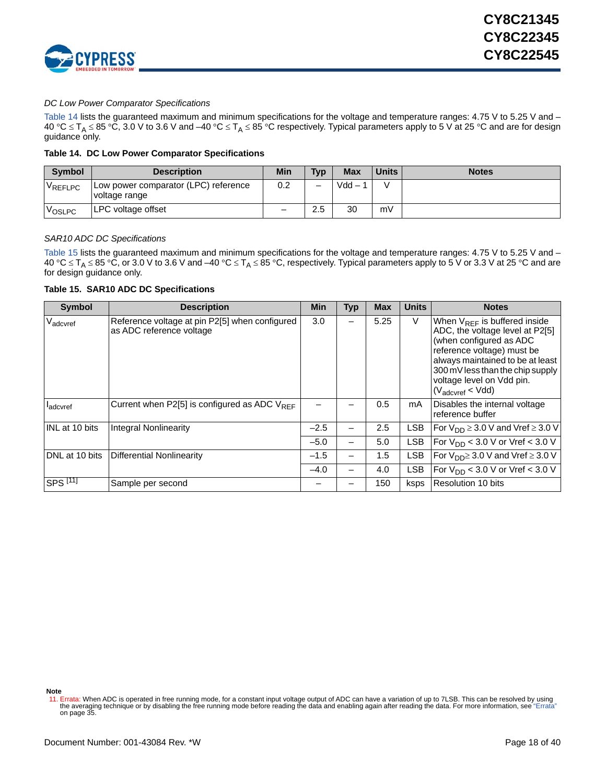

### *DC Low Power Comparator Specifications*

[Table 14](#page-17-0) lists the guaranteed maximum and minimum specifications for the voltage and temperature ranges: 4.75 V to 5.25 V and –  $40^{\circ}$ C  $\leq$  T<sub>A</sub>  $\leq$  85 °C, 3.0 V to 3.6 V and –40 °C  $\leq$  T<sub>A</sub>  $\leq$  85 °C respectively. Typical parameters apply to 5 V at 25 °C and are for design guidance only.

### <span id="page-17-0"></span>**Table 14. DC Low Power Comparator Specifications**

| <b>Symbol</b> | <b>Description</b>                                      | Min | <b>Typ</b> | <b>Max</b> | <b>Units</b> | <b>Notes</b> |
|---------------|---------------------------------------------------------|-----|------------|------------|--------------|--------------|
| VREFLPC       | I Low power comparator (LPC) reference<br>voltage range | 0.2 | -          | $Vdd -$    |              |              |
| VOSLPC        | LPC voltage offset                                      |     | 2.5        | 30         | mV           |              |

### <span id="page-17-3"></span>*SAR10 ADC DC Specifications*

[Table 15](#page-17-1) lists the guaranteed maximum and minimum specifications for the voltage and temperature ranges: 4.75 V to 5.25 V and – 40 °C  $\leq$  T<sub>A</sub>  $\leq$  85 °C, or 3.0 V to 3.6 V and –40 °C  $\leq$  T<sub>A</sub>  $\leq$  85 °C, respectively. Typical parameters apply to 5 V or 3.3 V at 25 °C and are for design guidance only.

### <span id="page-17-1"></span>**Table 15. SAR10 ADC DC Specifications**

| <b>Symbol</b>         | <b>Description</b>                                                         | Min    | Typ | <b>Max</b> | <b>Units</b> | <b>Notes</b>                                                                                                                                                                                                                                                       |
|-----------------------|----------------------------------------------------------------------------|--------|-----|------------|--------------|--------------------------------------------------------------------------------------------------------------------------------------------------------------------------------------------------------------------------------------------------------------------|
| V <sub>adcvref</sub>  | Reference voltage at pin P2[5] when configured<br>as ADC reference voltage | 3.0    |     | 5.25       | V            | When $V_{RFF}$ is buffered inside<br>ADC, the voltage level at P2[5]<br>(when configured as ADC<br>reference voltage) must be<br>always maintained to be at least<br>300 mV less than the chip supply<br>voltage level on Vdd pin.<br>$(V_{\text{adcvref}} < Vdd)$ |
| <b>l</b> adcvref      | Current when P2[5] is configured as ADC $V_{RFF}$                          |        |     | 0.5        | mA           | Disables the internal voltage<br>reference buffer                                                                                                                                                                                                                  |
| <b>INL</b> at 10 bits | <b>Integral Nonlinearity</b>                                               | $-2.5$ |     | 2.5        | LSB          | For $V_{DD} \geq 3.0$ V and Vref $\geq 3.0$ V                                                                                                                                                                                                                      |
|                       |                                                                            | $-5.0$ | -   | 5.0        | <b>LSB</b>   | For $V_{DD}$ < 3.0 V or Vref < 3.0 V                                                                                                                                                                                                                               |
| DNL at 10 bits        | Differential Nonlinearity                                                  | $-1.5$ | -   | 1.5        | <b>LSB</b>   | For $V_{DD} \geq 3.0$ V and Vref $\geq 3.0$ V                                                                                                                                                                                                                      |
|                       |                                                                            | $-4.0$ |     | 4.0        | <b>LSB</b>   | $ For VDD < 3.0 V or Vref < 3.0 V$                                                                                                                                                                                                                                 |
| ISPS <sup>[11]</sup>  | Sample per second                                                          |        |     | 150        | ksps         | Resolution 10 bits                                                                                                                                                                                                                                                 |

**Note**

<span id="page-17-2"></span><sup>11.</sup> Errata: When ADC is operated in free running mode, for a constant input voltage output of ADC can have a variation of up to 7LSB. This can be resolved by using<br>"the averaging technique or by disabling the free running [on page 35.](#page-34-0)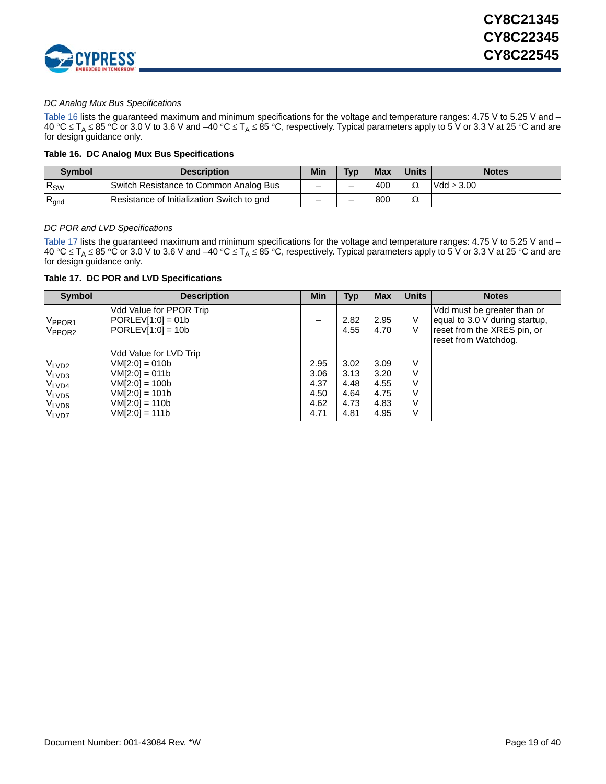

### *DC Analog Mux Bus Specifications*

[Table 16](#page-18-1) lists the guaranteed maximum and minimum specifications for the voltage and temperature ranges: 4.75 V to 5.25 V and – 40 °C  $\leq$  T<sub>A</sub>  $\leq$  85 °C or 3.0 V to 3.6 V and –40 °C  $\leq$  T<sub>A</sub>  $\leq$  85 °C, respectively. Typical parameters apply to 5 V or 3.3 V at 25 °C and are for design guidance only.

### <span id="page-18-1"></span>**Table 16. DC Analog Mux Bus Specifications**

| Svmbol           | <b>Description</b>                         | Min | Typ | <b>Max</b> | <b>Units</b> | <b>Notes</b>    |
|------------------|--------------------------------------------|-----|-----|------------|--------------|-----------------|
| $R_{SW}$         | Switch Resistance to Common Analog Bus     | _   | -   | 400        | Ω            | $Vdd \geq 3.00$ |
| $R_{\text{gnd}}$ | Resistance of Initialization Switch to gnd | _   | -   | 800        | 77           |                 |

### *DC POR and LVD Specifications*

[Table 17](#page-18-0) lists the guaranteed maximum and minimum specifications for the voltage and temperature ranges: 4.75 V to 5.25 V and – 40 °C  $\leq$  T<sub>A</sub>  $\leq$  85 °C or 3.0 V to 3.6 V and –40 °C  $\leq$  T<sub>A</sub>  $\leq$  85 °C, respectively. Typical parameters apply to 5 V or 3.3 V at 25 °C and are for design guidance only.

<span id="page-18-0"></span>**Table 17. DC POR and LVD Specifications**

| <b>Symbol</b>                                                                                                              | <b>Description</b>                                                                                                                             | Min                                          | Typ                                          | <b>Max</b>                                   | <b>Units</b>               | <b>Notes</b>                                                                                                         |
|----------------------------------------------------------------------------------------------------------------------------|------------------------------------------------------------------------------------------------------------------------------------------------|----------------------------------------------|----------------------------------------------|----------------------------------------------|----------------------------|----------------------------------------------------------------------------------------------------------------------|
| V <sub>PPOR1</sub><br>V <sub>PPOR2</sub>                                                                                   | Vdd Value for PPOR Trip<br>$ PORLEV[1:0] = 01b$<br>$\text{PORLEV[1:0]} = 10b$                                                                  |                                              | 2.82<br>4.55                                 | 2.95<br>4.70                                 | V<br>V                     | Vdd must be greater than or<br>equal to 3.0 V during startup,<br>reset from the XRES pin, or<br>reset from Watchdog. |
| VLVD <sub>2</sub><br>V <sub>LVD3</sub><br>V <sub>LVD4</sub><br>V <sub>LVD5</sub><br>V <sub>LVD6</sub><br>V <sub>LVD7</sub> | Vdd Value for LVD Trip<br>$VM[2:0] = 010b$<br>$VM[2:0] = 011b$<br>$VM[2:0] = 100b$<br>$VM[2:0] = 101b$<br>$VM[2:0] = 110b$<br>$VM[2:0] = 111b$ | 2.95<br>3.06<br>4.37<br>4.50<br>4.62<br>4.71 | 3.02<br>3.13<br>4.48<br>4.64<br>4.73<br>4.81 | 3.09<br>3.20<br>4.55<br>4.75<br>4.83<br>4.95 | V<br>V<br>v<br>v<br>V<br>V |                                                                                                                      |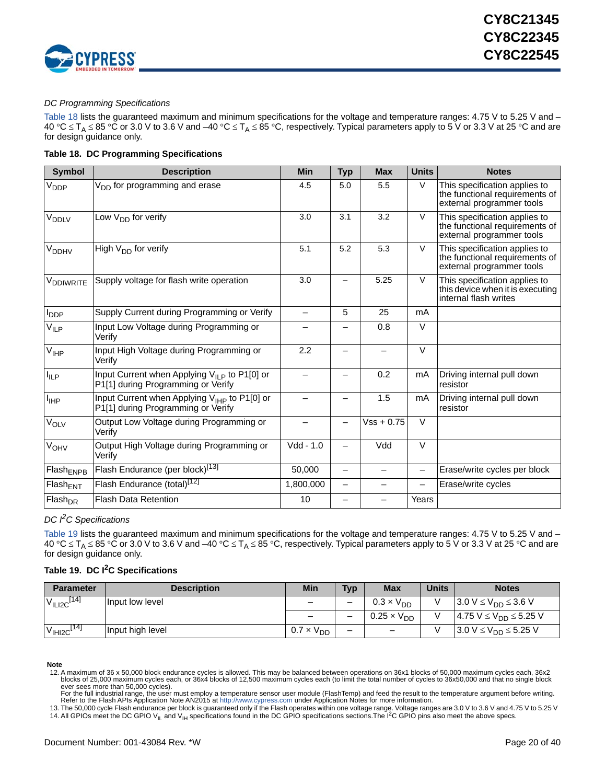

### *DC Programming Specifications*

[Table 18](#page-19-0) lists the guaranteed maximum and minimum specifications for the voltage and temperature ranges: 4.75 V to 5.25 V and – 40 °C  $\leq$  T<sub>A</sub>  $\leq$  85 °C or 3.0 V to 3.6 V and –40 °C  $\leq$  T<sub>A</sub>  $\leq$  85 °C, respectively. Typical parameters apply to 5 V or 3.3 V at 25 °C and are for design guidance only.

### <span id="page-19-0"></span>**Table 18. DC Programming Specifications**

| <b>Symbol</b>           | <b>Description</b>                                                                             | <b>Min</b>  | <b>Typ</b>               | <b>Max</b>   | <b>Units</b>             | <b>Notes</b>                                                                                 |
|-------------------------|------------------------------------------------------------------------------------------------|-------------|--------------------------|--------------|--------------------------|----------------------------------------------------------------------------------------------|
| V <sub>DDP</sub>        | V <sub>DD</sub> for programming and erase                                                      | 4.5         | 5.0                      | 5.5          | V                        | This specification applies to<br>the functional requirements of<br>external programmer tools |
| V <sub>DDLV</sub>       | Low $V_{DD}$ for verify                                                                        | 3.0         | 3.1                      | 3.2          | $\vee$                   | This specification applies to<br>the functional requirements of<br>external programmer tools |
| <b>V<sub>DDHV</sub></b> | High $V_{DD}$ for verify                                                                       | 5.1         | 5.2                      | 5.3          | V                        | This specification applies to<br>the functional requirements of<br>external programmer tools |
| V <sub>DDIWRITE</sub>   | Supply voltage for flash write operation                                                       | 3.0         | —                        | 5.25         | V                        | This specification applies to<br>this device when it is executing<br>internal flash writes   |
| $I_{\text{DDP}}$        | Supply Current during Programming or Verify                                                    |             | 5                        | 25           | mA                       |                                                                                              |
| $V_{ILP}$               | Input Low Voltage during Programming or<br>Verify                                              |             |                          | 0.8          | $\vee$                   |                                                                                              |
| $V_{\text{IHP}}$        | Input High Voltage during Programming or<br>Verify                                             | 2.2         | $\overline{\phantom{0}}$ |              | $\vee$                   |                                                                                              |
| $I_{ILP}$               | Input Current when Applying V <sub>ILP</sub> to P1[0] or<br>P1[1] during Programming or Verify |             |                          | 0.2          | mA                       | Driving internal pull down<br>resistor                                                       |
| $I_{\text{IHP}}$        | Input Current when Applying V <sub>IHP</sub> to P1[0] or<br>P1[1] during Programming or Verify |             |                          | 1.5          | mA                       | Driving internal pull down<br>resistor                                                       |
| V <sub>OLV</sub>        | Output Low Voltage during Programming or<br>Verify                                             |             |                          | $Vss + 0.75$ | $\vee$                   |                                                                                              |
| <b>V<sub>OHV</sub></b>  | Output High Voltage during Programming or<br>Verify                                            | $Vdd - 1.0$ | —                        | Vdd          | $\vee$                   |                                                                                              |
| Flash <sub>ENPB</sub>   | Flash Endurance (per block) <sup>[13]</sup>                                                    | 50,000      | $\overline{\phantom{0}}$ |              | $\overline{\phantom{0}}$ | Erase/write cycles per block                                                                 |
| $Flash_{ENT}$           | Flash Endurance (total) <sup>[12]</sup>                                                        | 1,800,000   |                          |              |                          | Erase/write cycles                                                                           |
| Flash <sub>DR</sub>     | <b>Flash Data Retention</b>                                                                    | 10          |                          |              | Years                    |                                                                                              |

### *DC I2C Specifications*

[Table 19](#page-19-3) lists the guaranteed maximum and minimum specifications for the voltage and temperature ranges: 4.75 V to 5.25 V and – 40 °C  $\leq$  T<sub>A</sub>  $\leq$  85 °C or 3.0 V to 3.6 V and –40 °C  $\leq$  T<sub>A</sub>  $\leq$  85 °C, respectively. Typical parameters apply to 5 V or 3.3 V at 25 °C and are for design guidance only.

### <span id="page-19-3"></span>**Table 19. DC I2C Specifications**

| <b>Parameter</b>                   | <b>Description</b> | Min                      | <b>Typ</b> | <b>Max</b>               | <b>Units</b> | <b>Notes</b>                   |
|------------------------------------|--------------------|--------------------------|------------|--------------------------|--------------|--------------------------------|
| V <sub>ILI2C</sub> <sup>[14]</sup> | Input low level    | $\overline{\phantom{m}}$ | -          | $0.3 \times V_{DD}$      |              | $3.0 V \le V_{DD} \le 3.6 V$   |
|                                    |                    |                          | _          | $0.25 \times V_{DD}$     |              | $4.75 V \le V_{DD} \le 5.25 V$ |
| V <sub>IH12C</sub> <sup>[14]</sup> | Input high level   | $0.7 \times V_{DD}$      | -          | $\overline{\phantom{0}}$ |              | $3.0 V \le V_{DD} \le 5.25 V$  |

**Note**

ever sees more than 50,000 cycles).<br>For the full industrial range, the user must employ a temperature sensor user module (FlashTemp) and feed the result to the temperature argument before writing.<br>Refer to the Flash APIs A

<span id="page-19-4"></span><span id="page-19-1"></span>13. The 50,000 cycle Flash endurance per block is guaranteed only if the Flash operates within one voltage range. Voltage ranges are 3.0 V to 3.6 V and 4.75 V to 5.25 V 14. All GPIOs meet the DC GPIO V<sub>IL</sub> and V<sub>IH</sub> specifications found in the DC GPIO specifications sections. The I<sup>2</sup>C GPIO pins also meet the above specs.

<span id="page-19-2"></span><sup>12.</sup> A maximum of 36 x 50,000 block endurance cycles is allowed. This may be balanced between operations on 36x1 blocks of 50,000 maximum cycles each, 36x2 blocks of 25,000 maximum cycles each, or 36x4 blocks of 12,500 maximum cycles each (to limit the total number of cycles to 36x50,000 and that no single block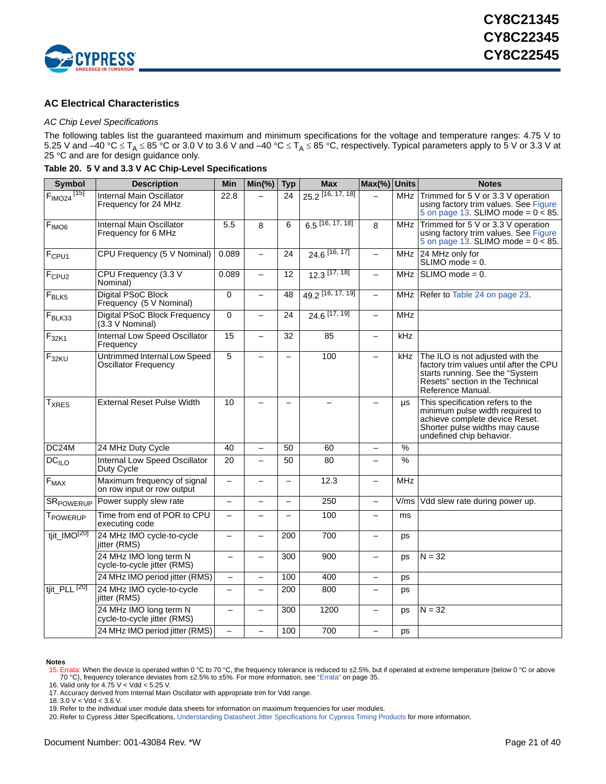

### <span id="page-20-0"></span>**AC Electrical Characteristics**

### <span id="page-20-8"></span>*AC Chip Level Specifications*

The following tables list the guaranteed maximum and minimum specifications for the voltage and temperature ranges: 4.75 V to 5.25 V and –40 °C  $\leq$  T<sub>A</sub>  $\leq$  85 °C or 3.0 V to 3.6 V and –40 °C  $\leq$  T<sub>A</sub>  $\leq$  85 °C, respectively. Typical parameters apply to 5 V or 3.3 V at 25 °C and are for design guidance only.

<span id="page-20-7"></span>**Table 20. 5 V and 3.3 V AC Chip-Level Specifications**

| <b>Symbol</b>            | <b>Description</b>                                          | Min                      | $Min(\% )$               | <b>Typ</b>               | <b>Max</b>                   | Max(%) Units             |               | <b>Notes</b>                                                                                                                                                             |
|--------------------------|-------------------------------------------------------------|--------------------------|--------------------------|--------------------------|------------------------------|--------------------------|---------------|--------------------------------------------------------------------------------------------------------------------------------------------------------------------------|
| $FIMO24$ <sup>[15]</sup> | Internal Main Oscillator<br>Frequency for 24 MHz            | 22.8                     |                          | 24                       | 25.2 [16, 17, 18]            |                          | MHz           | Trimmed for 5 V or 3.3 V operation<br>using factory trim values. See Figure<br>5 on page 13. SLIMO mode = $0 < 85$ .                                                     |
| $F_{IMO6}$               | Internal Main Oscillator<br>Frequency for 6 MHz             | 5.5                      | 8                        | 6                        | $6.5$ [16, 17, 18]           | 8                        | MHz           | Trimmed for 5 V or 3.3 V operation<br>using factory trim values. See Figure<br>5 on page 13. SLIMO mode = $0 \times 85$ .                                                |
| F <sub>CPU1</sub>        | CPU Frequency (5 V Nominal)                                 | 0.089                    | $\overline{\phantom{0}}$ | 24                       | 24.6 [16, 17]                | $\overline{\phantom{0}}$ | <b>MHz</b>    | 24 MHz only for<br>$SLIMO$ mode = 0.                                                                                                                                     |
| F <sub>CPU2</sub>        | CPU Frequency (3.3 V<br>Nominal)                            | 0.089                    | $\equiv$                 | 12                       | $12.3$ [17, 18]              | $\equiv$                 | <b>MHz</b>    | $SLIMO mode = 0.$                                                                                                                                                        |
| $F_{BLK5}$               | <b>Digital PSoC Block</b><br>Frequency (5 V Nominal)        | $\Omega$                 | $\equiv$                 | 48                       | 49.2 <sup>[16, 17, 19]</sup> |                          | MHz           | Refer to Table 24 on page 23.                                                                                                                                            |
| $F_{BLK33}$              | <b>Digital PSoC Block Frequency</b><br>$(3.3 \vee$ Nominal) | 0                        | $\overline{\phantom{0}}$ | 24                       | 24.6 [17, 19]                | $\equiv$                 | <b>MHz</b>    |                                                                                                                                                                          |
| $F_{32K1}$               | Internal Low Speed Oscillator<br>Frequency                  | 15                       | $\equiv$                 | 32                       | 85                           | $\equiv$                 | kHz           |                                                                                                                                                                          |
| $F_{32KU}$               | Untrimmed Internal Low Speed<br>Oscillator Frequency        | 5                        |                          | $\equiv$                 | 100                          |                          | kHz           | The ILO is not adjusted with the<br>factory trim values until after the CPU<br>starts running. See the "System"<br>Resets" section in the Technical<br>Reference Manual. |
| <b>T</b> <sub>XRES</sub> | <b>External Reset Pulse Width</b>                           | 10                       |                          |                          | $\overline{\phantom{0}}$     |                          | μs            | This specification refers to the<br>minimum pulse width required to<br>achieve complete device Reset.<br>Shorter pulse widths may cause<br>undefined chip behavior.      |
| DC24M                    | 24 MHz Duty Cycle                                           | 40                       | $\overline{\phantom{0}}$ | 50                       | 60                           |                          | $\%$          |                                                                                                                                                                          |
| $\overline{DC}_{ILO}$    | Internal Low Speed Oscillator<br>Duty Cycle                 | 20                       | $\equiv$                 | 50                       | 80                           |                          | $\frac{9}{6}$ |                                                                                                                                                                          |
| $F_{MAX}$                | Maximum frequency of signal<br>on row input or row output   | $\overline{\phantom{m}}$ | $\equiv$                 | $\overline{\phantom{m}}$ | 12.3                         | $\overline{\phantom{0}}$ | <b>MHz</b>    |                                                                                                                                                                          |
| SR <sub>POWERUP</sub>    | Power supply slew rate                                      |                          |                          | $\overline{\phantom{0}}$ | 250                          | $\overline{\phantom{0}}$ | V/ms          | Vdd slew rate during power up.                                                                                                                                           |
| T <sub>POWERUP</sub>     | Time from end of POR to CPU<br>executing code               |                          |                          | $\equiv$                 | 100                          |                          | ms            |                                                                                                                                                                          |
| tjit_IMO[20]             | 24 MHz IMO cycle-to-cycle<br>jitter (RMS)                   |                          |                          | 200                      | 700                          | -                        | ps            |                                                                                                                                                                          |
|                          | 24 MHz IMO long term N<br>cycle-to-cycle jitter (RMS)       |                          |                          | 300                      | 900                          |                          | ps            | $N = 32$                                                                                                                                                                 |
|                          | 24 MHz IMO period jitter (RMS)                              | $\overline{\phantom{0}}$ |                          | 100                      | 400                          | $\equiv$                 | ps            |                                                                                                                                                                          |
| tjit_PLL <sup>[20]</sup> | 24 MHz IMO cycle-to-cycle<br>jitter (RMS)                   |                          | $\overline{\phantom{0}}$ | 200                      | 800                          |                          | ps            |                                                                                                                                                                          |
|                          | 24 MHz IMO long term N<br>cycle-to-cycle jitter (RMS)       | $\overline{ }$           |                          | 300                      | 1200                         | -                        | ps            | $N = 32$                                                                                                                                                                 |
|                          | 24 MHz IMO period jitter (RMS)                              |                          |                          | 100                      | 700                          |                          | ps            |                                                                                                                                                                          |

### **Notes**

<span id="page-20-1"></span>16. Valid only for 4.75 V < Vdd < 5.25 V.

<span id="page-20-3"></span>18.  $3.0 \text{ V} < \text{V}$ dd <  $3.6 \text{ V}$ .

<span id="page-20-4"></span>19. Refer to the individual user module data sheets for information on maximum frequencies for user modules.

<span id="page-20-5"></span>20. Refer to Cypress Jitter Specifications, [Understanding Datasheet Jitter Specifications for Cypress Timing Products](http://www.cypress.com/?rID=12791) for more information.

<span id="page-20-6"></span><sup>15.</sup> Errata: When the device is operated within 0 °C to 70 °C, the frequency tolerance is reduced to ±2.5%, but if operated at extreme temperature (below 0 °C or above 70 °C) frequency tolerance deviates from ±2.5% to ±5%.

<span id="page-20-2"></span><sup>17.</sup> Accuracy derived from Internal Main Oscillator with appropriate trim for Vdd range.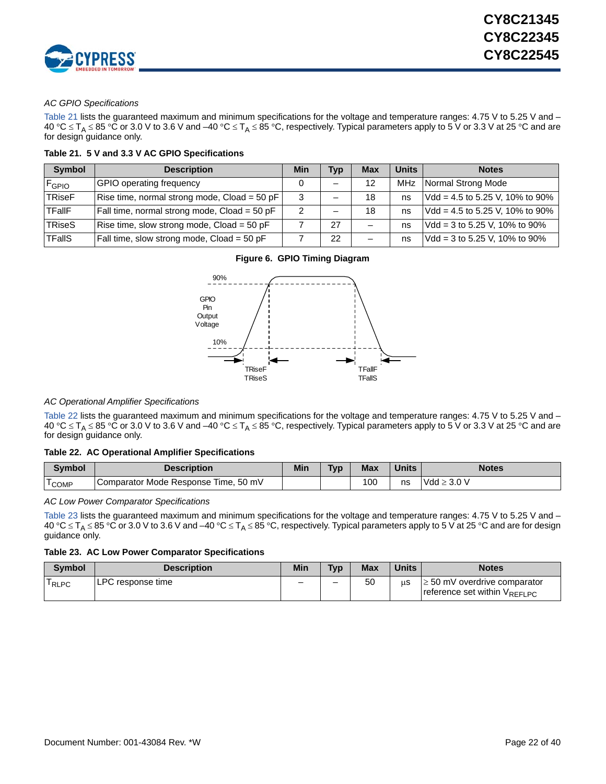

### *AC GPIO Specifications*

[Table 21](#page-21-0) lists the guaranteed maximum and minimum specifications for the voltage and temperature ranges: 4.75 V to 5.25 V and – 40 °C  $\leq$  T<sub>A</sub>  $\leq$  85 °C or 3.0 V to 3.6 V and –40 °C  $\leq$  T<sub>A</sub>  $\leq$  85 °C, respectively. Typical parameters apply to 5 V or 3.3 V at 25 °C and are for design guidance only.

<span id="page-21-0"></span>**Table 21. 5 V and 3.3 V AC GPIO Specifications**

| <b>Symbol</b> | <b>Description</b>                           | Min | <b>Typ</b> | <b>Max</b> | <b>Units</b> | <b>Notes</b>                      |
|---------------|----------------------------------------------|-----|------------|------------|--------------|-----------------------------------|
| <b>F</b> GPIO | <b>GPIO operating frequency</b>              |     |            | 12         | <b>MHz</b>   | Normal Strong Mode                |
| <b>TRiseF</b> | Rise time, normal strong mode, Cload = 50 pF |     |            | 18         | ns           | $Vdd = 4.5$ to 5.25 V, 10% to 90% |
| TFallF        | Fall time, normal strong mode, Cload = 50 pF |     |            | 18         | ns           | $Vdd = 4.5$ to 5.25 V, 10% to 90% |
| TRiseS        | Rise time, slow strong mode, $Cload = 50$ pF |     | 27         |            | ns           | $Vdd = 3$ to 5.25 V, 10% to 90%   |
| <b>TFallS</b> | Fall time, slow strong mode, Cload = 50 pF   |     | 22         |            | ns           | $Vdd = 3$ to 5.25 V, 10% to 90%   |

### **Figure 6. GPIO Timing Diagram**



### *AC Operational Amplifier Specifications*

[Table 22](#page-21-1) lists the guaranteed maximum and minimum specifications for the voltage and temperature ranges: 4.75 V to 5.25 V and – 40 °C  $\leq$  T<sub>A</sub>  $\leq$  85 °C or 3.0 V to 3.6 V and –40 °C  $\leq$  T<sub>A</sub>  $\leq$  85 °C, respectively. Typical parameters apply to 5 V or 3.3 V at 25 °C and are for design guidance only.

### <span id="page-21-1"></span>**Table 22. AC Operational Amplifier Specifications**

| <b>Symbol</b>                                 | <b>Description</b>                   | Min | <b>Typ</b> | <b>Max</b> | <b>Units</b> | <b>Notes</b>     |
|-----------------------------------------------|--------------------------------------|-----|------------|------------|--------------|------------------|
| $\overline{\phantom{0}}$<br><sup>1</sup> COMP | Comparator Mode Response Time, 50 mV |     |            | 100        | ns           | $Vdd \geq 3.0 V$ |

### *AC Low Power Comparator Specifications*

[Table 23](#page-21-2) lists the guaranteed maximum and minimum specifications for the voltage and temperature ranges: 4.75 V to 5.25 V and – 40 °C  $\leq$  T<sub>A</sub>  $\leq$  85 °C or 3.0 V to 3.6 V and –40 °C  $\leq$  T<sub>A</sub>  $\leq$  85 °C, respectively. Typical parameters apply to 5 V at 25 °C and are for design guidance only.

### <span id="page-21-2"></span>**Table 23. AC Low Power Comparator Specifications**

| <b>Symbol</b> | <b>Description</b> | Min | <b>Typ</b> | <b>Max</b> | <b>Units</b> | <b>Notes</b>                                                      |
|---------------|--------------------|-----|------------|------------|--------------|-------------------------------------------------------------------|
| RLPC          | ILPC response time | -   | -          | 50         | uS           | $\geq 50$ mV overdrive comparator<br>reference set within VREFLPC |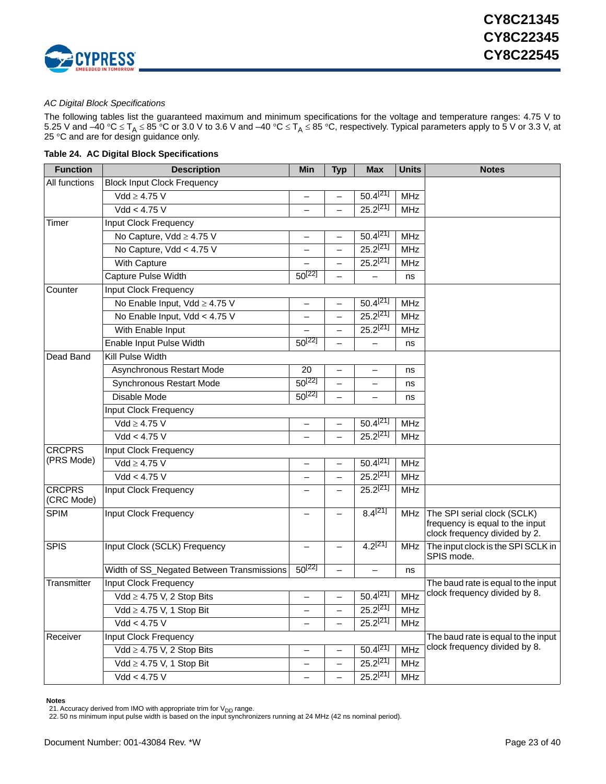

### *AC Digital Block Specifications*

The following tables list the guaranteed maximum and minimum specifications for the voltage and temperature ranges: 4.75 V to 5.25 V and –40 °C  $\leq$  T<sub>A</sub>  $\leq$  85 °C or 3.0 V to 3.6 V and –40 °C  $\leq$  T<sub>A</sub>  $\leq$  85 °C, respectively. Typical parameters apply to 5 V or 3.3 V, at 25 °C and are for design guidance only.

<span id="page-22-0"></span>

|  |  |  | Table 24. AC Digital Block Specifications |
|--|--|--|-------------------------------------------|
|--|--|--|-------------------------------------------|

| <b>Function</b>             | <b>Description</b>                        | Min                      | <b>Typ</b>               | <b>Max</b>    | <b>Units</b> | <b>Notes</b>                                                                                    |
|-----------------------------|-------------------------------------------|--------------------------|--------------------------|---------------|--------------|-------------------------------------------------------------------------------------------------|
| All functions               | <b>Block Input Clock Frequency</b>        |                          |                          |               |              |                                                                                                 |
|                             | $Vdd \geq 4.75$ V                         |                          |                          | $50.4^{[21]}$ | <b>MHz</b>   |                                                                                                 |
|                             | Vdd < 4.75 V                              |                          | —                        | $25.2^{[21]}$ | <b>MHz</b>   |                                                                                                 |
| Timer                       | Input Clock Frequency                     |                          |                          |               |              |                                                                                                 |
|                             | No Capture, Vdd ≥ 4.75 V                  | $\overline{\phantom{0}}$ | —                        | $50.4^{[21]}$ | <b>MHz</b>   |                                                                                                 |
|                             | No Capture, Vdd < 4.75 V                  |                          | $\overline{\phantom{0}}$ | $25.2^{[21]}$ | <b>MHz</b>   |                                                                                                 |
|                             | With Capture                              |                          | —                        | $25.2^{[21]}$ | MHz          |                                                                                                 |
|                             | Capture Pulse Width                       | $50^{[22]}$              |                          |               | ns           |                                                                                                 |
| Counter                     | Input Clock Frequency                     |                          |                          |               |              |                                                                                                 |
|                             | No Enable Input, Vdd ≥ 4.75 V             | $\qquad \qquad -$        |                          | $50.4^{[21]}$ | <b>MHz</b>   |                                                                                                 |
|                             | No Enable Input, Vdd < 4.75 V             |                          | —                        | $25.2^{[21]}$ | MHz          |                                                                                                 |
|                             | With Enable Input                         |                          |                          | $25.2^{[21]}$ | <b>MHz</b>   |                                                                                                 |
|                             | Enable Input Pulse Width                  | $50^{[22]}$              |                          |               | ns           |                                                                                                 |
| Dead Band                   | Kill Pulse Width                          |                          |                          |               |              |                                                                                                 |
|                             | Asynchronous Restart Mode                 | 20                       | —                        | —             | ns           |                                                                                                 |
|                             | Synchronous Restart Mode                  | $50^{[22]}$              |                          |               | ns           |                                                                                                 |
|                             | Disable Mode                              | $50^{[22]}$              | ╾                        |               | ns           |                                                                                                 |
|                             | Input Clock Frequency                     |                          |                          |               |              |                                                                                                 |
|                             | $Vdd \geq 4.75$ V                         | —                        | $\overline{\phantom{0}}$ | $50.4^{[21]}$ | <b>MHz</b>   |                                                                                                 |
|                             | Vdd < 4.75 V                              |                          |                          | $25.2^{[21]}$ | <b>MHz</b>   |                                                                                                 |
| <b>CRCPRS</b>               | Input Clock Frequency                     |                          |                          |               |              |                                                                                                 |
| (PRS Mode)                  | $Vdd \geq 4.75$ V                         | $\qquad \qquad -$        | —                        | $50.4^{[21]}$ | <b>MHz</b>   |                                                                                                 |
|                             | Vdd < 4.75 V                              |                          | —                        | $25.2^{[21]}$ | <b>MHz</b>   |                                                                                                 |
| <b>CRCPRS</b><br>(CRC Mode) | Input Clock Frequency                     |                          |                          | $25.2^{[21]}$ | <b>MHz</b>   |                                                                                                 |
| <b>SPIM</b>                 | Input Clock Frequency                     |                          |                          | $8.4^{[21]}$  | <b>MHz</b>   | The SPI serial clock (SCLK)<br>frequency is equal to the input<br>clock frequency divided by 2. |
| <b>SPIS</b>                 | Input Clock (SCLK) Frequency              |                          |                          | $4.2^{[21]}$  | <b>MHz</b>   | The input clock is the SPI SCLK in<br>SPIS mode.                                                |
|                             | Width of SS_Negated Between Transmissions | $50^{[22]}$              |                          |               | ns           |                                                                                                 |
| Transmitter                 | Input Clock Frequency                     |                          |                          |               |              | The baud rate is equal to the input                                                             |
|                             | $Vdd \geq 4.75$ V, 2 Stop Bits            |                          |                          | $50.4^{[21]}$ | <b>MHz</b>   | clock frequency divided by 8.                                                                   |
|                             | Vdd $\geq$ 4.75 V, 1 Stop Bit             |                          |                          | $25.2^{[21]}$ | MHz          |                                                                                                 |
|                             | Vdd < 4.75 V                              | —                        |                          | $25.2^{[21]}$ | <b>MHz</b>   |                                                                                                 |
| Receiver                    | <b>Input Clock Frequency</b>              |                          |                          |               |              | The baud rate is equal to the input                                                             |
|                             | $Vdd \geq 4.75$ V, 2 Stop Bits            |                          | $\overline{\phantom{0}}$ | $50.4^{[21]}$ | <b>MHz</b>   | clock frequency divided by 8.                                                                   |
|                             | $Vdd \geq 4.75$ V, 1 Stop Bit             |                          |                          | $25.2^{[21]}$ | <b>MHz</b>   |                                                                                                 |
|                             | Vdd < 4.75 V                              | —                        | $\qquad \qquad -$        | $25.2^{[21]}$ | <b>MHz</b>   |                                                                                                 |

**Notes**

<span id="page-22-1"></span>

<span id="page-22-2"></span>21. Accuracy derived from IMO with appropriate trim for V<sub>DD</sub> range.<br>22. 50 ns minimum input pulse width is based on the input synchronizers running at 24 MHz (42 ns nominal period).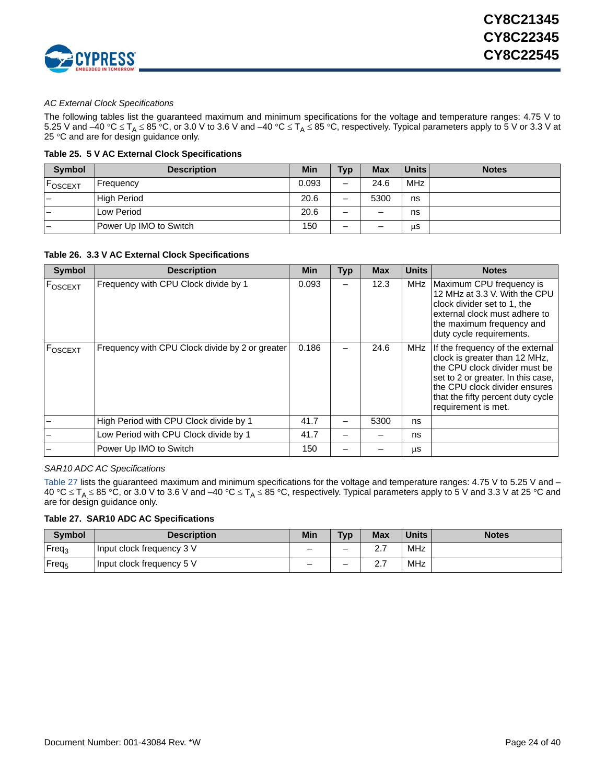

### *AC External Clock Specifications*

The following tables list the guaranteed maximum and minimum specifications for the voltage and temperature ranges: 4.75 V to 5.25 V and –40 °C  $\leq$  T<sub>A</sub>  $\leq$  85 °C, or 3.0 V to 3.6 V and –40 °C  $\leq$  T<sub>A</sub>  $\leq$  85 °C, respectively. Typical parameters apply to 5 V or 3.3 V at 25 °C and are for design guidance only.

### **Table 25. 5 V AC External Clock Specifications**

| <b>Symbol</b> | <b>Description</b>     | Min   | <b>Typ</b>               | <b>Max</b> | <b>Units</b> | <b>Notes</b> |
|---------------|------------------------|-------|--------------------------|------------|--------------|--------------|
| <b>OSCEXT</b> | Frequency              | 0.093 | $\overline{\phantom{m}}$ | 24.6       | <b>MHz</b>   |              |
|               | <b>High Period</b>     | 20.6  | $\overline{\phantom{0}}$ | 5300       | ns           |              |
|               | Low Period             | 20.6  |                          | -          | ns           |              |
|               | Power Up IMO to Switch | 150   | $\overline{\phantom{0}}$ | -          | μS           |              |

**Table 26. 3.3 V AC External Clock Specifications**

| <b>Symbol</b> | <b>Description</b>                              | <b>Min</b> | Typ | <b>Max</b> | <b>Units</b> | <b>Notes</b>                                                                                                                                                                                                                          |
|---------------|-------------------------------------------------|------------|-----|------------|--------------|---------------------------------------------------------------------------------------------------------------------------------------------------------------------------------------------------------------------------------------|
| FOSCEXT       | Frequency with CPU Clock divide by 1            | 0.093      |     | 12.3       | <b>MHz</b>   | Maximum CPU frequency is<br>12 MHz at 3.3 V. With the CPU<br>clock divider set to 1, the<br>external clock must adhere to<br>the maximum frequency and<br>duty cycle requirements.                                                    |
| FOSCEXT       | Frequency with CPU Clock divide by 2 or greater | 0.186      |     | 24.6       | MHz          | If the frequency of the external<br>clock is greater than 12 MHz,<br>the CPU clock divider must be<br>set to 2 or greater. In this case,<br>the CPU clock divider ensures<br>that the fifty percent duty cycle<br>requirement is met. |
|               | High Period with CPU Clock divide by 1          | 41.7       |     | 5300       | ns           |                                                                                                                                                                                                                                       |
|               | Low Period with CPU Clock divide by 1           | 41.7       |     |            | ns           |                                                                                                                                                                                                                                       |
|               | Power Up IMO to Switch                          | 150        |     |            | μS           |                                                                                                                                                                                                                                       |

*SAR10 ADC AC Specifications*

[Table 27](#page-23-0) lists the guaranteed maximum and minimum specifications for the voltage and temperature ranges: 4.75 V to 5.25 V and – 40 °C  $\leq$  T<sub>A</sub>  $\leq$  85 °C, or 3.0 V to 3.6 V and –40 °C  $\leq$  T<sub>A</sub>  $\leq$  85 °C, respectively. Typical parameters apply to 5 V and 3.3 V at 25 °C and are for design guidance only.

### <span id="page-23-0"></span>**Table 27. SAR10 ADC AC Specifications**

| <b>Symbol</b>     | <b>Description</b>        | Min | <b>Typ</b> | <b>Max</b> | <b>Units</b> | <b>Notes</b> |
|-------------------|---------------------------|-----|------------|------------|--------------|--------------|
| Freq <sub>3</sub> | Input clock frequency 3 V | -   | -          | <u></u>    | MHz          |              |
| Freq <sub>5</sub> | Input clock frequency 5 V | -   | -          | <u></u>    | <b>MHz</b>   |              |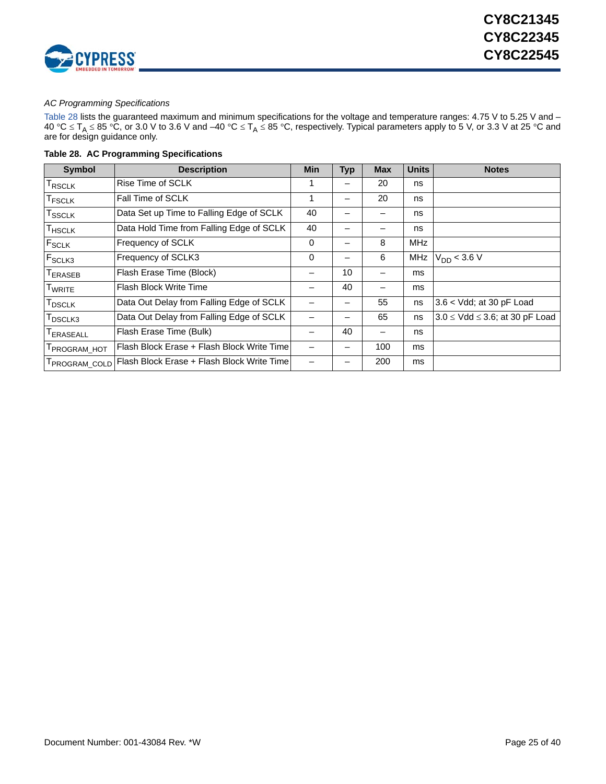

### *AC Programming Specifications*

[Table 28](#page-24-0) lists the guaranteed maximum and minimum specifications for the voltage and temperature ranges: 4.75 V to 5.25 V and – 40 °C  $\leq$  T<sub>A</sub>  $\leq$  85 °C, or 3.0 V to 3.6 V and –40 °C  $\leq$  T<sub>A</sub>  $\leq$  85 °C, respectively. Typical parameters apply to 5 V, or 3.3 V at 25 °C and are for design guidance only.

<span id="page-24-0"></span>

|  | Table 28. AC Programming Specifications |  |
|--|-----------------------------------------|--|
|--|-----------------------------------------|--|

| <b>Symbol</b>                          | <b>Description</b>                         | <b>Min</b> | Typ | <b>Max</b> | <b>Units</b> | <b>Notes</b>                             |
|----------------------------------------|--------------------------------------------|------------|-----|------------|--------------|------------------------------------------|
| T <sub>RSCLK</sub>                     | Rise Time of SCLK                          |            |     | 20         | ns           |                                          |
| <b>TFSCLK</b>                          | Fall Time of SCLK                          | 1          |     | 20         | ns           |                                          |
| $\mathsf{T}_{\mathsf{SSCLK}}$          | Data Set up Time to Falling Edge of SCLK   | 40         |     |            | ns           |                                          |
| $\mathsf{T}_{\mathsf{H}\mathsf{SCLK}}$ | Data Hold Time from Falling Edge of SCLK   | 40         |     |            | ns           |                                          |
| F <sub>SCLK</sub>                      | Frequency of SCLK                          | 0          |     | 8          | <b>MHz</b>   |                                          |
| F <sub>SCLK3</sub>                     | Frequency of SCLK3                         | 0          |     | 6          | <b>MHz</b>   | $V_{DD}$ < 3.6 V                         |
| T <sub>ERASEB</sub>                    | Flash Erase Time (Block)                   |            | 10  |            | ms           |                                          |
| <b>TWRITE</b>                          | <b>Flash Block Write Time</b>              |            | 40  |            | ms           |                                          |
| $T_{\sf DSCLK}$                        | Data Out Delay from Falling Edge of SCLK   |            |     | 55         | ns           | 3.6 < Vdd; at 30 pF Load                 |
| T <sub>DSCLK3</sub>                    | Data Out Delay from Falling Edge of SCLK   |            |     | 65         | ns           | $3.0 \leq$ Vdd $\leq$ 3.6; at 30 pF Load |
| <b>TERASEALL</b>                       | Flash Erase Time (Bulk)                    |            | 40  | -          | ns           |                                          |
| T <sub>PROGRAM_HOT</sub>               | Flash Block Erase + Flash Block Write Time |            |     | 100        | ms           |                                          |
| T <sub>PROGRAM_COLD</sub>              | Flash Block Erase + Flash Block Write Time |            |     | 200        | ms           |                                          |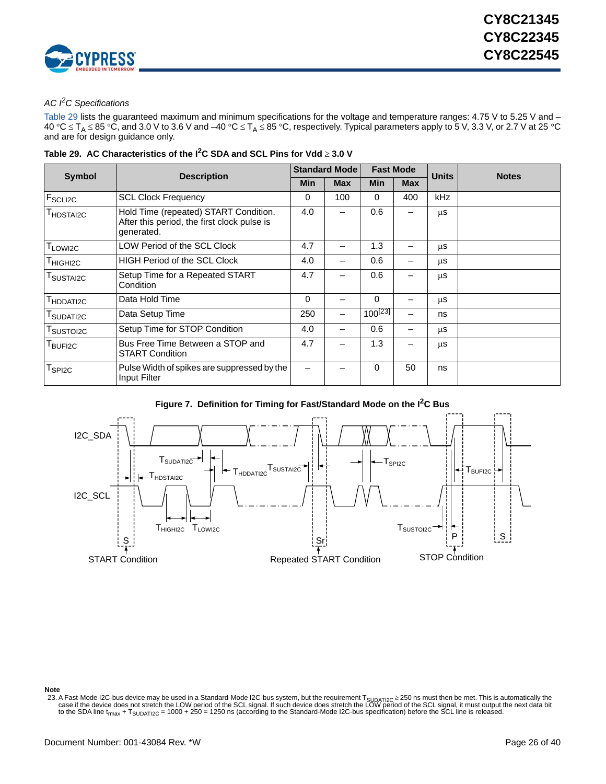

## *AC I2C Specifications*

[Table 29](#page-25-0) lists the guaranteed maximum and minimum specifications for the voltage and temperature ranges: 4.75 V to 5.25 V and – 40 °C  $\leq$  T<sub>A</sub>  $\leq$  85 °C, and 3.0 V to 3.6 V and –40 °C  $\leq$  T<sub>A</sub>  $\leq$  85 °C, respectively. Typical parameters apply to 5 V, 3.3 V, or 2.7 V at 25 °C and are for design guidance only.

| <b>Symbol</b>                   |                                                                                                    | <b>Standard Mode</b> |            | <b>Fast Mode</b> |            | <b>Units</b> | <b>Notes</b> |
|---------------------------------|----------------------------------------------------------------------------------------------------|----------------------|------------|------------------|------------|--------------|--------------|
|                                 | <b>Description</b>                                                                                 | Min                  | <b>Max</b> | <b>Min</b>       | <b>Max</b> |              |              |
| $F_{\scriptstyle\text{SCLI2C}}$ | <b>SCL Clock Frequency</b>                                                                         | 0                    | 100        | 0                | 400        | kHz          |              |
| <sup>I</sup> HDSTAI2C           | Hold Time (repeated) START Condition.<br>After this period, the first clock pulse is<br>generated. | 4.0                  |            | 0.6              |            | μS           |              |
| T <sub>LOWI2C</sub>             | LOW Period of the SCL Clock                                                                        | 4.7                  | —          | 1.3              |            | μS           |              |
| T <sub>HIGHI2C</sub>            | <b>HIGH Period of the SCL Clock</b>                                                                | 4.0                  | -          | 0.6              | -          | μS           |              |
| I SUSTAI2C                      | Setup Time for a Repeated START<br>Condition                                                       | 4.7                  |            | 0.6              |            | μS           |              |
| T <sub>HDDATI2C</sub>           | Data Hold Time                                                                                     | $\Omega$             |            | $\Omega$         |            | <b>us</b>    |              |
| T <sub>SUDATI2C</sub>           | Data Setup Time                                                                                    | 250                  | —          | $100^{[23]}$     |            | ns           |              |
| T <sub>SUSTOI2C</sub>           | Setup Time for STOP Condition                                                                      | 4.0                  | —          | 0.6              |            | μS           |              |
| BUFI2C                          | Bus Free Time Between a STOP and<br><b>START Condition</b>                                         | 4.7                  |            | 1.3              |            | μS           |              |
| $T_{SPI2C}$                     | Pulse Width of spikes are suppressed by the<br>Input Filter                                        |                      |            | 0                | 50         | ns           |              |

<span id="page-25-0"></span>**Table 29. AC Characteristics of the I2C SDA and SCL Pins for Vdd 3.0 V**





**Note**

<span id="page-25-1"></span>23. A Fast-Mode I2C-bus device may be used in a Standard-Mode I2C-bus system, but the requirement T<sub>SUDATI2C</sub> ≥ 250 ns must then be met. This is automatically the case if the device does not stretch the LOW period of the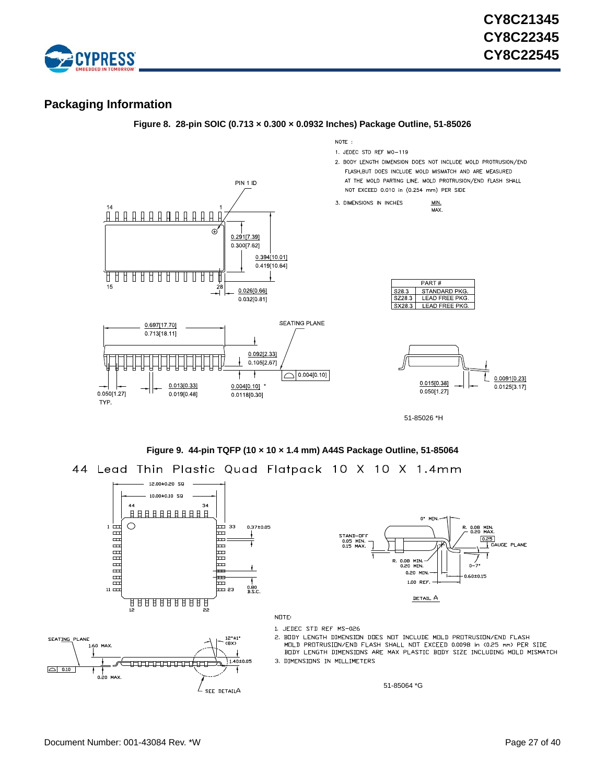

## <span id="page-26-0"></span>**Packaging Information**



### **Figure 9. 44-pin TQFP (10 × 10 × 1.4 mm) A44S Package Outline, 51-85064**

44 Lead Thin Plastic Quad Flatpack 10 X 10 X 1.4mm

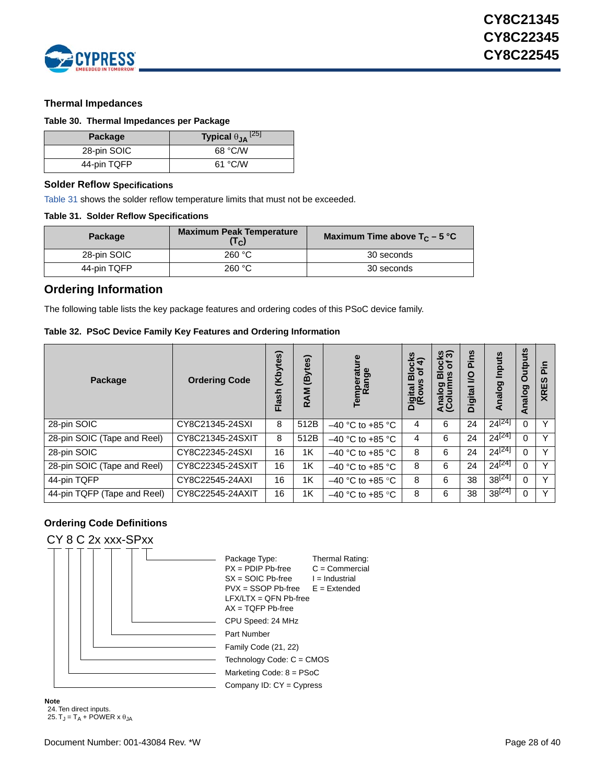

### <span id="page-27-0"></span>**Thermal Impedances**

### <span id="page-27-4"></span>**Table 30. Thermal Impedances per Package**

| <b>Package</b> | Typical $\theta_{JA}$ <sup>[25]</sup> |
|----------------|---------------------------------------|
| 28-pin SOIC    | 68 °C/W                               |
| 44-pin TQFP    | 61 °C/W                               |

### <span id="page-27-1"></span>**Solder Reflow Specifications**

[Table 31](#page-27-7) shows the solder reflow temperature limits that must not be exceeded.

### <span id="page-27-7"></span>**Table 31. Solder Reflow Specifications**

| Package     | <b>Maximum Peak Temperature</b><br>$(T_C)$ | Maximum Time above $T_c - 5$ °C |
|-------------|--------------------------------------------|---------------------------------|
| 28-pin SOIC | 260 °C                                     | 30 seconds                      |
| 44-pin TQFP | 260 °C                                     | 30 seconds                      |

### <span id="page-27-2"></span>**Ordering Information**

The following table lists the key package features and ordering codes of this PSoC device family.

### <span id="page-27-8"></span>**Table 32. PSoC Device Family Key Features and Ordering Information**

| Package                     | <b>Ordering Code</b> | (Kbytes)<br>Flash | (Bytes)<br>RAM | Temperature<br>Range | န့်<br>န<br>$rac{5}{3}$<br>Digital B<br>(Rows | <u>ଓ କ</u><br>৳<br>ပ<br>Õ<br>œ<br><b>SU</b><br>ರಾ<br>nalo<br><b>Arai</b><br>40 | Pins<br>g<br><b>Digital</b> | Inputs<br>nalog<br>₹ | <b>Outputs</b><br>Analog | ≘.<br>$\Omega$<br>ທ<br>ш<br><b>XR</b> |
|-----------------------------|----------------------|-------------------|----------------|----------------------|-----------------------------------------------|--------------------------------------------------------------------------------|-----------------------------|----------------------|--------------------------|---------------------------------------|
| 28-pin SOIC                 | CY8C21345-24SXI      | 8                 | 512B           | $-40$ °C to +85 °C   | 4                                             | 6                                                                              | 24                          | $24^{[24]}$          | 0                        | v                                     |
| 28-pin SOIC (Tape and Reel) | CY8C21345-24SXIT     | 8                 | 512B           | $-40$ °C to +85 °C   | 4                                             | 6                                                                              | 24                          | $24^{[24]}$          | 0                        | Y                                     |
| 28-pin SOIC                 | CY8C22345-24SXI      | 16                | 1K             | $-40$ °C to +85 °C   | 8                                             | 6                                                                              | 24                          | $24^{[24]}$          | 0                        | Y                                     |
| 28-pin SOIC (Tape and Reel) | CY8C22345-24SXIT     | 16                | 1K             | $-40$ °C to +85 °C   | 8                                             | 6                                                                              | 24                          | $24^{[24]}$          | 0                        | $\vee$                                |
| 44-pin TQFP                 | CY8C22545-24AXI      | 16                | 1K             | $-40$ °C to +85 °C   | 8                                             | 6                                                                              | 38                          | 38 <sup>[24]</sup>   | 0                        | $\checkmark$                          |
| 44-pin TQFP (Tape and Reel) | CY8C22545-24AXIT     | 16                | 1K             | $-40$ °C to +85 °C   | 8                                             | 6                                                                              | 38                          | 38 <sup>[24]</sup>   | $\Omega$                 | $\vee$                                |

### <span id="page-27-3"></span>**Ordering Code Definitions**

### CY 8 C 2x xxx-SPxx



<span id="page-27-6"></span><span id="page-27-5"></span>**Note** 24. Ten direct inputs. 25.  $T_J = T_A + POWER \times \theta_{JA}$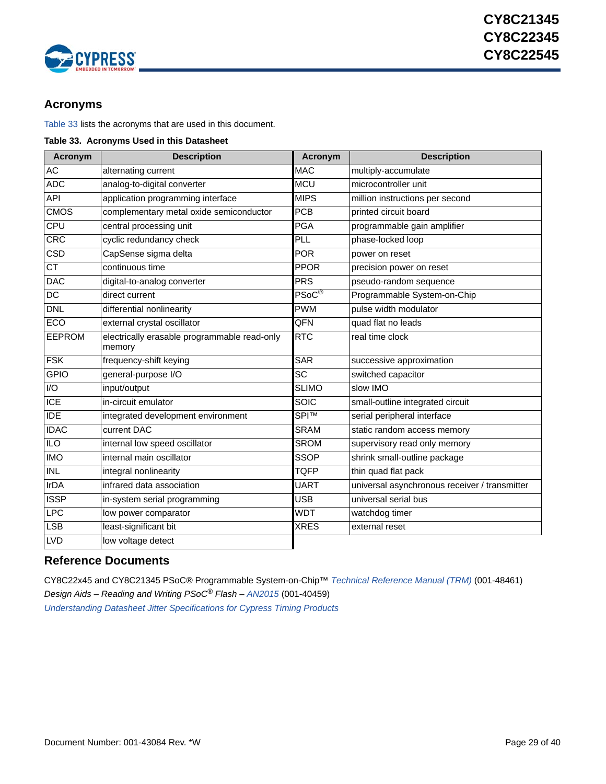

## <span id="page-28-0"></span>**Acronyms**

[Table 33](#page-28-2) lists the acronyms that are used in this document.

<span id="page-28-2"></span>

| Table 33. Acronyms Used in this Datasheet |
|-------------------------------------------|
|-------------------------------------------|

| <b>Acronym</b>         | <b>Description</b>                                     | Acronym            | <b>Description</b>                            |
|------------------------|--------------------------------------------------------|--------------------|-----------------------------------------------|
| AC                     | alternating current                                    | <b>MAC</b>         | multiply-accumulate                           |
| <b>ADC</b>             | analog-to-digital converter                            | <b>MCU</b>         | microcontroller unit                          |
| <b>API</b>             | application programming interface                      | <b>MIPS</b>        | million instructions per second               |
| <b>CMOS</b>            | complementary metal oxide semiconductor                | <b>PCB</b>         | printed circuit board                         |
| CPU                    | central processing unit                                | <b>PGA</b>         | programmable gain amplifier                   |
| <b>CRC</b>             | cyclic redundancy check                                | PLL                | phase-locked loop                             |
| CSD                    | CapSense sigma delta                                   | <b>POR</b>         | power on reset                                |
| $\overline{\text{CT}}$ | continuous time                                        | <b>PPOR</b>        | precision power on reset                      |
| <b>DAC</b>             | digital-to-analog converter                            | PRS                | pseudo-random sequence                        |
| DC                     | direct current                                         | $PSoC^{\circledR}$ | Programmable System-on-Chip                   |
| <b>DNL</b>             | differential nonlinearity                              |                    | pulse width modulator                         |
| <b>ECO</b>             | external crystal oscillator                            | QFN                | quad flat no leads                            |
| <b>EEPROM</b>          | electrically erasable programmable read-only<br>memory |                    | real time clock                               |
| <b>FSK</b>             | frequency-shift keying                                 | <b>SAR</b>         | successive approximation                      |
| <b>GPIO</b>            | general-purpose I/O                                    | SC                 | switched capacitor                            |
| I/O                    | input/output                                           | <b>SLIMO</b>       | slow IMO                                      |
| <b>ICE</b>             | in-circuit emulator                                    | SOIC               | small-outline integrated circuit              |
| <b>IDE</b>             | integrated development environment                     | <b>SPITM</b>       | serial peripheral interface                   |
| <b>IDAC</b>            | current DAC                                            | <b>SRAM</b>        | static random access memory                   |
| <b>ILO</b>             | internal low speed oscillator                          | <b>SROM</b>        | supervisory read only memory                  |
| IMO                    | internal main oscillator                               | <b>SSOP</b>        | shrink small-outline package                  |
| <b>INL</b>             | integral nonlinearity                                  | <b>TQFP</b>        | thin quad flat pack                           |
| <b>IrDA</b>            | infrared data association                              | <b>UART</b>        | universal asynchronous receiver / transmitter |
| <b>ISSP</b>            | in-system serial programming                           | <b>USB</b>         | universal serial bus                          |
| <b>LPC</b>             | low power comparator                                   | <b>WDT</b>         | watchdog timer                                |
| <b>LSB</b>             | least-significant bit                                  | <b>XRES</b>        | external reset                                |
| <b>LVD</b>             | low voltage detect                                     |                    |                                               |

## <span id="page-28-1"></span>**Reference Documents**

CY8C22x45 and CY8C21345 PSoC® Programmable System-on-Chip™ *[Technical Reference Manual \(TRM\)](http://www.cypress.com/?rID=37728)* (001-48461) *Design Aids – Reading and Writing PSoC® Flash [– AN2015](http://www.cypress.com/?rID=2849)* (001-40459) *[Understanding Datasheet Jitter Specifications for Cypress Timing Products](http://www.cypress.com/?rID=12791)*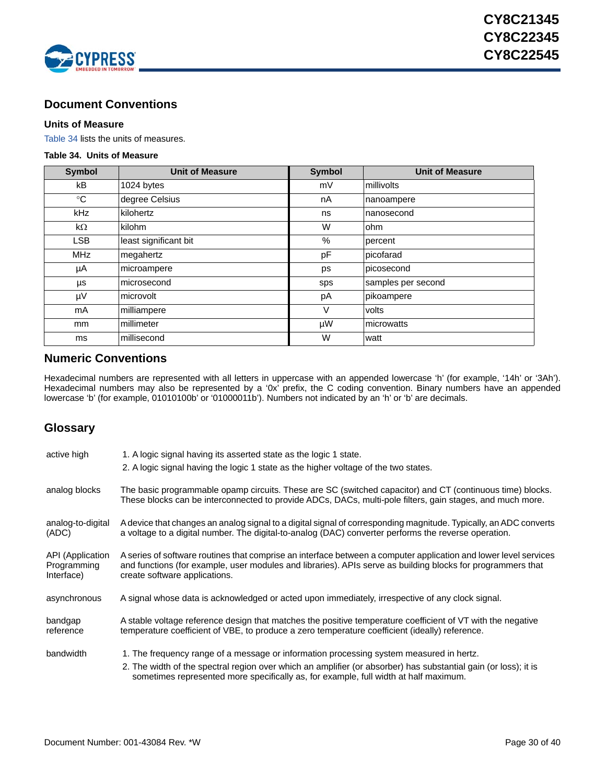

## <span id="page-29-0"></span>**Document Conventions**

### <span id="page-29-1"></span>**Units of Measure**

[Table 34](#page-29-4) lists the units of measures.

### <span id="page-29-4"></span>**Table 34. Units of Measure**

| <b>Symbol</b> | <b>Unit of Measure</b> | <b>Symbol</b> | <b>Unit of Measure</b> |  |  |
|---------------|------------------------|---------------|------------------------|--|--|
| kB            | 1024 bytes             | mV            | millivolts             |  |  |
| $^{\circ}$ C  | degree Celsius         | nA            | nanoampere             |  |  |
| kHz           | kilohertz              | ns            | nanosecond             |  |  |
| kΩ            | kilohm                 | W             | ohm                    |  |  |
| <b>LSB</b>    | least significant bit  | $\%$          | percent                |  |  |
| <b>MHz</b>    | megahertz              | pF            | picofarad              |  |  |
| μA            | microampere            | ps            | picosecond             |  |  |
| μs            | microsecond            | sps           | samples per second     |  |  |
| μV            | microvolt              | рA            | pikoampere             |  |  |
| mA            | milliampere            | V             | volts                  |  |  |
| mm            | millimeter             | μW            | microwatts             |  |  |
| ms            | millisecond            | W             | watt                   |  |  |

## <span id="page-29-2"></span>**Numeric Conventions**

Hexadecimal numbers are represented with all letters in uppercase with an appended lowercase 'h' (for example, '14h' or '3Ah'). Hexadecimal numbers may also be represented by a '0x' prefix, the C coding convention. Binary numbers have an appended lowercase 'b' (for example, 01010100b' or '01000011b'). Numbers not indicated by an 'h' or 'b' are decimals.

## <span id="page-29-3"></span>**Glossary**

| active high                                   | 1. A logic signal having its asserted state as the logic 1 state.                                                                                                                                                                                                |
|-----------------------------------------------|------------------------------------------------------------------------------------------------------------------------------------------------------------------------------------------------------------------------------------------------------------------|
|                                               | 2. A logic signal having the logic 1 state as the higher voltage of the two states.                                                                                                                                                                              |
| analog blocks                                 | The basic programmable opamp circuits. These are SC (switched capacitor) and CT (continuous time) blocks.<br>These blocks can be interconnected to provide ADCs, DACs, multi-pole filters, gain stages, and much more.                                           |
| analog-to-digital<br>(ADC)                    | A device that changes an analog signal to a digital signal of corresponding magnitude. Typically, an ADC converts<br>a voltage to a digital number. The digital-to-analog (DAC) converter performs the reverse operation.                                        |
| API (Application<br>Programming<br>Interface) | A series of software routines that comprise an interface between a computer application and lower level services<br>and functions (for example, user modules and libraries). APIs serve as building blocks for programmers that<br>create software applications. |
| asynchronous                                  | A signal whose data is acknowledged or acted upon immediately, irrespective of any clock signal.                                                                                                                                                                 |
| bandgap<br>reference                          | A stable voltage reference design that matches the positive temperature coefficient of VT with the negative<br>temperature coefficient of VBE, to produce a zero temperature coefficient (ideally) reference.                                                    |
| bandwidth                                     | 1. The frequency range of a message or information processing system measured in hertz.                                                                                                                                                                          |
|                                               | 2. The width of the spectral region over which an amplifier (or absorber) has substantial gain (or loss); it is<br>sometimes represented more specifically as, for example, full width at half maximum.                                                          |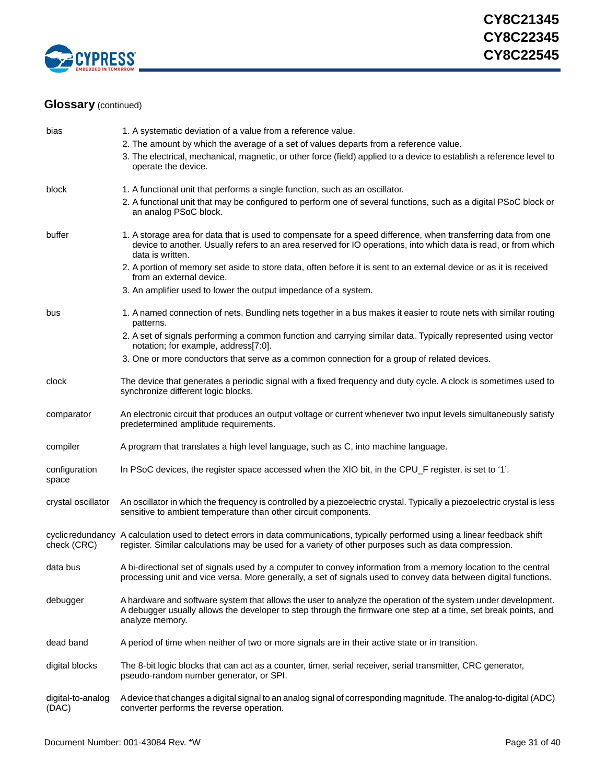

| bias                       | 1. A systematic deviation of a value from a reference value.                                                                                                                                                                                         |
|----------------------------|------------------------------------------------------------------------------------------------------------------------------------------------------------------------------------------------------------------------------------------------------|
|                            | 2. The amount by which the average of a set of values departs from a reference value.<br>3. The electrical, mechanical, magnetic, or other force (field) applied to a device to establish a reference level to<br>operate the device.                |
| block                      | 1. A functional unit that performs a single function, such as an oscillator.                                                                                                                                                                         |
|                            | 2. A functional unit that may be configured to perform one of several functions, such as a digital PSoC block or<br>an analog PSoC block.                                                                                                            |
| buffer                     | 1. A storage area for data that is used to compensate for a speed difference, when transferring data from one<br>device to another. Usually refers to an area reserved for IO operations, into which data is read, or from which<br>data is written. |
|                            | 2. A portion of memory set aside to store data, often before it is sent to an external device or as it is received<br>from an external device.                                                                                                       |
|                            | 3. An amplifier used to lower the output impedance of a system.                                                                                                                                                                                      |
| bus                        | 1. A named connection of nets. Bundling nets together in a bus makes it easier to route nets with similar routing<br>patterns.                                                                                                                       |
|                            | 2. A set of signals performing a common function and carrying similar data. Typically represented using vector<br>notation; for example, address[7:0].                                                                                               |
|                            | 3. One or more conductors that serve as a common connection for a group of related devices.                                                                                                                                                          |
| clock                      | The device that generates a periodic signal with a fixed frequency and duty cycle. A clock is sometimes used to<br>synchronize different logic blocks.                                                                                               |
| comparator                 | An electronic circuit that produces an output voltage or current whenever two input levels simultaneously satisfy<br>predetermined amplitude requirements.                                                                                           |
| compiler                   | A program that translates a high level language, such as C, into machine language.                                                                                                                                                                   |
| configuration<br>space     | In PSoC devices, the register space accessed when the XIO bit, in the CPU_F register, is set to '1'.                                                                                                                                                 |
| crystal oscillator         | An oscillator in which the frequency is controlled by a piezoelectric crystal. Typically a piezoelectric crystal is less<br>sensitive to ambient temperature than other circuit components.                                                          |
| check (CRC)                | cyclic redundancy A calculation used to detect errors in data communications, typically performed using a linear feedback shift<br>register. Similar calculations may be used for a variety of other purposes such as data compression.              |
| data bus                   | A bi-directional set of signals used by a computer to convey information from a memory location to the central<br>processing unit and vice versa. More generally, a set of signals used to convey data between digital functions.                    |
| debugger                   | A hardware and software system that allows the user to analyze the operation of the system under development.<br>A debugger usually allows the developer to step through the firmware one step at a time, set break points, and<br>analyze memory.   |
| dead band                  | A period of time when neither of two or more signals are in their active state or in transition.                                                                                                                                                     |
| digital blocks             | The 8-bit logic blocks that can act as a counter, timer, serial receiver, serial transmitter, CRC generator,<br>pseudo-random number generator, or SPI.                                                                                              |
| digital-to-analog<br>(DAC) | A device that changes a digital signal to an analog signal of corresponding magnitude. The analog-to-digital (ADC)<br>converter performs the reverse operation.                                                                                      |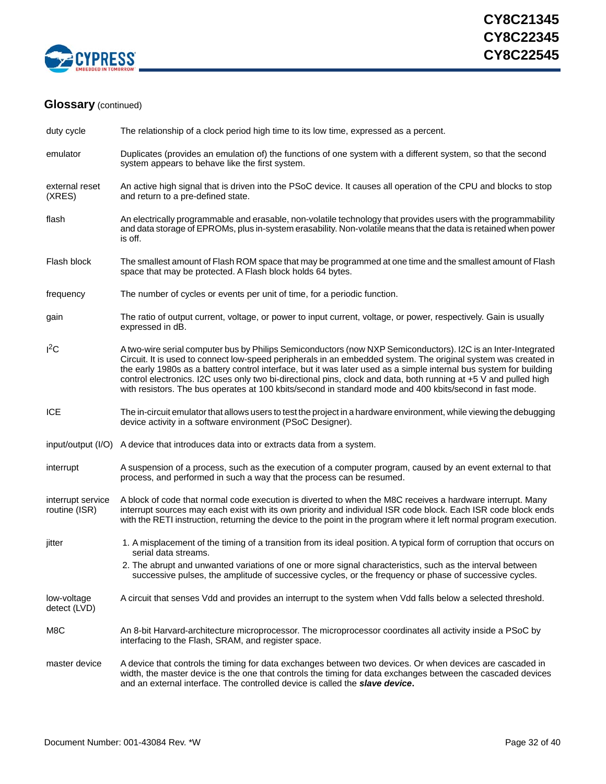

| duty cycle                         | The relationship of a clock period high time to its low time, expressed as a percent.                                                                                                                                                                                                                                                                                                                                                                                                                                                                                                 |  |  |
|------------------------------------|---------------------------------------------------------------------------------------------------------------------------------------------------------------------------------------------------------------------------------------------------------------------------------------------------------------------------------------------------------------------------------------------------------------------------------------------------------------------------------------------------------------------------------------------------------------------------------------|--|--|
| emulator                           | Duplicates (provides an emulation of) the functions of one system with a different system, so that the second<br>system appears to behave like the first system.                                                                                                                                                                                                                                                                                                                                                                                                                      |  |  |
| external reset<br>(XRES)           | An active high signal that is driven into the PSoC device. It causes all operation of the CPU and blocks to stop<br>and return to a pre-defined state.                                                                                                                                                                                                                                                                                                                                                                                                                                |  |  |
| flash                              | An electrically programmable and erasable, non-volatile technology that provides users with the programmability<br>and data storage of EPROMs, plus in-system erasability. Non-volatile means that the data is retained when power<br>is off.                                                                                                                                                                                                                                                                                                                                         |  |  |
| Flash block                        | The smallest amount of Flash ROM space that may be programmed at one time and the smallest amount of Flash<br>space that may be protected. A Flash block holds 64 bytes.                                                                                                                                                                                                                                                                                                                                                                                                              |  |  |
| frequency                          | The number of cycles or events per unit of time, for a periodic function.                                                                                                                                                                                                                                                                                                                                                                                                                                                                                                             |  |  |
| gain                               | The ratio of output current, voltage, or power to input current, voltage, or power, respectively. Gain is usually<br>expressed in dB.                                                                                                                                                                                                                                                                                                                                                                                                                                                 |  |  |
| $I^2C$                             | A two-wire serial computer bus by Philips Semiconductors (now NXP Semiconductors). I2C is an Inter-Integrated<br>Circuit. It is used to connect low-speed peripherals in an embedded system. The original system was created in<br>the early 1980s as a battery control interface, but it was later used as a simple internal bus system for building<br>control electronics. I2C uses only two bi-directional pins, clock and data, both running at +5 V and pulled high<br>with resistors. The bus operates at 100 kbits/second in standard mode and 400 kbits/second in fast mode. |  |  |
| <b>ICE</b>                         | The in-circuit emulator that allows users to test the project in a hardware environment, while viewing the debugging<br>device activity in a software environment (PSoC Designer).                                                                                                                                                                                                                                                                                                                                                                                                    |  |  |
|                                    | input/output (I/O) A device that introduces data into or extracts data from a system.                                                                                                                                                                                                                                                                                                                                                                                                                                                                                                 |  |  |
| interrupt                          | A suspension of a process, such as the execution of a computer program, caused by an event external to that<br>process, and performed in such a way that the process can be resumed.                                                                                                                                                                                                                                                                                                                                                                                                  |  |  |
| interrupt service<br>routine (ISR) | A block of code that normal code execution is diverted to when the M8C receives a hardware interrupt. Many<br>interrupt sources may each exist with its own priority and individual ISR code block. Each ISR code block ends<br>with the RETI instruction, returning the device to the point in the program where it left normal program execution.                                                                                                                                                                                                                                   |  |  |
| jitter                             | 1. A misplacement of the timing of a transition from its ideal position. A typical form of corruption that occurs on<br>serial data streams.                                                                                                                                                                                                                                                                                                                                                                                                                                          |  |  |
|                                    | 2. The abrupt and unwanted variations of one or more signal characteristics, such as the interval between<br>successive pulses, the amplitude of successive cycles, or the frequency or phase of successive cycles.                                                                                                                                                                                                                                                                                                                                                                   |  |  |
| low-voltage<br>detect (LVD)        | A circuit that senses Vdd and provides an interrupt to the system when Vdd falls below a selected threshold.                                                                                                                                                                                                                                                                                                                                                                                                                                                                          |  |  |
| M8C                                | An 8-bit Harvard-architecture microprocessor. The microprocessor coordinates all activity inside a PSoC by<br>interfacing to the Flash, SRAM, and register space.                                                                                                                                                                                                                                                                                                                                                                                                                     |  |  |
| master device                      | A device that controls the timing for data exchanges between two devices. Or when devices are cascaded in<br>width, the master device is the one that controls the timing for data exchanges between the cascaded devices<br>and an external interface. The controlled device is called the <b>slave device.</b>                                                                                                                                                                                                                                                                      |  |  |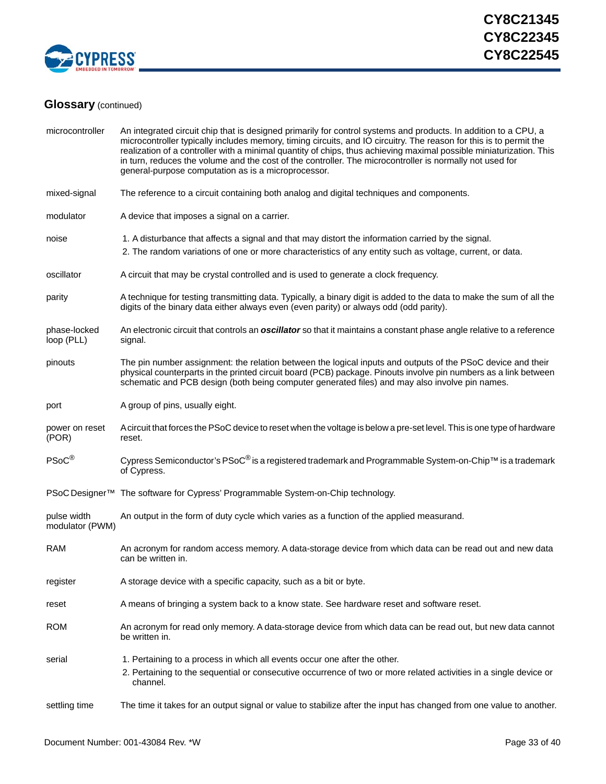

| microcontroller                | An integrated circuit chip that is designed primarily for control systems and products. In addition to a CPU, a<br>microcontroller typically includes memory, timing circuits, and IO circuitry. The reason for this is to permit the<br>realization of a controller with a minimal quantity of chips, thus achieving maximal possible miniaturization. This<br>in turn, reduces the volume and the cost of the controller. The microcontroller is normally not used for<br>general-purpose computation as is a microprocessor. |  |  |
|--------------------------------|---------------------------------------------------------------------------------------------------------------------------------------------------------------------------------------------------------------------------------------------------------------------------------------------------------------------------------------------------------------------------------------------------------------------------------------------------------------------------------------------------------------------------------|--|--|
| mixed-signal                   | The reference to a circuit containing both analog and digital techniques and components.                                                                                                                                                                                                                                                                                                                                                                                                                                        |  |  |
| modulator                      | A device that imposes a signal on a carrier.                                                                                                                                                                                                                                                                                                                                                                                                                                                                                    |  |  |
| noise                          | 1. A disturbance that affects a signal and that may distort the information carried by the signal.<br>2. The random variations of one or more characteristics of any entity such as voltage, current, or data.                                                                                                                                                                                                                                                                                                                  |  |  |
| oscillator                     | A circuit that may be crystal controlled and is used to generate a clock frequency.                                                                                                                                                                                                                                                                                                                                                                                                                                             |  |  |
| parity                         | A technique for testing transmitting data. Typically, a binary digit is added to the data to make the sum of all the<br>digits of the binary data either always even (even parity) or always odd (odd parity).                                                                                                                                                                                                                                                                                                                  |  |  |
| phase-locked<br>loop (PLL)     | An electronic circuit that controls an <i>oscillator</i> so that it maintains a constant phase angle relative to a reference<br>signal.                                                                                                                                                                                                                                                                                                                                                                                         |  |  |
| pinouts                        | The pin number assignment: the relation between the logical inputs and outputs of the PSoC device and their<br>physical counterparts in the printed circuit board (PCB) package. Pinouts involve pin numbers as a link between<br>schematic and PCB design (both being computer generated files) and may also involve pin names.                                                                                                                                                                                                |  |  |
| port                           | A group of pins, usually eight.                                                                                                                                                                                                                                                                                                                                                                                                                                                                                                 |  |  |
| power on reset<br>(POR)        | A circuit that forces the PSoC device to reset when the voltage is below a pre-set level. This is one type of hardware<br>reset.                                                                                                                                                                                                                                                                                                                                                                                                |  |  |
| PSoC®                          | Cypress Semiconductor's PSoC <sup>®</sup> is a registered trademark and Programmable System-on-Chip™ is a trademark<br>of Cypress.                                                                                                                                                                                                                                                                                                                                                                                              |  |  |
|                                | PSoC Designer <sup>™</sup> The software for Cypress' Programmable System-on-Chip technology.                                                                                                                                                                                                                                                                                                                                                                                                                                    |  |  |
| pulse width<br>modulator (PWM) | An output in the form of duty cycle which varies as a function of the applied measurand.                                                                                                                                                                                                                                                                                                                                                                                                                                        |  |  |
| <b>RAM</b>                     | An acronym for random access memory. A data-storage device from which data can be read out and new data<br>can be written in.                                                                                                                                                                                                                                                                                                                                                                                                   |  |  |
| register                       | A storage device with a specific capacity, such as a bit or byte.                                                                                                                                                                                                                                                                                                                                                                                                                                                               |  |  |
| reset                          | A means of bringing a system back to a know state. See hardware reset and software reset.                                                                                                                                                                                                                                                                                                                                                                                                                                       |  |  |
| <b>ROM</b>                     | An acronym for read only memory. A data-storage device from which data can be read out, but new data cannot<br>be written in.                                                                                                                                                                                                                                                                                                                                                                                                   |  |  |
| serial                         | 1. Pertaining to a process in which all events occur one after the other.                                                                                                                                                                                                                                                                                                                                                                                                                                                       |  |  |
|                                | 2. Pertaining to the sequential or consecutive occurrence of two or more related activities in a single device or<br>channel.                                                                                                                                                                                                                                                                                                                                                                                                   |  |  |
| settling time                  | The time it takes for an output signal or value to stabilize after the input has changed from one value to another.                                                                                                                                                                                                                                                                                                                                                                                                             |  |  |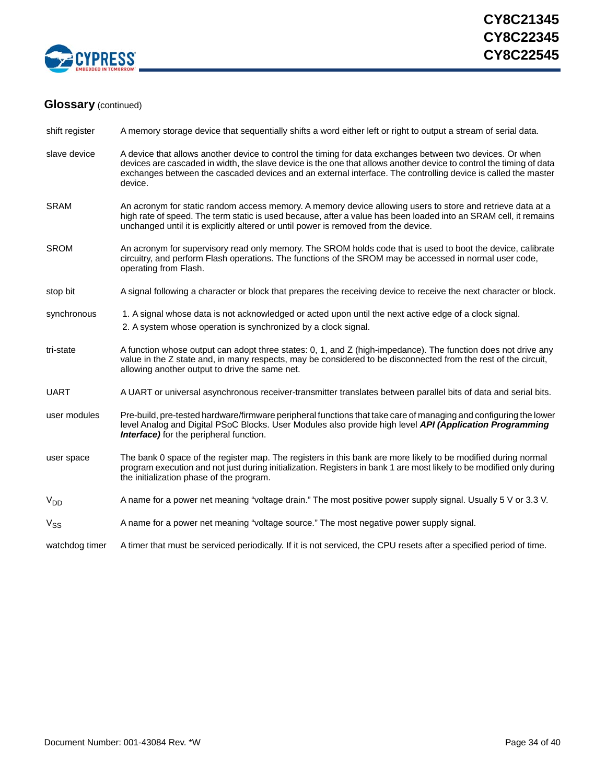![](_page_33_Picture_0.jpeg)

| shift register | A memory storage device that sequentially shifts a word either left or right to output a stream of serial data.                                                                                                                                                                                                                                              |
|----------------|--------------------------------------------------------------------------------------------------------------------------------------------------------------------------------------------------------------------------------------------------------------------------------------------------------------------------------------------------------------|
| slave device   | A device that allows another device to control the timing for data exchanges between two devices. Or when<br>devices are cascaded in width, the slave device is the one that allows another device to control the timing of data<br>exchanges between the cascaded devices and an external interface. The controlling device is called the master<br>device. |
| <b>SRAM</b>    | An acronym for static random access memory. A memory device allowing users to store and retrieve data at a<br>high rate of speed. The term static is used because, after a value has been loaded into an SRAM cell, it remains<br>unchanged until it is explicitly altered or until power is removed from the device.                                        |
| <b>SROM</b>    | An acronym for supervisory read only memory. The SROM holds code that is used to boot the device, calibrate<br>circuitry, and perform Flash operations. The functions of the SROM may be accessed in normal user code,<br>operating from Flash.                                                                                                              |
| stop bit       | A signal following a character or block that prepares the receiving device to receive the next character or block.                                                                                                                                                                                                                                           |
| synchronous    | 1. A signal whose data is not acknowledged or acted upon until the next active edge of a clock signal.<br>2. A system whose operation is synchronized by a clock signal.                                                                                                                                                                                     |
| tri-state      | A function whose output can adopt three states: 0, 1, and Z (high-impedance). The function does not drive any<br>value in the Z state and, in many respects, may be considered to be disconnected from the rest of the circuit,<br>allowing another output to drive the same net.                                                                            |
| <b>UART</b>    | A UART or universal asynchronous receiver-transmitter translates between parallel bits of data and serial bits.                                                                                                                                                                                                                                              |
| user modules   | Pre-build, pre-tested hardware/firmware peripheral functions that take care of managing and configuring the lower<br>level Analog and Digital PSoC Blocks. User Modules also provide high level API (Application Programming<br><b>Interface)</b> for the peripheral function.                                                                               |
| user space     | The bank 0 space of the register map. The registers in this bank are more likely to be modified during normal<br>program execution and not just during initialization. Registers in bank 1 are most likely to be modified only during<br>the initialization phase of the program.                                                                            |
| $V_{DD}$       | A name for a power net meaning "voltage drain." The most positive power supply signal. Usually 5 V or 3.3 V.                                                                                                                                                                                                                                                 |
| $V_{SS}$       | A name for a power net meaning "voltage source." The most negative power supply signal.                                                                                                                                                                                                                                                                      |
| watchdog timer | A timer that must be serviced periodically. If it is not serviced, the CPU resets after a specified period of time.                                                                                                                                                                                                                                          |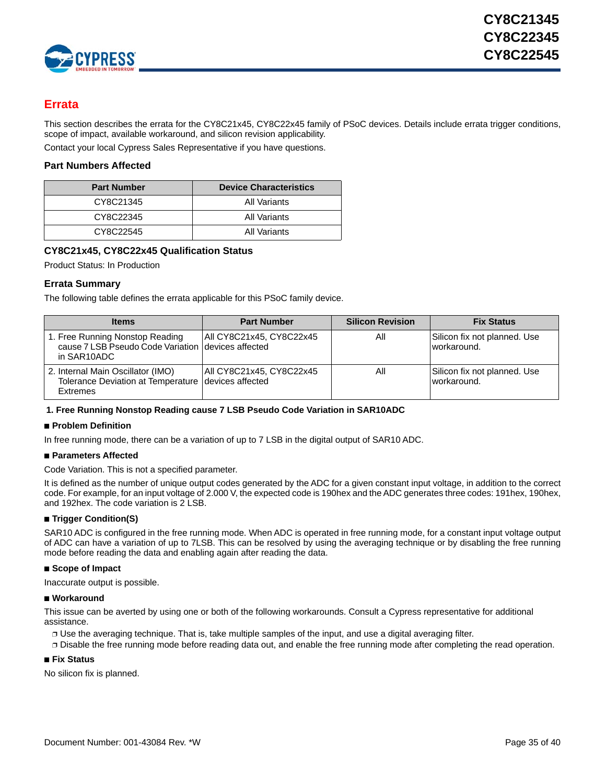![](_page_34_Picture_0.jpeg)

## <span id="page-34-0"></span>**Errata**

This section describes the errata for the CY8C21x45, CY8C22x45 family of PSoC devices. Details include errata trigger conditions, scope of impact, available workaround, and silicon revision applicability.

Contact your local Cypress Sales Representative if you have questions.

### <span id="page-34-1"></span>**Part Numbers Affected**

| <b>Part Number</b> | <b>Device Characteristics</b> |
|--------------------|-------------------------------|
| CY8C21345          | All Variants                  |
| CY8C22345          | All Variants                  |
| CY8C22545          | All Variants                  |

### <span id="page-34-2"></span>**CY8C21x45, CY8C22x45 Qualification Status**

Product Status: In Production

### <span id="page-34-3"></span>**Errata Summary**

The following table defines the errata applicable for this PSoC family device.

| <b>Items</b>                                                                                           | <b>Part Number</b>       | <b>Silicon Revision</b> | <b>Fix Status</b>                           |
|--------------------------------------------------------------------------------------------------------|--------------------------|-------------------------|---------------------------------------------|
| 1. Free Running Nonstop Reading<br>cause 7 LSB Pseudo Code Variation I devices affected<br>in SAR10ADC | All CY8C21x45, CY8C22x45 | All                     | Silicon fix not planned. Use<br>workaround. |
| 2. Internal Main Oscillator (IMO)<br>Tolerance Deviation at Temperature   devices affected<br>Extremes | All CY8C21x45, CY8C22x45 | All                     | Silicon fix not planned. Use<br>workaround. |

### **1. Free Running Nonstop Reading cause 7 LSB Pseudo Code Variation in SAR10ADC**

### ■ **Problem Definition**

In free running mode, there can be a variation of up to 7 LSB in the digital output of SAR10 ADC.

### ■ **Parameters Affected**

### Code Variation. This is not a specified parameter.

It is defined as the number of unique output codes generated by the ADC for a given constant input voltage, in addition to the correct code. For example, for an input voltage of 2.000 V, the expected code is 190hex and the ADC generates three codes: 191hex, 190hex, and 192hex. The code variation is 2 LSB.

### ■ **Trigger Condition(S)**

SAR10 ADC is configured in the free running mode. When ADC is operated in free running mode, for a constant input voltage output of ADC can have a variation of up to 7LSB. This can be resolved by using the averaging technique or by disabling the free running mode before reading the data and enabling again after reading the data.

### ■ **Scope of Impact**

Inaccurate output is possible.

### ■ Workaround

This issue can be averted by using one or both of the following workarounds. Consult a Cypress representative for additional assistance.

❐ Use the averaging technique. That is, take multiple samples of the input, and use a digital averaging filter.

❐ Disable the free running mode before reading data out, and enable the free running mode after completing the read operation.

### ■ **Fix Status**

No silicon fix is planned.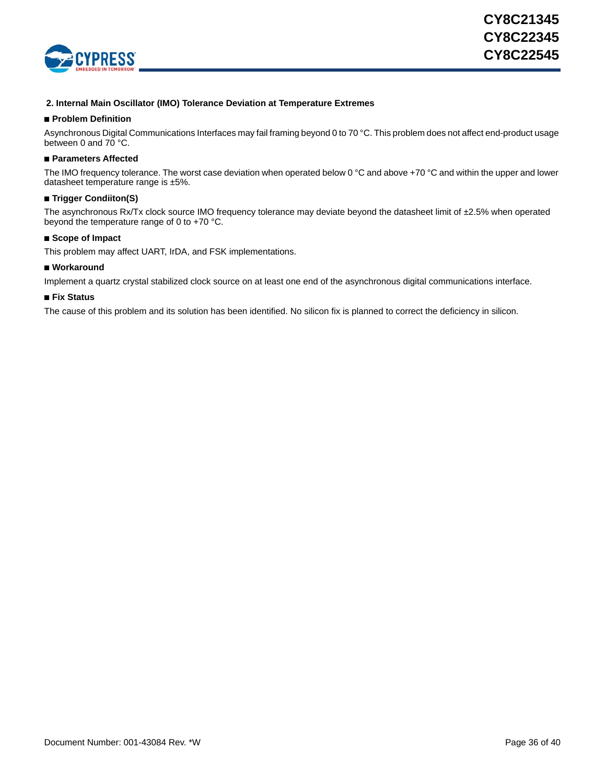![](_page_35_Picture_0.jpeg)

### **2. Internal Main Oscillator (IMO) Tolerance Deviation at Temperature Extremes**

### ■ **Problem Definition**

Asynchronous Digital Communications Interfaces may fail framing beyond 0 to 70 °C. This problem does not affect end-product usage between 0 and 70 °C.

### ■ **Parameters Affected**

The IMO frequency tolerance. The worst case deviation when operated below 0 °C and above +70 °C and within the upper and lower datasheet temperature range is ±5%.

### ■ **Trigger Condiiton(S)**

The asynchronous Rx/Tx clock source IMO frequency tolerance may deviate beyond the datasheet limit of ±2.5% when operated beyond the temperature range of 0 to +70 °C.

### ■ **Scope of Impact**

This problem may affect UART, IrDA, and FSK implementations.

### ■ Workaround

Implement a quartz crystal stabilized clock source on at least one end of the asynchronous digital communications interface.

### ■ **Fix Status**

The cause of this problem and its solution has been identified. No silicon fix is planned to correct the deficiency in silicon.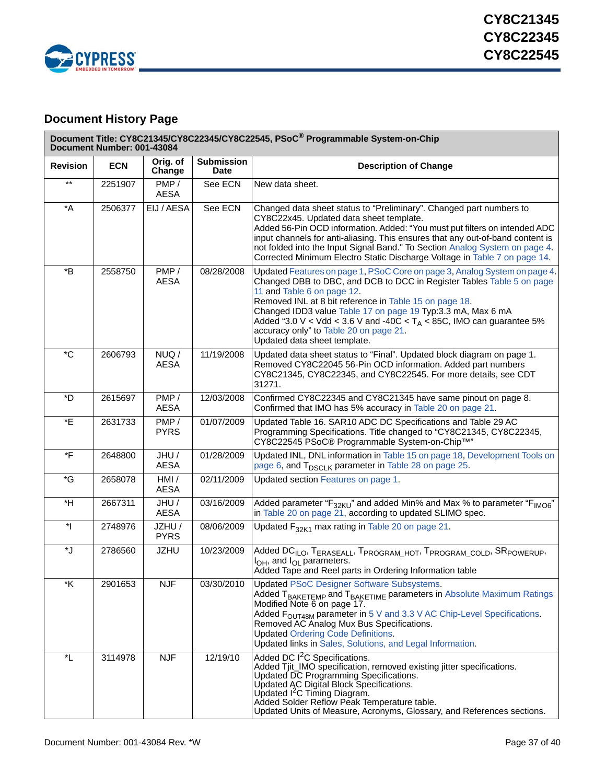![](_page_36_Picture_0.jpeg)

## <span id="page-36-0"></span>**Document History Page**

|                        | Document Number: 001-43084 |                       |                                  | Document Title: CY8C21345/CY8C22345/CY8C22545, PSoC® Programmable System-on-Chip                                                                                                                                                                                                                                                                                                                                                                               |
|------------------------|----------------------------|-----------------------|----------------------------------|----------------------------------------------------------------------------------------------------------------------------------------------------------------------------------------------------------------------------------------------------------------------------------------------------------------------------------------------------------------------------------------------------------------------------------------------------------------|
| <b>Revision</b>        | <b>ECN</b>                 | Orig. of<br>Change    | <b>Submission</b><br><b>Date</b> | <b>Description of Change</b>                                                                                                                                                                                                                                                                                                                                                                                                                                   |
| $***$                  | 2251907                    | PMP/<br><b>AESA</b>   | See ECN                          | New data sheet.                                                                                                                                                                                                                                                                                                                                                                                                                                                |
| $^{\star}$ A           | 2506377                    | EIJ / AESA            | See ECN                          | Changed data sheet status to "Preliminary". Changed part numbers to<br>CY8C22x45. Updated data sheet template.<br>Added 56-Pin OCD information. Added: "You must put filters on intended ADC<br>input channels for anti-aliasing. This ensures that any out-of-band content is<br>not folded into the Input Signal Band." To Section Analog System on page 4.<br>Corrected Minimum Electro Static Discharge Voltage in Table 7 on page 14.                     |
| *B                     | 2558750                    | PMP/<br><b>AESA</b>   | 08/28/2008                       | Updated Features on page 1, PSoC Core on page 3, Analog System on page 4.<br>Changed DBB to DBC, and DCB to DCC in Register Tables Table 5 on page<br>11 and Table 6 on page 12.<br>Removed INL at 8 bit reference in Table 15 on page 18.<br>Changed IDD3 value Table 17 on page 19 Typ:3.3 mA, Max 6 mA<br>Added "3.0 V < Vdd < 3.6 V and -40C < $T_A$ < 85C, IMO can guarantee 5%<br>accuracy only" to Table 20 on page 21.<br>Updated data sheet template. |
| $^\ast\mathrm{C}$      | 2606793                    | NUQ/<br><b>AESA</b>   | 11/19/2008                       | Updated data sheet status to "Final". Updated block diagram on page 1.<br>Removed CY8C22045 56-Pin OCD information. Added part numbers<br>CY8C21345, CY8C22345, and CY8C22545. For more details, see CDT<br>31271.                                                                                                                                                                                                                                             |
| *D                     | 2615697                    | PMP/<br><b>AESA</b>   | 12/03/2008                       | Confirmed CY8C22345 and CY8C21345 have same pinout on page 8.<br>Confirmed that IMO has 5% accuracy in Table 20 on page 21.                                                                                                                                                                                                                                                                                                                                    |
| *E                     | 2631733                    | PMP/<br><b>PYRS</b>   | 01/07/2009                       | Updated Table 16. SAR10 ADC DC Specifications and Table 29 AC<br>Programming Specifications. Title changed to "CY8C21345, CY8C22345,<br>CY8C22545 PSoC® Programmable System-on-Chip™"                                                                                                                                                                                                                                                                          |
| *F                     | 2648800                    | JHU/<br><b>AESA</b>   | 01/28/2009                       | Updated INL, DNL information in Table 15 on page 18, Development Tools on<br>page 6, and T <sub>DSCLK</sub> parameter in Table 28 on page 25.                                                                                                                                                                                                                                                                                                                  |
| $\ ^{\ast }\mathrm{G}$ | 2658078                    | HMI/<br><b>AESA</b>   | 02/11/2009                       | Updated section Features on page 1.                                                                                                                                                                                                                                                                                                                                                                                                                            |
| $*H$                   | 2667311                    | JHU/<br><b>AESA</b>   | 03/16/2009                       | Added parameter "F <sub>32KU</sub> " and added Min% and Max % to parameter "F <sub>IMO6</sub> "<br>in Table 20 on page 21, according to updated SLIMO spec.                                                                                                                                                                                                                                                                                                    |
| $\mathbf{r}$           | 2748976                    | JZHU /<br><b>PYRS</b> | 08/06/2009                       | Updated $F_{32K1}$ max rating in Table 20 on page 21.                                                                                                                                                                                                                                                                                                                                                                                                          |
| *J                     | 2786560                    | <b>JZHU</b>           | 10/23/2009                       | Added DC <sub>ILO</sub> , T <sub>ERASEALL</sub> , T <sub>PROGRAM_HOT</sub> , T <sub>PROGRAM_COLD</sub> , SR <sub>POWERUP</sub> ,<br>$I_{OH}$ , and $I_{OL}$ parameters.<br>Added Tape and Reel parts in Ordering Information table                                                                                                                                                                                                                             |
| *K                     | 2901653                    | <b>NJF</b>            | 03/30/2010                       | <b>Updated PSoC Designer Software Subsystems.</b><br>Added T <sub>BAKETEMP</sub> and T <sub>BAKETIME</sub> parameters in Absolute Maximum Ratings<br>Modified Note 6 on page 17.<br>Added F <sub>OUT48M</sub> parameter in 5 V and 3.3 V AC Chip-Level Specifications.<br>Removed AC Analog Mux Bus Specifications.<br><b>Updated Ordering Code Definitions.</b><br>Updated links in Sales, Solutions, and Legal Information.                                  |
| *L                     | 3114978                    | <b>NJF</b>            | 12/19/10                         | Added DC I <sup>2</sup> C Specifications.<br>Added Tjit_IMO specification, removed existing jitter specifications.<br>Updated DC Programming Specifications.<br>Updated AC Digital Block Specifications.<br>Updated I <sup>2</sup> C Timing Diagram.<br>Added Solder Reflow Peak Temperature table.<br>Updated Units of Measure, Acronyms, Glossary, and References sections.                                                                                  |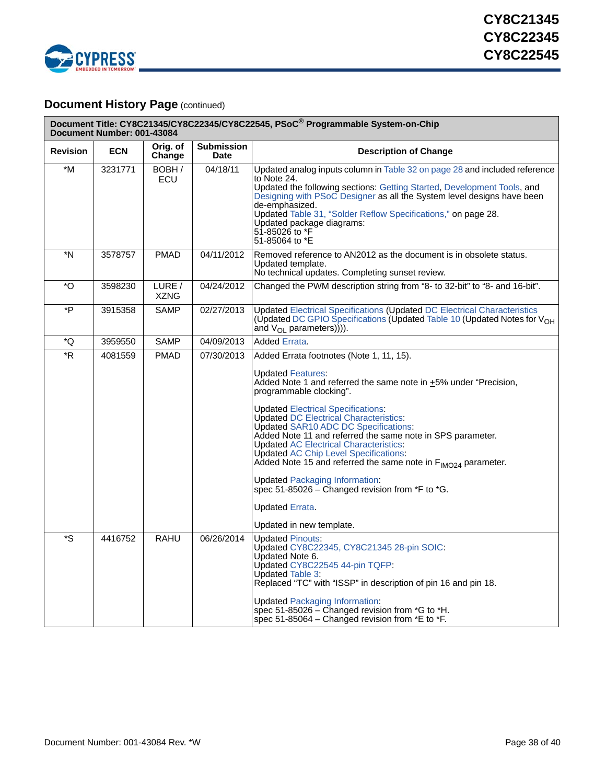![](_page_37_Picture_0.jpeg)

## **Document History Page (continued)**

| Document Title: CY8C21345/CY8C22345/CY8C22545, PSoC® Programmable System-on-Chip<br>Document Number: 001-43084 |            |                       |                                  |                                                                                                                                                                                                                                                                                                                                                                                                                                                                                                                                                                                                                                                                                             |  |  |
|----------------------------------------------------------------------------------------------------------------|------------|-----------------------|----------------------------------|---------------------------------------------------------------------------------------------------------------------------------------------------------------------------------------------------------------------------------------------------------------------------------------------------------------------------------------------------------------------------------------------------------------------------------------------------------------------------------------------------------------------------------------------------------------------------------------------------------------------------------------------------------------------------------------------|--|--|
| <b>Revision</b>                                                                                                | <b>ECN</b> | Orig. of<br>Change    | <b>Submission</b><br><b>Date</b> | <b>Description of Change</b>                                                                                                                                                                                                                                                                                                                                                                                                                                                                                                                                                                                                                                                                |  |  |
| $*_{M}$                                                                                                        | 3231771    | BOBH/<br><b>ECU</b>   | 04/18/11                         | Updated analog inputs column in Table 32 on page 28 and included reference<br>to Note 24.<br>Updated the following sections: Getting Started, Development Tools, and<br>Designing with PSoC Designer as all the System level designs have been<br>de-emphasized.<br>Updated Table 31, "Solder Reflow Specifications," on page 28.<br>Updated package diagrams:<br>51-85026 to *F<br>51-85064 to *E                                                                                                                                                                                                                                                                                          |  |  |
| *N                                                                                                             | 3578757    | <b>PMAD</b>           | 04/11/2012                       | Removed reference to AN2012 as the document is in obsolete status.<br>Updated template.<br>No technical updates. Completing sunset review.                                                                                                                                                                                                                                                                                                                                                                                                                                                                                                                                                  |  |  |
| *O                                                                                                             | 3598230    | LURE /<br><b>XZNG</b> | 04/24/2012                       | Changed the PWM description string from "8- to 32-bit" to "8- and 16-bit".                                                                                                                                                                                                                                                                                                                                                                                                                                                                                                                                                                                                                  |  |  |
| *P                                                                                                             | 3915358    | <b>SAMP</b>           | 02/27/2013                       | <b>Updated Electrical Specifications (Updated DC Electrical Characteristics</b><br>(Updated DC GPIO Specifications (Updated Table 10 (Updated Notes for $V_{OH}$<br>and $V_{OL}$ parameters)))).                                                                                                                                                                                                                                                                                                                                                                                                                                                                                            |  |  |
| *Q                                                                                                             | 3959550    | SAMP                  | 04/09/2013                       | <b>Added Errata.</b>                                                                                                                                                                                                                                                                                                                                                                                                                                                                                                                                                                                                                                                                        |  |  |
| $\overline{R}$                                                                                                 | 4081559    | <b>PMAD</b>           | 07/30/2013                       | Added Errata footnotes (Note 1, 11, 15).<br><b>Updated Features:</b><br>Added Note 1 and referred the same note in +5% under "Precision,<br>programmable clocking".<br><b>Updated Electrical Specifications:</b><br><b>Updated DC Electrical Characteristics:</b><br>Updated SAR10 ADC DC Specifications:<br>Added Note 11 and referred the same note in SPS parameter.<br><b>Updated AC Electrical Characteristics:</b><br><b>Updated AC Chip Level Specifications:</b><br>Added Note 15 and referred the same note in $F_{IMO24}$ parameter.<br><b>Updated Packaging Information:</b><br>spec 51-85026 $-$ Changed revision from *F to *G.<br>Updated Errata.<br>Updated in new template. |  |  |
| $\overline{\mathsf{S}}$                                                                                        | 4416752    | <b>RAHU</b>           | 06/26/2014                       | <b>Updated Pinouts:</b><br>Updated CY8C22345, CY8C21345 28-pin SOIC:<br>Updated Note 6.<br>Updated CY8C22545 44-pin TQFP:<br>Updated Table 3:<br>Replaced "TC" with "ISSP" in description of pin 16 and pin 18.<br><b>Updated Packaging Information:</b><br>spec 51-85026 – Changed revision from $*G$ to $*H$ .<br>spec 51-85064 – Changed revision from $E$ to $E$ .                                                                                                                                                                                                                                                                                                                      |  |  |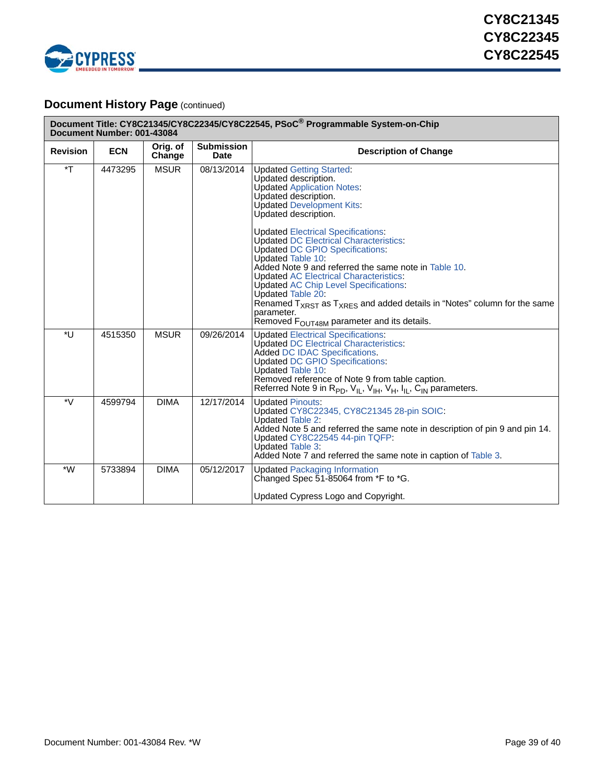![](_page_38_Picture_0.jpeg)

## **Document History Page (continued)**

| Document Title: CY8C21345/CY8C22345/CY8C22545, PSoC® Programmable System-on-Chip<br>Document Number: 001-43084 |            |                    |                                  |                                                                                                                                                                                                                                                                                                                                                                                                                                                                                                                                                                                                                                                                                          |  |  |
|----------------------------------------------------------------------------------------------------------------|------------|--------------------|----------------------------------|------------------------------------------------------------------------------------------------------------------------------------------------------------------------------------------------------------------------------------------------------------------------------------------------------------------------------------------------------------------------------------------------------------------------------------------------------------------------------------------------------------------------------------------------------------------------------------------------------------------------------------------------------------------------------------------|--|--|
| <b>Revision</b>                                                                                                | <b>ECN</b> | Orig. of<br>Change | <b>Submission</b><br><b>Date</b> | <b>Description of Change</b>                                                                                                                                                                                                                                                                                                                                                                                                                                                                                                                                                                                                                                                             |  |  |
| $\mathsf{F}^*$                                                                                                 | 4473295    | <b>MSUR</b>        | 08/13/2014                       | <b>Updated Getting Started:</b><br>Updated description.<br><b>Updated Application Notes:</b><br>Updated description.<br><b>Updated Development Kits:</b><br>Updated description.<br><b>Updated Electrical Specifications:</b><br><b>Updated DC Electrical Characteristics:</b><br><b>Updated DC GPIO Specifications:</b><br>Updated Table 10:<br>Added Note 9 and referred the same note in Table 10.<br><b>Updated AC Electrical Characteristics:</b><br><b>Updated AC Chip Level Specifications:</b><br>Updated Table 20:<br>Renamed $T_{XRST}$ as $T_{XRFS}$ and added details in "Notes" column for the same<br>parameter.<br>Removed F <sub>OUT48M</sub> parameter and its details. |  |  |
| *U                                                                                                             | 4515350    | <b>MSUR</b>        | 09/26/2014                       | <b>Updated Electrical Specifications:</b><br><b>Updated DC Electrical Characteristics:</b><br><b>Added DC IDAC Specifications.</b><br><b>Updated DC GPIO Specifications:</b><br>Updated Table 10:<br>Removed reference of Note 9 from table caption.<br>Referred Note 9 in $R_{PD}$ , $V_{IL}$ , $V_{IH}$ , $V_{H}$ , $I_{IL}$ , $C_{IN}$ parameters.                                                                                                                                                                                                                                                                                                                                    |  |  |
| *V                                                                                                             | 4599794    | <b>DIMA</b>        | 12/17/2014                       | <b>Updated Pinouts:</b><br>Updated CY8C22345, CY8C21345 28-pin SOIC:<br>Updated Table 2:<br>Added Note 5 and referred the same note in description of pin 9 and pin 14.<br>Updated CY8C22545 44-pin TQFP:<br><b>Updated Table 3:</b><br>Added Note 7 and referred the same note in caption of Table 3.                                                                                                                                                                                                                                                                                                                                                                                   |  |  |
| $*W$                                                                                                           | 5733894    | <b>DIMA</b>        | 05/12/2017                       | <b>Updated Packaging Information</b><br>Changed Spec 51-85064 from *F to *G.<br>Updated Cypress Logo and Copyright.                                                                                                                                                                                                                                                                                                                                                                                                                                                                                                                                                                      |  |  |